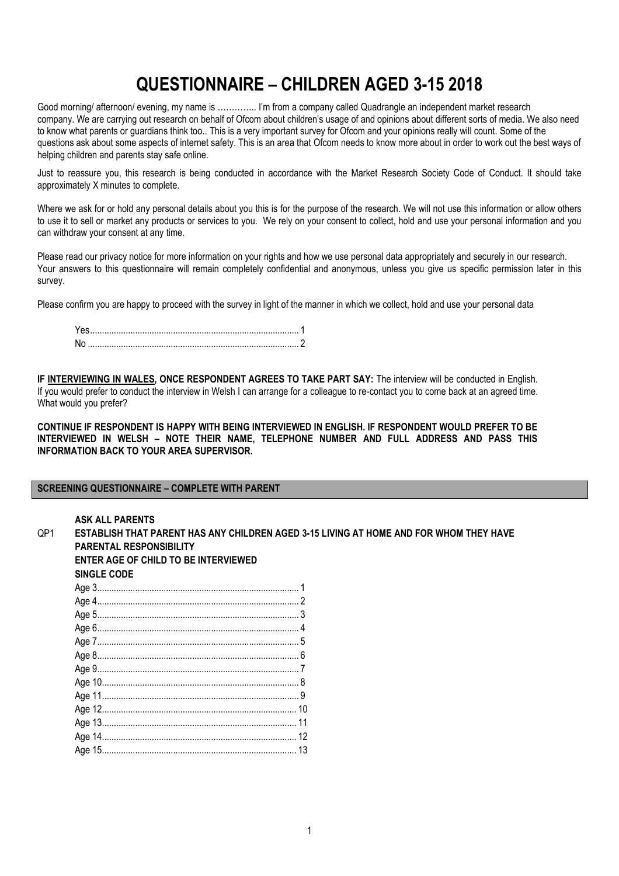# **QUESTIONNAIRE – CHILDREN AGED 3-15 2018**

Good morning/ afternoon/ evening, my name is ………….. I'm from a company called Quadrangle an independent market research company. We are carrying out research on behalf of Ofcom about children's usage of and opinions about different sorts of media. We also need to know what parents or guardians think too.. This is a very important survey for Ofcom and your opinions really will count. Some of the questions ask about some aspects of internet safety. This is an area that Ofcom needs to know more about in order to work out the best ways of helping children and parents stay safe online.

Just to reassure you, this research is being conducted in accordance with the Market Research Society Code of Conduct. It should take approximately X minutes to complete.

Where we ask for or hold any personal details about you this is for the purpose of the research. We will not use this information or allow others to use it to sell or market any products or services to you. We rely on your consent to collect, hold and use your personal information and you can withdraw your consent at any time.

Please read our privacy notice for more information on your rights and how we use personal data appropriately and securely in our research. Your answers to this questionnaire will remain completely confidential and anonymous, unless you give us specific permission later in this survey.

Please confirm you are happy to proceed with the survey in light of the manner in which we collect, hold and use your personal data

| Nc |  |
|----|--|

**IF INTERVIEWING IN WALES, ONCE RESPONDENT AGREES TO TAKE PART SAY:** The interview will be conducted in English. If you would prefer to conduct the interview in Welsh I can arrange for a colleague to re-contact you to come back at an agreed time. What would you prefer?

**CONTINUE IF RESPONDENT IS HAPPY WITH BEING INTERVIEWED IN ENGLISH. IF RESPONDENT WOULD PREFER TO BE INTERVIEWED IN WELSH – NOTE THEIR NAME, TELEPHONE NUMBER AND FULL ADDRESS AND PASS THIS INFORMATION BACK TO YOUR AREA SUPERVISOR.** 

#### **SCREENING QUESTIONNAIRE – COMPLETE WITH PARENT**

**ASK ALL PARENTS** QP1 **ESTABLISH THAT PARENT HAS ANY CHILDREN AGED 3-15 LIVING AT HOME AND FOR WHOM THEY HAVE PARENTAL RESPONSIBILITY ENTER AGE OF CHILD TO BE INTERVIEWED SINGLE CODE** Age 3..................................................................................... 1 Age 4..................................................................................... 2 Age 5..................................................................................... 3 Age 6..................................................................................... 4 Age 7..................................................................................... 5 Age 8..................................................................................... 6 Age 9..................................................................................... 7 Age 10................................................................................... 8 Age 11................................................................................... 9 Age 12.................................................................................. 10 Age 13.................................................................................. 11 Age 14.................................................................................. 12 Age 15.................................................................................. 13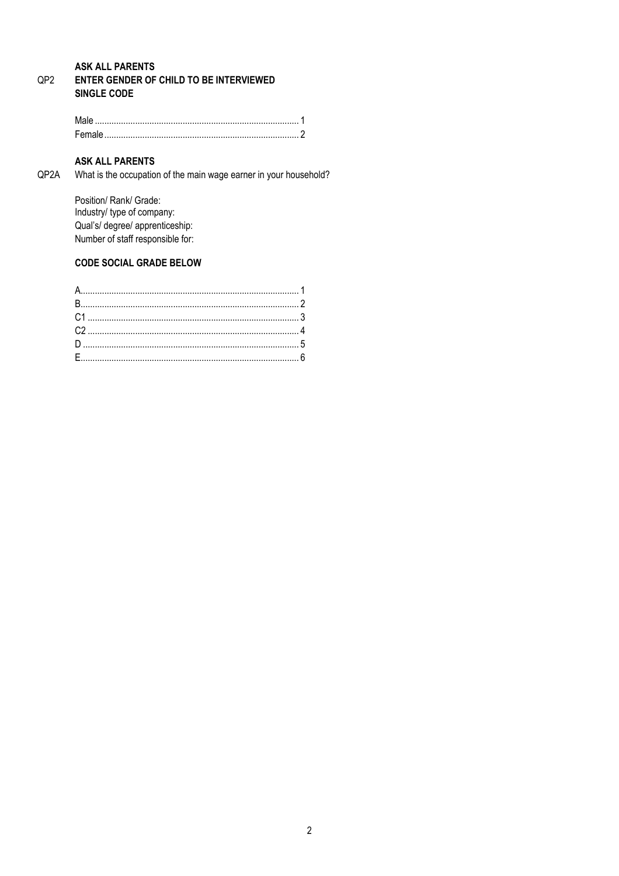#### **ASK ALL PARENTS** QP<sub>2</sub> ENTER GENDER OF CHILD TO BE INTERVIEWED **SINGLE CODE**

## **ASK ALL PARENTS**

QP2A What is the occupation of the main wage earner in your household?

> Position/ Rank/ Grade: Industry/ type of company: Qual's/ degree/ apprenticeship: Number of staff responsible for:

## **CODE SOCIAL GRADE BELOW**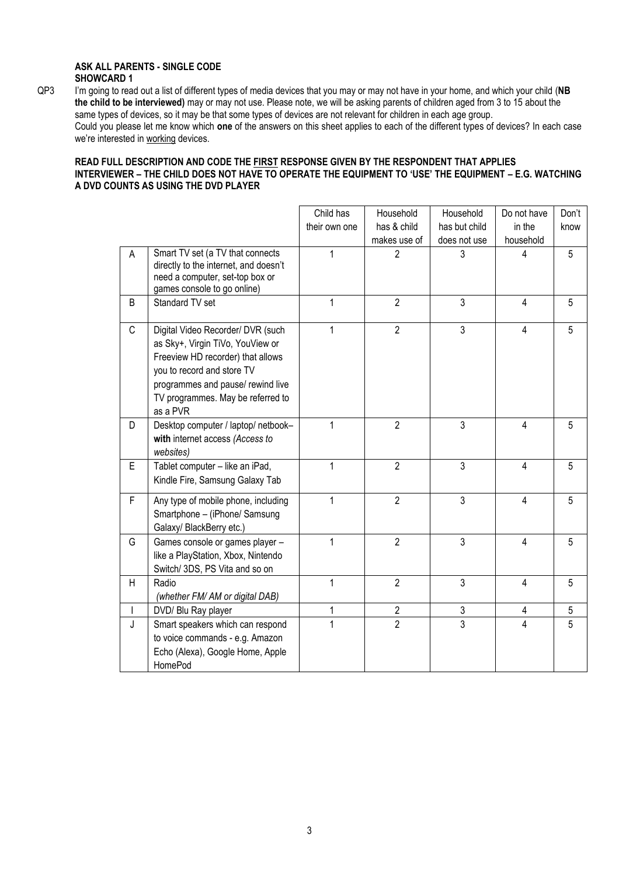#### **ASK ALL PARENTS - SINGLE CODE SHOWCARD 1**

QP3 I'm going to read out a list of different types of media devices that you may or may not have in your home, and which your child (**NB the child to be interviewed)** may or may not use. Please note, we will be asking parents of children aged from 3 to 15 about the same types of devices, so it may be that some types of devices are not relevant for children in each age group. Could you please let me know which **one** of the answers on this sheet applies to each of the different types of devices? In each case we're interested in working devices.

### **READ FULL DESCRIPTION AND CODE THE FIRST RESPONSE GIVEN BY THE RESPONDENT THAT APPLIES INTERVIEWER – THE CHILD DOES NOT HAVE TO OPERATE THE EQUIPMENT TO 'USE' THE EQUIPMENT – E.G. WATCHING A DVD COUNTS AS USING THE DVD PLAYER**

|              |                                                                                                                                                                                                                                | Child has      | Household      | Household      | Do not have             | Don't |
|--------------|--------------------------------------------------------------------------------------------------------------------------------------------------------------------------------------------------------------------------------|----------------|----------------|----------------|-------------------------|-------|
|              |                                                                                                                                                                                                                                | their own one  | has & child    | has but child  | in the                  | know  |
|              |                                                                                                                                                                                                                                |                | makes use of   | does not use   | household               |       |
| A            | Smart TV set (a TV that connects<br>directly to the internet, and doesn't<br>need a computer, set-top box or<br>games console to go online)                                                                                    | 1              | 2              | 3              | 4                       | 5     |
| B            | Standard TV set                                                                                                                                                                                                                | 1              | $\overline{2}$ | 3              | $\overline{\mathbf{4}}$ | 5     |
| C            | Digital Video Recorder/ DVR (such<br>as Sky+, Virgin TiVo, YouView or<br>Freeview HD recorder) that allows<br>you to record and store TV<br>programmes and pause/ rewind live<br>TV programmes. May be referred to<br>as a PVR | 1              | $\overline{2}$ | 3              | $\overline{\mathbf{4}}$ | 5     |
| D            | Desktop computer / laptop/ netbook-<br>with internet access (Access to<br>websites)                                                                                                                                            | $\mathbf{1}$   | $\overline{2}$ | 3              | $\overline{4}$          | 5     |
| E            | Tablet computer - like an iPad,<br>Kindle Fire, Samsung Galaxy Tab                                                                                                                                                             | 1              | $\overline{2}$ | 3              | $\overline{4}$          | 5     |
| F            | Any type of mobile phone, including<br>Smartphone - (iPhone/ Samsung<br>Galaxy/ BlackBerry etc.)                                                                                                                               | $\mathbf{1}$   | $\overline{2}$ | 3              | $\overline{\mathbf{4}}$ | 5     |
| G            | Games console or games player -<br>like a PlayStation, Xbox, Nintendo<br>Switch/ 3DS, PS Vita and so on                                                                                                                        | 1              | $\overline{2}$ | 3              | $\overline{\mathbf{4}}$ | 5     |
| H            | Radio<br>(whether FM/AM or digital DAB)                                                                                                                                                                                        | 1              | $\overline{2}$ | 3              | 4                       | 5     |
| $\mathbf{I}$ | DVD/ Blu Ray player                                                                                                                                                                                                            | 1              | 2              | $\mathfrak{Z}$ | 4                       | 5     |
| J            | Smart speakers which can respond<br>to voice commands - e.g. Amazon<br>Echo (Alexa), Google Home, Apple<br>HomePod                                                                                                             | $\overline{1}$ | $\overline{2}$ | $\overline{3}$ | 4                       | 5     |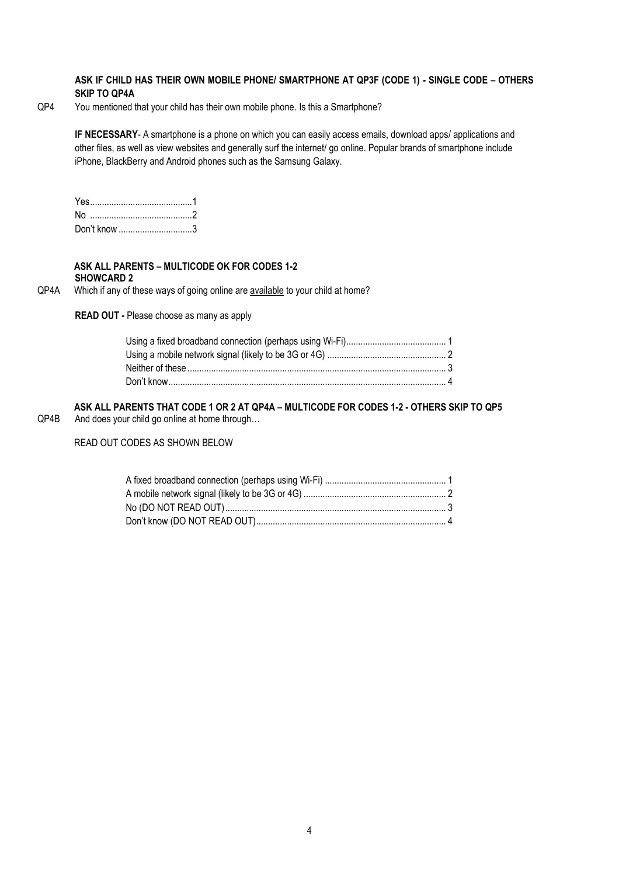#### **ASK IF CHILD HAS THEIR OWN MOBILE PHONE/ SMARTPHONE AT QP3F (CODE 1) - SINGLE CODE – OTHERS SKIP TO QP4A**

QP4 You mentioned that your child has their own mobile phone. Is this a Smartphone?

**IF NECESSARY**- A smartphone is a phone on which you can easily access emails, download apps/ applications and other files, as well as view websites and generally surf the internet/ go online. Popular brands of smartphone include iPhone, BlackBerry and Android phones such as the Samsung Galaxy.

| Don't know 3 |  |
|--------------|--|

#### **ASK ALL PARENTS – MULTICODE OK FOR CODES 1-2 SHOWCARD 2**

QP4A Which if any of these ways of going online are available to your child at home?

**READ OUT -** Please choose as many as apply

**ASK ALL PARENTS THAT CODE 1 OR 2 AT QP4A – MULTICODE FOR CODES 1-2 - OTHERS SKIP TO QP5** QP4B And does your child go online at home through…

READ OUT CODES AS SHOWN BELOW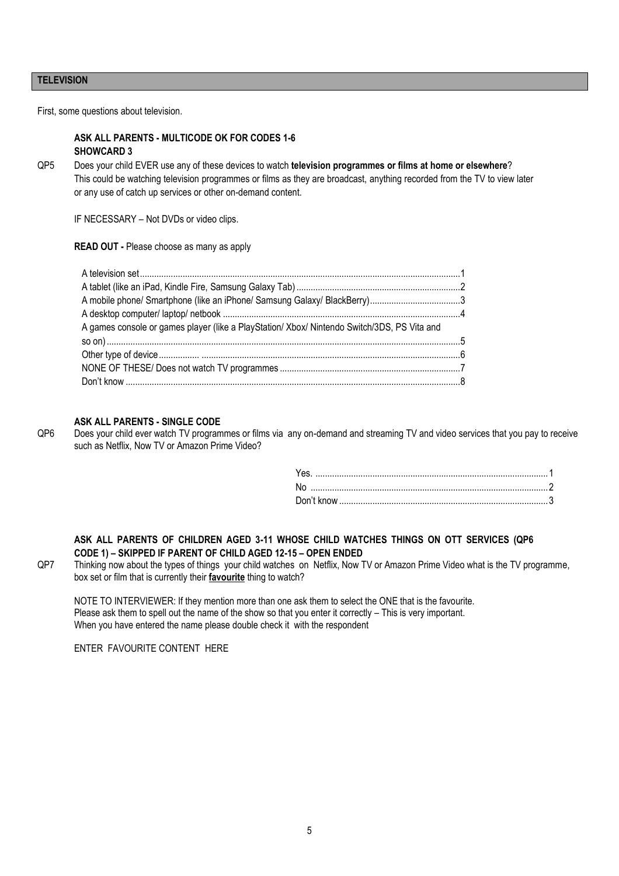#### **TELEVISION**

First, some questions about television.

#### **ASK ALL PARENTS - MULTICODE OK FOR CODES 1-6 SHOWCARD 3**

QP5 Does your child EVER use any of these devices to watch **television programmes or films at home or elsewhere**? This could be watching television programmes or films as they are broadcast, anything recorded from the TV to view later or any use of catch up services or other on-demand content.

IF NECESSARY – Not DVDs or video clips.

**READ OUT -** Please choose as many as apply

| A games console or games player (like a PlayStation/ Xbox/ Nintendo Switch/3DS, PS Vita and |  |
|---------------------------------------------------------------------------------------------|--|
|                                                                                             |  |
|                                                                                             |  |
|                                                                                             |  |
|                                                                                             |  |

#### **ASK ALL PARENTS - SINGLE CODE**

QP6 Does your child ever watch TV programmes or films via any on-demand and streaming TV and video services that you pay to receive such as Netflix, Now TV or Amazon Prime Video?

#### **ASK ALL PARENTS OF CHILDREN AGED 3-11 WHOSE CHILD WATCHES THINGS ON OTT SERVICES (QP6 CODE 1) – SKIPPED IF PARENT OF CHILD AGED 12-15 – OPEN ENDED**

QP7 Thinking now about the types of things your child watches on Netflix, Now TV or Amazon Prime Video what is the TV programme, box set or film that is currently their **favourite** thing to watch?

NOTE TO INTERVIEWER: If they mention more than one ask them to select the ONE that is the favourite. Please ask them to spell out the name of the show so that you enter it correctly – This is very important. When you have entered the name please double check it with the respondent

ENTER FAVOURITE CONTENT HERE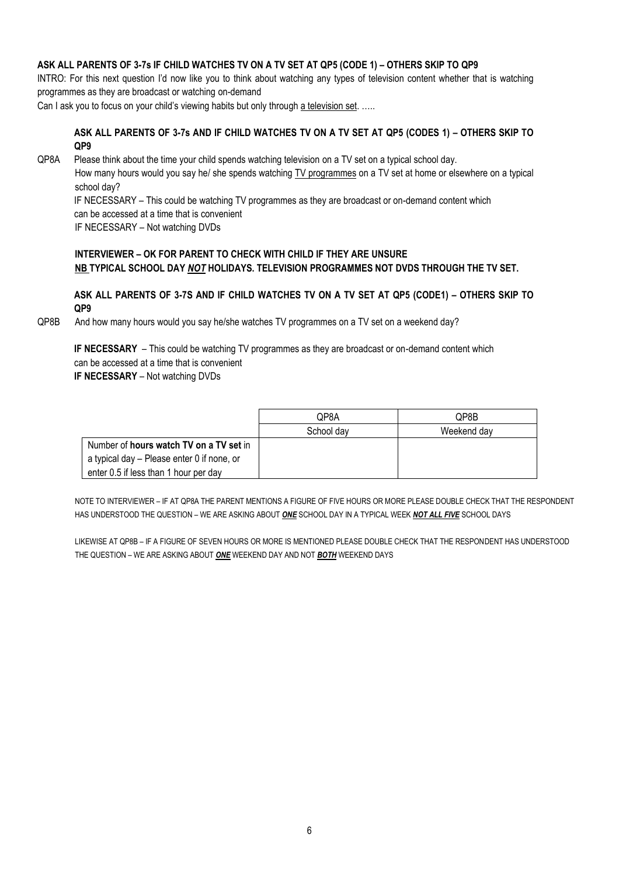#### **ASK ALL PARENTS OF 3-7s IF CHILD WATCHES TV ON A TV SET AT QP5 (CODE 1) – OTHERS SKIP TO QP9**

INTRO: For this next question I'd now like you to think about watching any types of television content whether that is watching programmes as they are broadcast or watching on-demand

Can I ask you to focus on your child's viewing habits but only through a television set. …..

#### **ASK ALL PARENTS OF 3-7s AND IF CHILD WATCHES TV ON A TV SET AT QP5 (CODES 1) – OTHERS SKIP TO QP9**

QP8A Please think about the time your child spends watching television on a TV set on a typical school day.

How many hours would you say he/ she spends watching **TV** programmes on a TV set at home or elsewhere on a typical school day?

 IF NECESSARY – This could be watching TV programmes as they are broadcast or on-demand content which can be accessed at a time that is convenient

IF NECESSARY – Not watching DVDs

#### **INTERVIEWER – OK FOR PARENT TO CHECK WITH CHILD IF THEY ARE UNSURE NB TYPICAL SCHOOL DAY** *NOT* **HOLIDAYS. TELEVISION PROGRAMMES NOT DVDS THROUGH THE TV SET.**

#### **ASK ALL PARENTS OF 3-7S AND IF CHILD WATCHES TV ON A TV SET AT QP5 (CODE1) – OTHERS SKIP TO QP9**

QP8B And how many hours would you say he/she watches TV programmes on a TV set on a weekend day?

**IF NECESSARY** – This could be watching TV programmes as they are broadcast or on-demand content which can be accessed at a time that is convenient **IF NECESSARY** – Not watching DVDs

|                                            | QP8A       | QP8B        |
|--------------------------------------------|------------|-------------|
|                                            | School day | Weekend day |
| Number of hours watch TV on a TV set in    |            |             |
| a typical day – Please enter 0 if none, or |            |             |
| enter 0.5 if less than 1 hour per day      |            |             |

NOTE TO INTERVIEWER – IF AT QP8A THE PARENT MENTIONS A FIGURE OF FIVE HOURS OR MORE PLEASE DOUBLE CHECK THAT THE RESPONDENT HAS UNDERSTOOD THE QUESTION – WE ARE ASKING ABOUT *ONE* SCHOOL DAY IN A TYPICAL WEEK *NOT ALL FIVE* SCHOOL DAYS

LIKEWISE AT QP8B – IF A FIGURE OF SEVEN HOURS OR MORE IS MENTIONED PLEASE DOUBLE CHECK THAT THE RESPONDENT HAS UNDERSTOOD THE QUESTION – WE ARE ASKING ABOUT *ONE* WEEKEND DAY AND NOT *BOTH* WEEKEND DAYS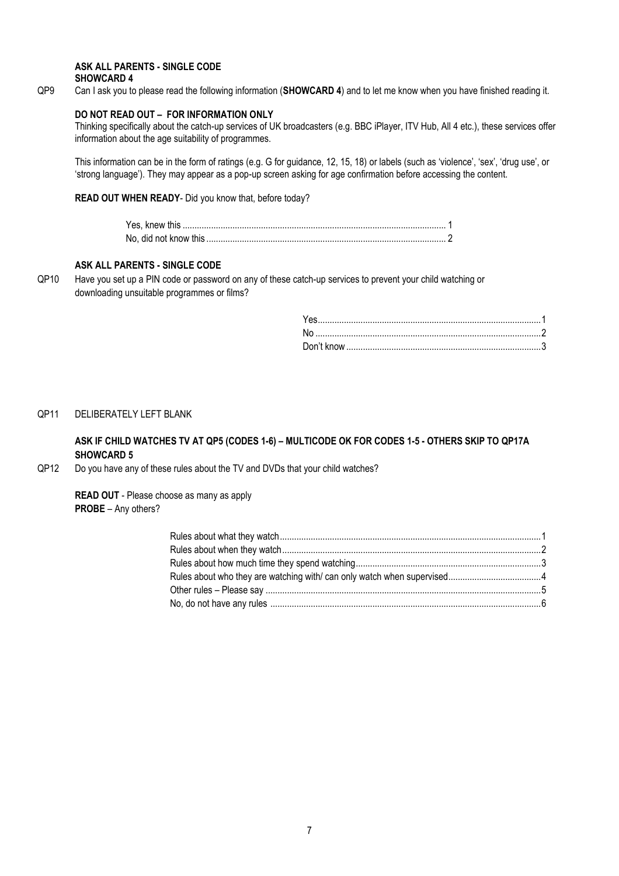#### **ASK ALL PARENTS - SINGLE CODE SHOWCARD 4**

QP9 Can I ask you to please read the following information (**SHOWCARD 4**) and to let me know when you have finished reading it.

#### **DO NOT READ OUT – FOR INFORMATION ONLY**

Thinking specifically about the catch-up services of UK broadcasters (e.g. BBC iPlayer, ITV Hub, All 4 etc.), these services offer information about the age suitability of programmes.

This information can be in the form of ratings (e.g. G for guidance, 12, 15, 18) or labels (such as 'violence', 'sex', 'drug use', or 'strong language'). They may appear as a pop-up screen asking for age confirmation before accessing the content.

#### **READ OUT WHEN READY**- Did you know that, before today?

#### **ASK ALL PARENTS - SINGLE CODE**

QP10 Have you set up a PIN code or password on any of these catch-up services to prevent your child watching or downloading unsuitable programmes or films?

QP11 DELIBERATELY LEFT BLANK

## **ASK IF CHILD WATCHES TV AT QP5 (CODES 1-6) – MULTICODE OK FOR CODES 1-5 - OTHERS SKIP TO QP17A SHOWCARD 5**

QP12 Do you have any of these rules about the TV and DVDs that your child watches?

**READ OUT** - Please choose as many as apply **PROBE** – Any others?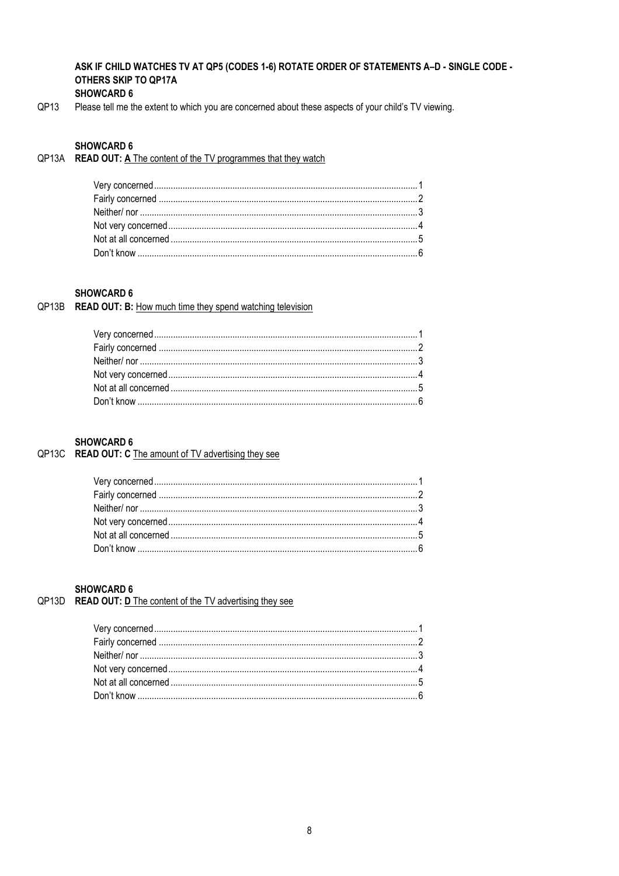#### ASK IF CHILD WATCHES TV AT QP5 (CODES 1-6) ROTATE ORDER OF STATEMENTS A-D - SINGLE CODE -OTHERS SKIP TO QP17A **SHOWCARD 6**

QP13 Please tell me the extent to which you are concerned about these aspects of your child's TV viewing.

#### **SHOWCARD 6**

QP13A READ OUT: A The content of the TV programmes that they watch

## **SHOWCARD 6**

#### QP13B READ OUT: B: How much time they spend watching television

## **SHOWCARD 6**

## QP13C READ OUT: C The amount of TV advertising they see

#### **SHOWCARD 6**

## QP13D READ OUT: D The content of the TV advertising they see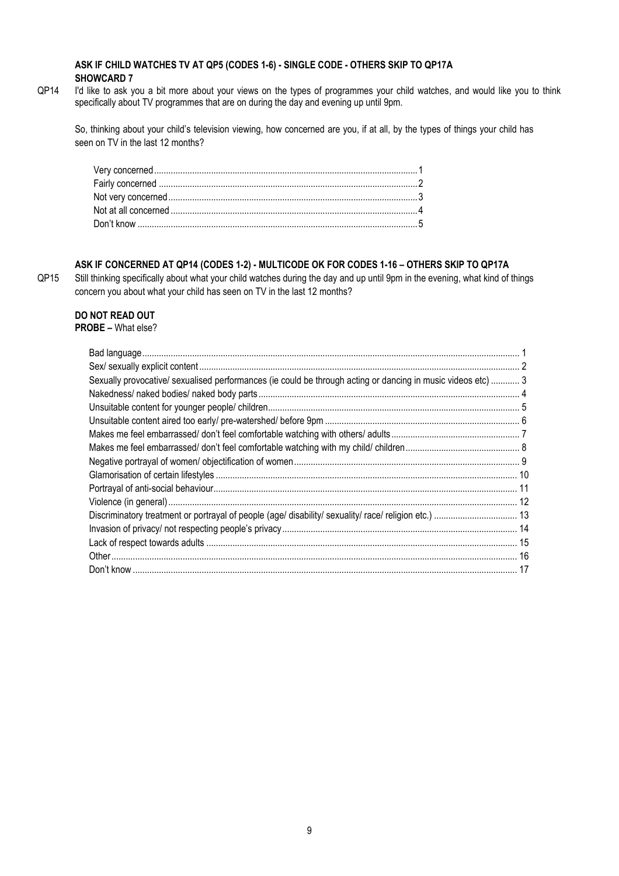#### **ASK IF CHILD WATCHES TV AT QP5 (CODES 1-6) - SINGLE CODE - OTHERS SKIP TO QP17A SHOWCARD 7**

QP14 I'd like to ask you a bit more about your views on the types of programmes your child watches, and would like you to think specifically about TV programmes that are on during the day and evening up until 9pm.

So, thinking about your child's television viewing, how concerned are you, if at all, by the types of things your child has seen on TV in the last 12 months?

#### **ASK IF CONCERNED AT QP14 (CODES 1-2) - MULTICODE OK FOR CODES 1-16 – OTHERS SKIP TO QP17A**

QP15 Still thinking specifically about what your child watches during the day and up until 9pm in the evening, what kind of things concern you about what your child has seen on TV in the last 12 months?

## **DO NOT READ OUT**

## **PROBE –** What else?

| Sexually provocative/ sexualised performances (ie could be through acting or dancing in music videos etc)  3 |  |
|--------------------------------------------------------------------------------------------------------------|--|
|                                                                                                              |  |
|                                                                                                              |  |
|                                                                                                              |  |
|                                                                                                              |  |
|                                                                                                              |  |
|                                                                                                              |  |
|                                                                                                              |  |
|                                                                                                              |  |
|                                                                                                              |  |
|                                                                                                              |  |
|                                                                                                              |  |
|                                                                                                              |  |
|                                                                                                              |  |
|                                                                                                              |  |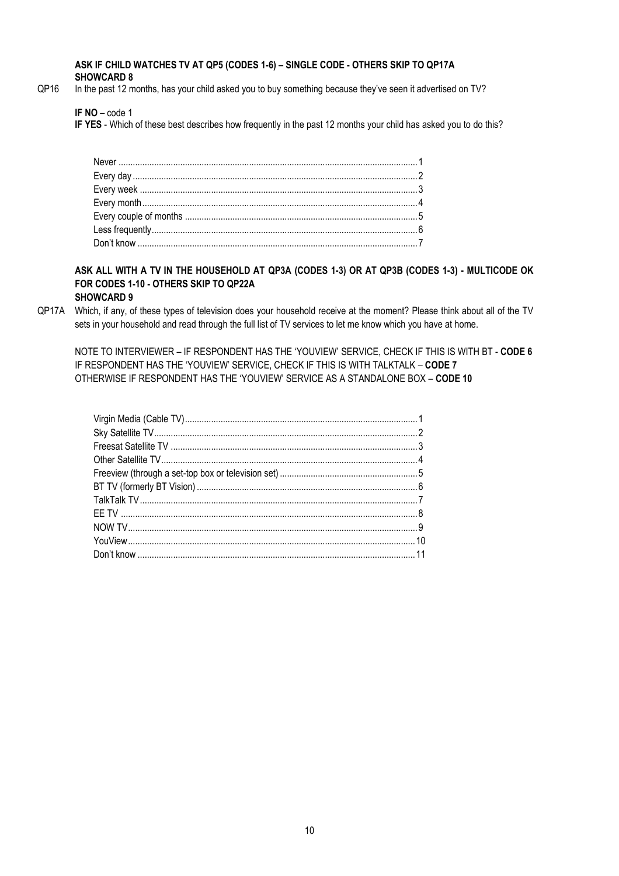#### **ASK IF CHILD WATCHES TV AT QP5 (CODES 1-6) – SINGLE CODE - OTHERS SKIP TO QP17A SHOWCARD 8**

QP16 In the past 12 months, has your child asked you to buy something because they've seen it advertised on TV?

**IF NO** – code 1

**IF YES** - Which of these best describes how frequently in the past 12 months your child has asked you to do this?

**ASK ALL WITH A TV IN THE HOUSEHOLD AT QP3A (CODES 1-3) OR AT QP3B (CODES 1-3) - MULTICODE OK FOR CODES 1-10 - OTHERS SKIP TO QP22A**

## **SHOWCARD 9**

QP17A Which, if any, of these types of television does your household receive at the moment? Please think about all of the TV sets in your household and read through the full list of TV services to let me know which you have at home.

NOTE TO INTERVIEWER – IF RESPONDENT HAS THE 'YOUVIEW' SERVICE, CHECK IF THIS IS WITH BT - **CODE 6** IF RESPONDENT HAS THE 'YOUVIEW' SERVICE, CHECK IF THIS IS WITH TALKTALK – **CODE 7** OTHERWISE IF RESPONDENT HAS THE 'YOUVIEW' SERVICE AS A STANDALONE BOX – **CODE 10**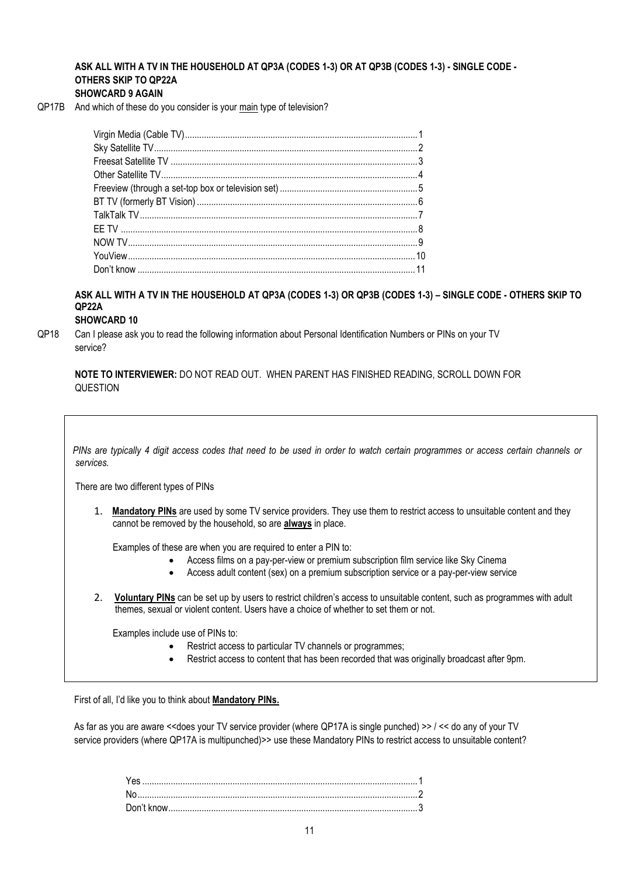## **ASK ALL WITH A TV IN THE HOUSEHOLD AT QP3A (CODES 1-3) OR AT QP3B (CODES 1-3) - SINGLE CODE - OTHERS SKIP TO QP22A**

#### **SHOWCARD 9 AGAIN**

QP17B And which of these do you consider is your main type of television?

**ASK ALL WITH A TV IN THE HOUSEHOLD AT QP3A (CODES 1-3) OR QP3B (CODES 1-3) – SINGLE CODE - OTHERS SKIP TO QP22A**

## **SHOWCARD 10**

QP18 Can I please ask you to read the following information about Personal Identification Numbers or PINs on your TV service?

**NOTE TO INTERVIEWER:** DO NOT READ OUT. WHEN PARENT HAS FINISHED READING, SCROLL DOWN FOR QUESTION

 *PINs are typically 4 digit access codes that need to be used in order to watch certain programmes or access certain channels or services.*

There are two different types of PINs

1. **Mandatory PINs** are used by some TV service providers. They use them to restrict access to unsuitable content and they cannot be removed by the household, so are **always** in place.

Examples of these are when you are required to enter a PIN to:

- Access films on a pay-per-view or premium subscription film service like Sky Cinema
- Access adult content (sex) on a premium subscription service or a pay-per-view service
- 2. **Voluntary PINs** can be set up by users to restrict children's access to unsuitable content, such as programmes with adult themes, sexual or violent content. Users have a choice of whether to set them or not.

Examples include use of PINs to:

- Restrict access to particular TV channels or programmes;
- Restrict access to content that has been recorded that was originally broadcast after 9pm.

First of all, I'd like you to think about **Mandatory PINs.**

As far as you are aware <<does your TV service provider (where QP17A is single punched) >> / << do any of your TV service providers (where QP17A is multipunched)>> use these Mandatory PINs to restrict access to unsuitable content?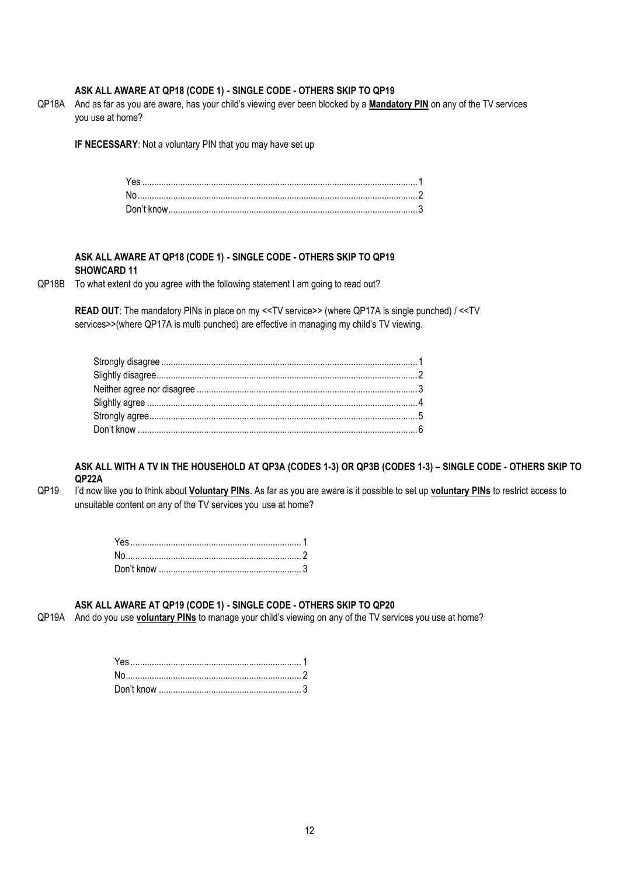#### **ASK ALL AWARE AT QP18 (CODE 1) - SINGLE CODE - OTHERS SKIP TO QP19**

QP18A And as far as you are aware, has your child's viewing ever been blocked by a **Mandatory PIN** on any of the TV services you use at home?

**IF NECESSARY**: Not a voluntary PIN that you may have set up

#### **ASK ALL AWARE AT QP18 (CODE 1) - SINGLE CODE - OTHERS SKIP TO QP19 SHOWCARD 11**

#### QP18B To what extent do you agree with the following statement I am going to read out?

**READ OUT**: The mandatory PINs in place on my <<TV service>> (where QP17A is single punched) / <<TV services>>(where QP17A is multi punched) are effective in managing my child's TV viewing.

#### **ASK ALL WITH A TV IN THE HOUSEHOLD AT QP3A (CODES 1-3) OR QP3B (CODES 1-3) – SINGLE CODE - OTHERS SKIP TO QP22A**

QP19 I'd now like you to think about **Voluntary PINs**. As far as you are aware is it possible to set up **voluntary PINs** to restrict access to unsuitable content on any of the TV services you use at home?

#### **ASK ALL AWARE AT QP19 (CODE 1) - SINGLE CODE - OTHERS SKIP TO QP20**

QP19A And do you use **voluntary PINs** to manage your child's viewing on any of the TV services you use at home?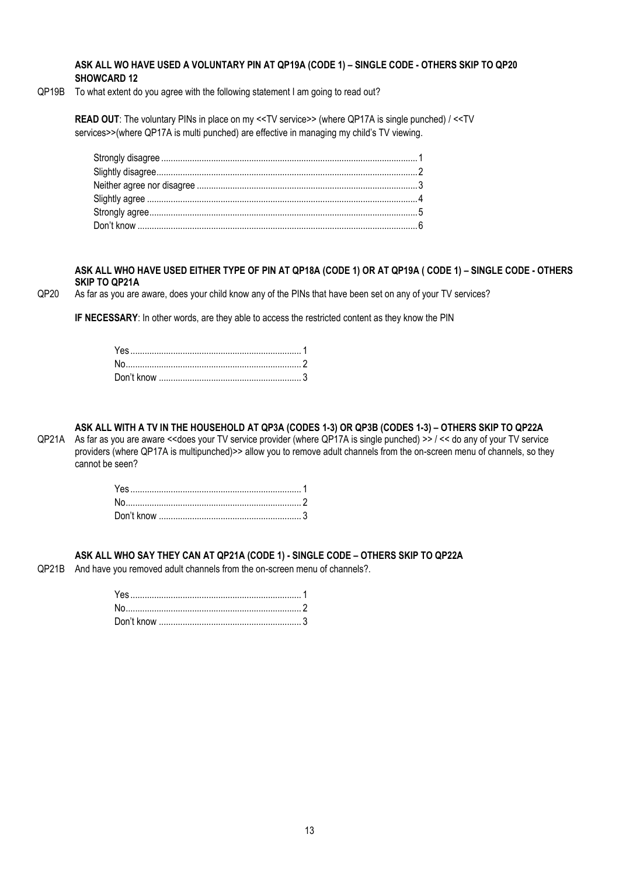#### **ASK ALL WO HAVE USED A VOLUNTARY PIN AT QP19A (CODE 1) – SINGLE CODE - OTHERS SKIP TO QP20 SHOWCARD 12**

QP19B To what extent do you agree with the following statement I am going to read out?

**READ OUT**: The voluntary PINs in place on my <<TV service>> (where QP17A is single punched) / <<TV services>>(where QP17A is multi punched) are effective in managing my child's TV viewing.

#### **ASK ALL WHO HAVE USED EITHER TYPE OF PIN AT QP18A (CODE 1) OR AT QP19A ( CODE 1) – SINGLE CODE - OTHERS SKIP TO QP21A**

QP20 As far as you are aware, does your child know any of the PINs that have been set on any of your TV services?

**IF NECESSARY**: In other words, are they able to access the restricted content as they know the PIN

## **ASK ALL WITH A TV IN THE HOUSEHOLD AT QP3A (CODES 1-3) OR QP3B (CODES 1-3) – OTHERS SKIP TO QP22A**

QP21A As far as you are aware <<does your TV service provider (where QP17A is single punched) >> / << do any of your TV service providers (where QP17A is multipunched)>> allow you to remove adult channels from the on-screen menu of channels, so they cannot be seen?

#### **ASK ALL WHO SAY THEY CAN AT QP21A (CODE 1) - SINGLE CODE – OTHERS SKIP TO QP22A**

QP21B And have you removed adult channels from the on-screen menu of channels?.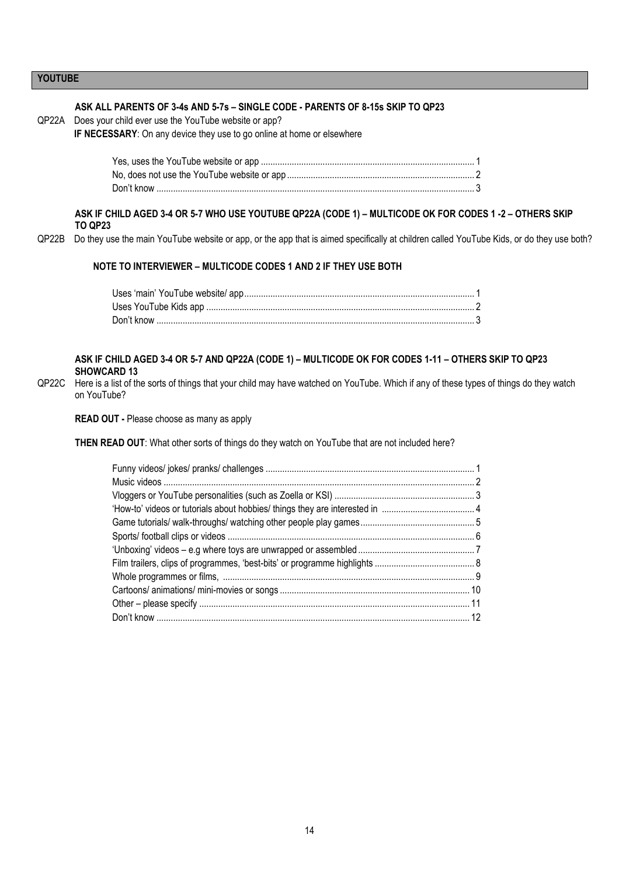#### **YOUTUBE**

#### **ASK ALL PARENTS OF 3-4s AND 5-7s – SINGLE CODE - PARENTS OF 8-15s SKIP TO QP23**

QP22A Does your child ever use the YouTube website or app?

**IF NECESSARY**: On any device they use to go online at home or elsewhere

**ASK IF CHILD AGED 3-4 OR 5-7 WHO USE YOUTUBE QP22A (CODE 1) – MULTICODE OK FOR CODES 1 -2 – OTHERS SKIP TO QP23**

QP22B Do they use the main YouTube website or app, or the app that is aimed specifically at children called YouTube Kids, or do they use both?

#### **NOTE TO INTERVIEWER – MULTICODE CODES 1 AND 2 IF THEY USE BOTH**

#### **ASK IF CHILD AGED 3-4 OR 5-7 AND QP22A (CODE 1) – MULTICODE OK FOR CODES 1-11 – OTHERS SKIP TO QP23 SHOWCARD 13**

QP22C Here is a list of the sorts of things that your child may have watched on YouTube. Which if any of these types of things do they watch on YouTube?

**READ OUT -** Please choose as many as apply

**THEN READ OUT**: What other sorts of things do they watch on YouTube that are not included here?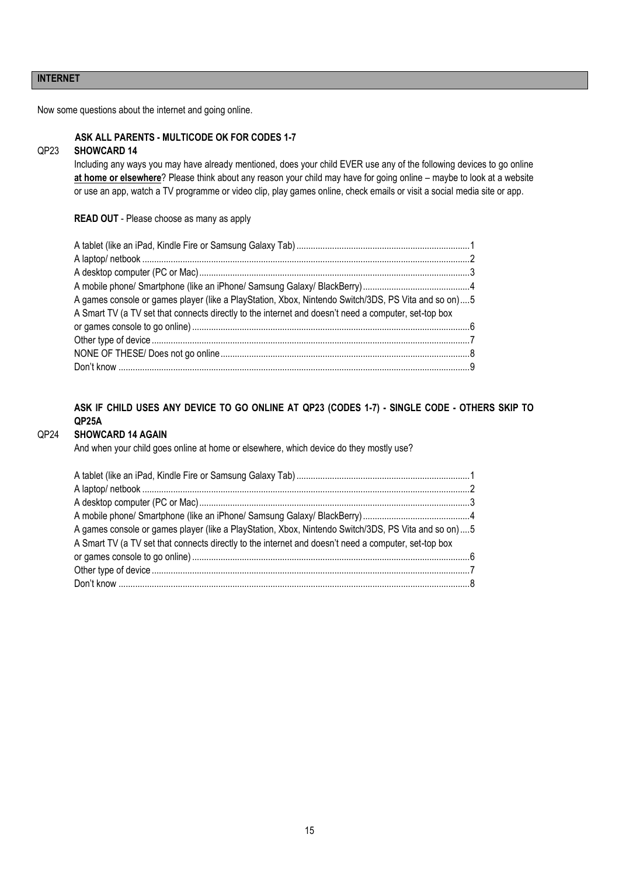#### **INTERNET**

Now some questions about the internet and going online.

#### **ASK ALL PARENTS - MULTICODE OK FOR CODES 1-7**

## QP23 **SHOWCARD 14**

Including any ways you may have already mentioned, does your child EVER use any of the following devices to go online **at home or elsewhere**? Please think about any reason your child may have for going online – maybe to look at a website or use an app, watch a TV programme or video clip, play games online, check emails or visit a social media site or app.

**READ OUT** - Please choose as many as apply

| A games console or games player (like a PlayStation, Xbox, Nintendo Switch/3DS, PS Vita and so on)5  |  |
|------------------------------------------------------------------------------------------------------|--|
| A Smart TV (a TV set that connects directly to the internet and doesn't need a computer, set-top box |  |
|                                                                                                      |  |
|                                                                                                      |  |
|                                                                                                      |  |
|                                                                                                      |  |

## **ASK IF CHILD USES ANY DEVICE TO GO ONLINE AT QP23 (CODES 1-7) - SINGLE CODE - OTHERS SKIP TO QP25A**

#### QP24 **SHOWCARD 14 AGAIN**

And when your child goes online at home or elsewhere, which device do they mostly use?

| A games console or games player (like a PlayStation, Xbox, Nintendo Switch/3DS, PS Vita and so on)  5 |  |
|-------------------------------------------------------------------------------------------------------|--|
| A Smart TV (a TV set that connects directly to the internet and doesn't need a computer, set-top box  |  |
|                                                                                                       |  |
|                                                                                                       |  |
|                                                                                                       |  |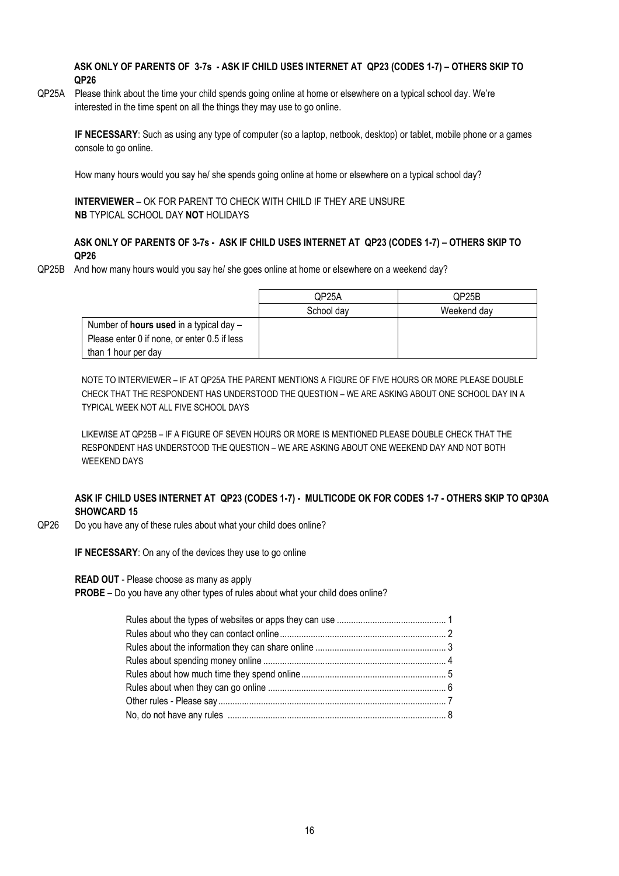#### **ASK ONLY OF PARENTS OF 3-7s - ASK IF CHILD USES INTERNET AT QP23 (CODES 1-7) – OTHERS SKIP TO QP26**

QP25A Please think about the time your child spends going online at home or elsewhere on a typical school day. We're interested in the time spent on all the things they may use to go online.

**IF NECESSARY**: Such as using any type of computer (so a laptop, netbook, desktop) or tablet, mobile phone or a games console to go online.

How many hours would you say he/ she spends going online at home or elsewhere on a typical school day?

**INTERVIEWER** – OK FOR PARENT TO CHECK WITH CHILD IF THEY ARE UNSURE **NB** TYPICAL SCHOOL DAY **NOT** HOLIDAYS

#### **ASK ONLY OF PARENTS OF 3-7s - ASK IF CHILD USES INTERNET AT QP23 (CODES 1-7) – OTHERS SKIP TO QP26**

QP25B And how many hours would you say he/ she goes online at home or elsewhere on a weekend day?

|                                                  | QP25A      | QP25B       |
|--------------------------------------------------|------------|-------------|
|                                                  | School day | Weekend dav |
| Number of <b>hours used</b> in a typical day $-$ |            |             |
| Please enter 0 if none, or enter 0.5 if less     |            |             |
| than 1 hour per day                              |            |             |

NOTE TO INTERVIEWER – IF AT QP25A THE PARENT MENTIONS A FIGURE OF FIVE HOURS OR MORE PLEASE DOUBLE CHECK THAT THE RESPONDENT HAS UNDERSTOOD THE QUESTION – WE ARE ASKING ABOUT ONE SCHOOL DAY IN A TYPICAL WEEK NOT ALL FIVE SCHOOL DAYS

LIKEWISE AT QP25B – IF A FIGURE OF SEVEN HOURS OR MORE IS MENTIONED PLEASE DOUBLE CHECK THAT THE RESPONDENT HAS UNDERSTOOD THE QUESTION – WE ARE ASKING ABOUT ONE WEEKEND DAY AND NOT BOTH WEEKEND DAYS

#### **ASK IF CHILD USES INTERNET AT QP23 (CODES 1-7) - MULTICODE OK FOR CODES 1-7 - OTHERS SKIP TO QP30A SHOWCARD 15**

QP26 Do you have any of these rules about what your child does online?

**IF NECESSARY**: On any of the devices they use to go online

**READ OUT** - Please choose as many as apply

**PROBE** – Do you have any other types of rules about what your child does online?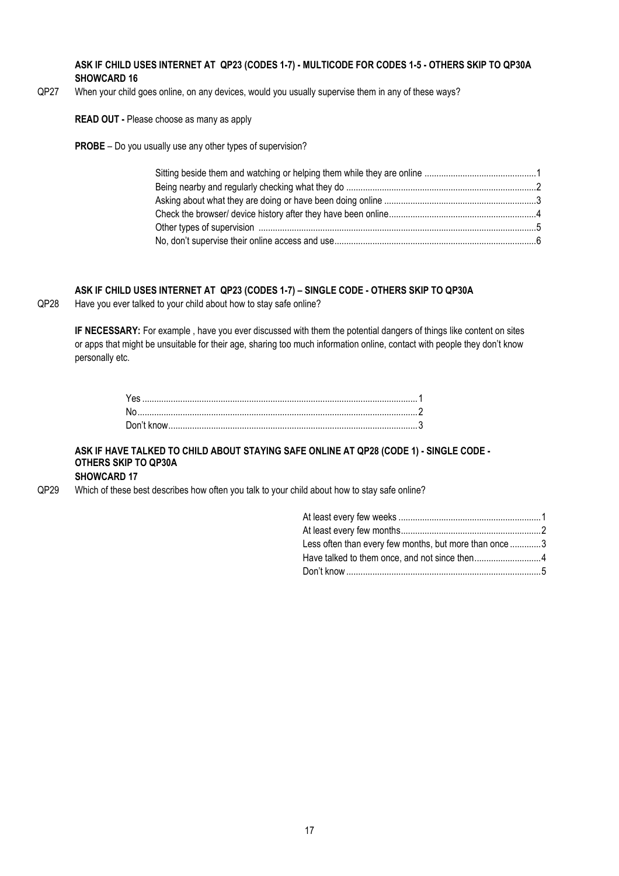**ASK IF CHILD USES INTERNET AT QP23 (CODES 1-7) - MULTICODE FOR CODES 1-5 - OTHERS SKIP TO QP30A SHOWCARD 16**

QP27 When your child goes online, on any devices, would you usually supervise them in any of these ways?

**READ OUT -** Please choose as many as apply

**PROBE** – Do you usually use any other types of supervision?

## **ASK IF CHILD USES INTERNET AT QP23 (CODES 1-7) – SINGLE CODE - OTHERS SKIP TO QP30A**

QP28 Have you ever talked to your child about how to stay safe online?

**IF NECESSARY:** For example , have you ever discussed with them the potential dangers of things like content on sites or apps that might be unsuitable for their age, sharing too much information online, contact with people they don't know personally etc.

## **ASK IF HAVE TALKED TO CHILD ABOUT STAYING SAFE ONLINE AT QP28 (CODE 1) - SINGLE CODE - OTHERS SKIP TO QP30A**

**SHOWCARD 17**

QP29 Which of these best describes how often you talk to your child about how to stay safe online?

| Less often than every few months, but more than once 3 |  |
|--------------------------------------------------------|--|
| Have talked to them once, and not since then4          |  |
|                                                        |  |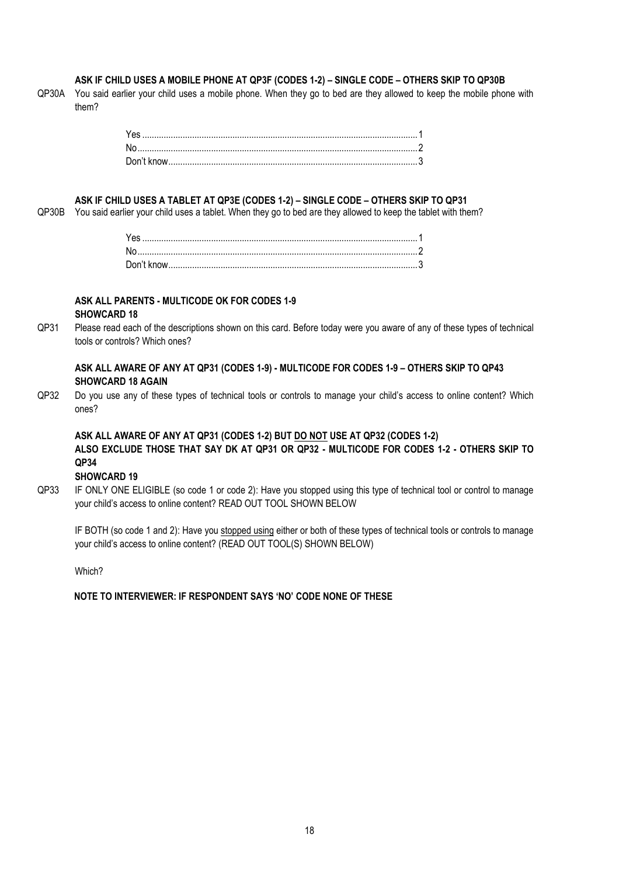#### **ASK IF CHILD USES A MOBILE PHONE AT QP3F (CODES 1-2) – SINGLE CODE – OTHERS SKIP TO QP30B**

QP30A You said earlier your child uses a mobile phone. When they go to bed are they allowed to keep the mobile phone with them?

#### **ASK IF CHILD USES A TABLET AT QP3E (CODES 1-2) – SINGLE CODE – OTHERS SKIP TO QP31**

QP30B You said earlier your child uses a tablet. When they go to bed are they allowed to keep the tablet with them?

#### **ASK ALL PARENTS - MULTICODE OK FOR CODES 1-9 SHOWCARD 18**

QP31 Please read each of the descriptions shown on this card. Before today were you aware of any of these types of technical tools or controls? Which ones?

#### **ASK ALL AWARE OF ANY AT QP31 (CODES 1-9) - MULTICODE FOR CODES 1-9 – OTHERS SKIP TO QP43 SHOWCARD 18 AGAIN**

QP32 Do you use any of these types of technical tools or controls to manage your child's access to online content? Which ones?

## **ASK ALL AWARE OF ANY AT QP31 (CODES 1-2) BUT DO NOT USE AT QP32 (CODES 1-2) ALSO EXCLUDE THOSE THAT SAY DK AT QP31 OR QP32 - MULTICODE FOR CODES 1-2 - OTHERS SKIP TO QP34**

#### **SHOWCARD 19**

QP33 IF ONLY ONE ELIGIBLE (so code 1 or code 2): Have you stopped using this type of technical tool or control to manage your child's access to online content? READ OUT TOOL SHOWN BELOW

IF BOTH (so code 1 and 2): Have you stopped using either or both of these types of technical tools or controls to manage your child's access to online content? (READ OUT TOOL(S) SHOWN BELOW)

Which?

**NOTE TO INTERVIEWER: IF RESPONDENT SAYS 'NO' CODE NONE OF THESE**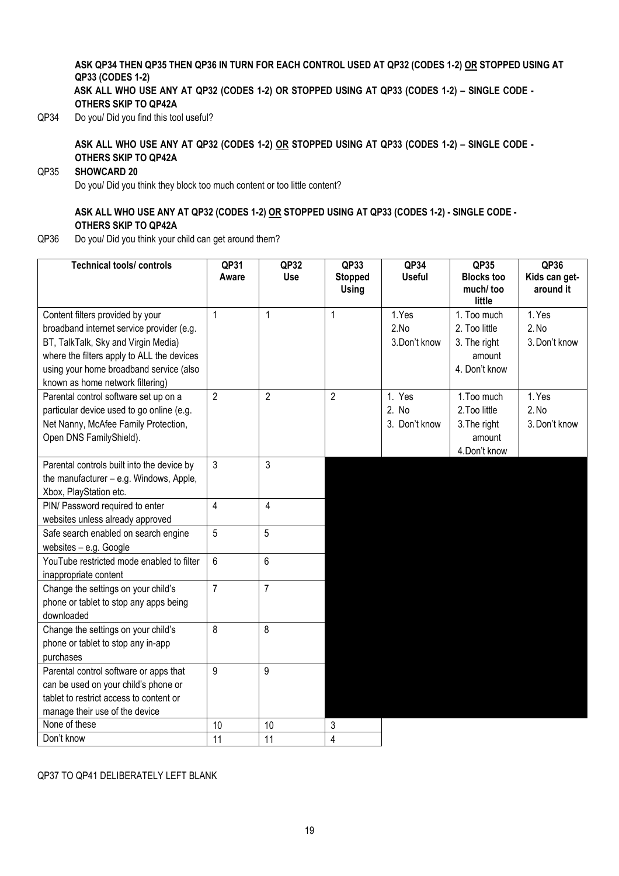## **ASK QP34 THEN QP35 THEN QP36 IN TURN FOR EACH CONTROL USED AT QP32 (CODES 1-2) OR STOPPED USING AT QP33 (CODES 1-2)**

**ASK ALL WHO USE ANY AT QP32 (CODES 1-2) OR STOPPED USING AT QP33 (CODES 1-2) – SINGLE CODE - OTHERS SKIP TO QP42A**

QP34 Do you/ Did you find this tool useful?

**ASK ALL WHO USE ANY AT QP32 (CODES 1-2) OR STOPPED USING AT QP33 (CODES 1-2) – SINGLE CODE - OTHERS SKIP TO QP42A** 

## QP35 **SHOWCARD 20**

Do you/ Did you think they block too much content or too little content?

## **ASK ALL WHO USE ANY AT QP32 (CODES 1-2) OR STOPPED USING AT QP33 (CODES 1-2) - SINGLE CODE - OTHERS SKIP TO QP42A**

QP36 Do you/ Did you think your child can get around them?

| <b>Technical tools/ controls</b>                                               | QP31<br>Aware  | QP32<br><b>Use</b> | QP33<br><b>Stopped</b><br>Using | QP34<br><b>Useful</b> | QP35<br><b>Blocks too</b><br>much/too | QP36<br>Kids can get-<br>around it |
|--------------------------------------------------------------------------------|----------------|--------------------|---------------------------------|-----------------------|---------------------------------------|------------------------------------|
| Content filters provided by your                                               | 1              | $\mathbf{1}$       | $\mathbf{1}$                    | 1.Yes                 | little<br>1. Too much                 | 1. Yes                             |
| broadband internet service provider (e.g.                                      |                |                    |                                 | 2.No                  | 2. Too little                         | 2. No                              |
| BT, TalkTalk, Sky and Virgin Media)                                            |                |                    |                                 | 3.Don't know          | 3. The right                          | 3. Don't know                      |
| where the filters apply to ALL the devices                                     |                |                    |                                 |                       | amount                                |                                    |
| using your home broadband service (also                                        |                |                    |                                 |                       | 4. Don't know                         |                                    |
| known as home network filtering)                                               |                |                    |                                 |                       |                                       |                                    |
| Parental control software set up on a                                          | $\overline{2}$ | $\overline{2}$     | $\overline{2}$                  | 1. Yes                | 1. Too much                           | 1. Yes                             |
| particular device used to go online (e.g.                                      |                |                    |                                 | 2. No                 | 2. Too little                         | 2.No                               |
| Net Nanny, McAfee Family Protection,                                           |                |                    |                                 | 3. Don't know         | 3. The right                          | 3. Don't know                      |
| Open DNS FamilyShield).                                                        |                |                    |                                 |                       | amount                                |                                    |
|                                                                                |                |                    |                                 |                       | 4.Don't know                          |                                    |
| Parental controls built into the device by                                     | 3              | 3                  |                                 |                       |                                       |                                    |
| the manufacturer - e.g. Windows, Apple,                                        |                |                    |                                 |                       |                                       |                                    |
| Xbox, PlayStation etc.                                                         |                |                    |                                 |                       |                                       |                                    |
| PIN/ Password required to enter                                                | 4              | 4                  |                                 |                       |                                       |                                    |
| websites unless already approved                                               |                |                    |                                 |                       |                                       |                                    |
| Safe search enabled on search engine                                           | 5              | 5                  |                                 |                       |                                       |                                    |
| websites - e.g. Google                                                         |                |                    |                                 |                       |                                       |                                    |
| YouTube restricted mode enabled to filter                                      | 6              | 6                  |                                 |                       |                                       |                                    |
| inappropriate content                                                          |                |                    |                                 |                       |                                       |                                    |
| Change the settings on your child's                                            | $\overline{7}$ | $\overline{7}$     |                                 |                       |                                       |                                    |
| phone or tablet to stop any apps being                                         |                |                    |                                 |                       |                                       |                                    |
| downloaded                                                                     |                |                    |                                 |                       |                                       |                                    |
| Change the settings on your child's                                            | 8              | 8                  |                                 |                       |                                       |                                    |
| phone or tablet to stop any in-app<br>purchases                                |                |                    |                                 |                       |                                       |                                    |
|                                                                                | 9              | 9                  |                                 |                       |                                       |                                    |
| Parental control software or apps that<br>can be used on your child's phone or |                |                    |                                 |                       |                                       |                                    |
| tablet to restrict access to content or                                        |                |                    |                                 |                       |                                       |                                    |
| manage their use of the device                                                 |                |                    |                                 |                       |                                       |                                    |
| None of these                                                                  | 10             | 10                 | 3                               |                       |                                       |                                    |
| Don't know                                                                     | 11             | 11                 | 4                               |                       |                                       |                                    |

QP37 TO QP41 DELIBERATELY LEFT BLANK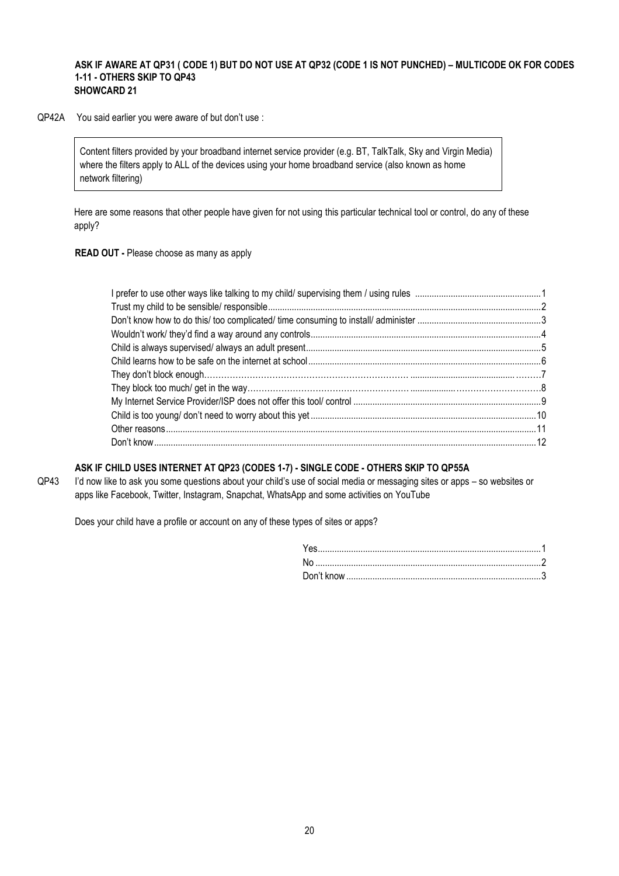#### **ASK IF AWARE AT QP31 ( CODE 1) BUT DO NOT USE AT QP32 (CODE 1 IS NOT PUNCHED) – MULTICODE OK FOR CODES 1-11 - OTHERS SKIP TO QP43 SHOWCARD 21**

QP42A You said earlier you were aware of but don't use :

Content filters provided by your broadband internet service provider (e.g. BT, TalkTalk, Sky and Virgin Media) where the filters apply to ALL of the devices using your home broadband service (also known as home network filtering)

Here are some reasons that other people have given for not using this particular technical tool or control, do any of these apply?

**READ OUT -** Please choose as many as apply

#### **ASK IF CHILD USES INTERNET AT QP23 (CODES 1-7) - SINGLE CODE - OTHERS SKIP TO QP55A**

QP43 I'd now like to ask you some questions about your child's use of social media or messaging sites or apps – so websites or apps like Facebook, Twitter, Instagram, Snapchat, WhatsApp and some activities on YouTube

Does your child have a profile or account on any of these types of sites or apps?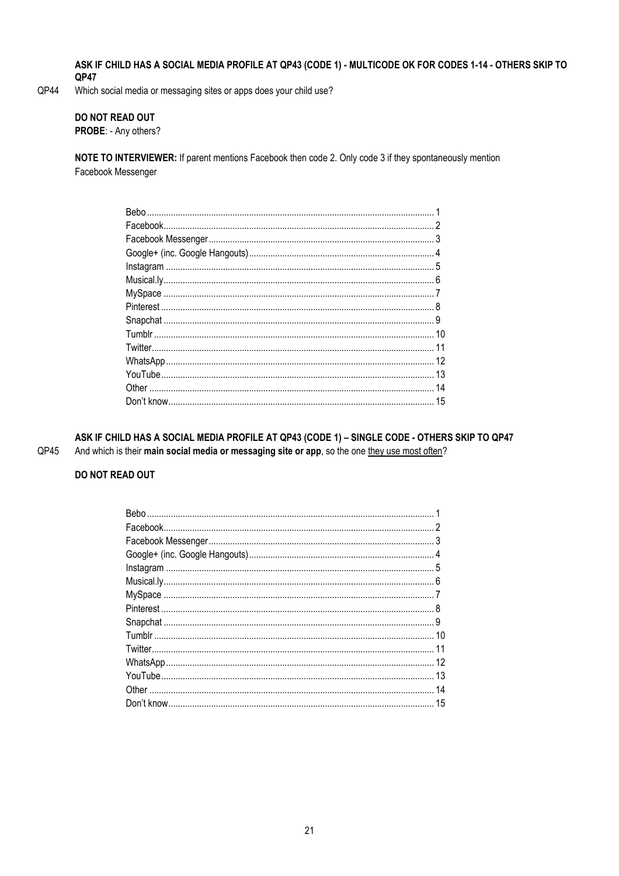ASK IF CHILD HAS A SOCIAL MEDIA PROFILE AT QP43 (CODE 1) - MULTICODE OK FOR CODES 1-14 - OTHERS SKIP TO QP47

QP44 Which social media or messaging sites or apps does your child use?

#### DO NOT READ OUT

PROBE: - Any others?

NOTE TO INTERVIEWER: If parent mentions Facebook then code 2. Only code 3 if they spontaneously mention Facebook Messenger

ASK IF CHILD HAS A SOCIAL MEDIA PROFILE AT QP43 (CODE 1) - SINGLE CODE - OTHERS SKIP TO QP47 QP45 And which is their main social media or messaging site or app, so the one they use most often?

## **DO NOT READ OUT**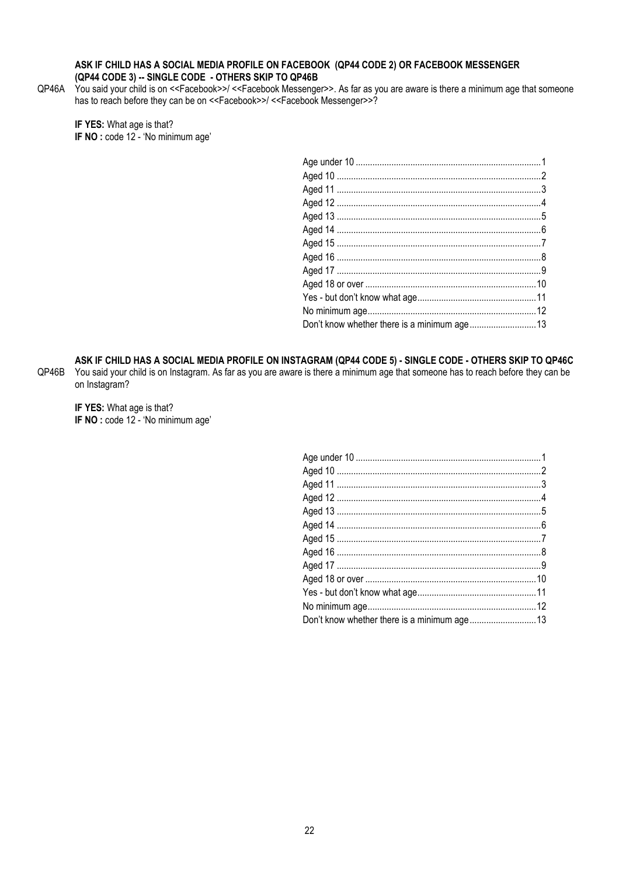#### ASK IF CHILD HAS A SOCIAL MEDIA PROFILE ON FACEBOOK (QP44 CODE 2) OR FACEBOOK MESSENGER (QP44 CODE 3) -- SINGLE CODE - OTHERS SKIP TO QP46B

QP46A You said your child is on <<Facebook>>/<<Facebook Messenger>>. As far as you are aware is there a minimum age that someone has to reach before they can be on <<Facebook>>/ <<Facebook Messenger>>?

IF YES: What age is that? IF NO : code 12 - 'No minimum age'

ASK IF CHILD HAS A SOCIAL MEDIA PROFILE ON INSTAGRAM (QP44 CODE 5) - SINGLE CODE - OTHERS SKIP TO QP46C QP46B You said your child is on Instagram. As far as you are aware is there a minimum age that someone has to reach before they can be on Instagram?

IF YES: What age is that? IF NO : code 12 - 'No minimum age'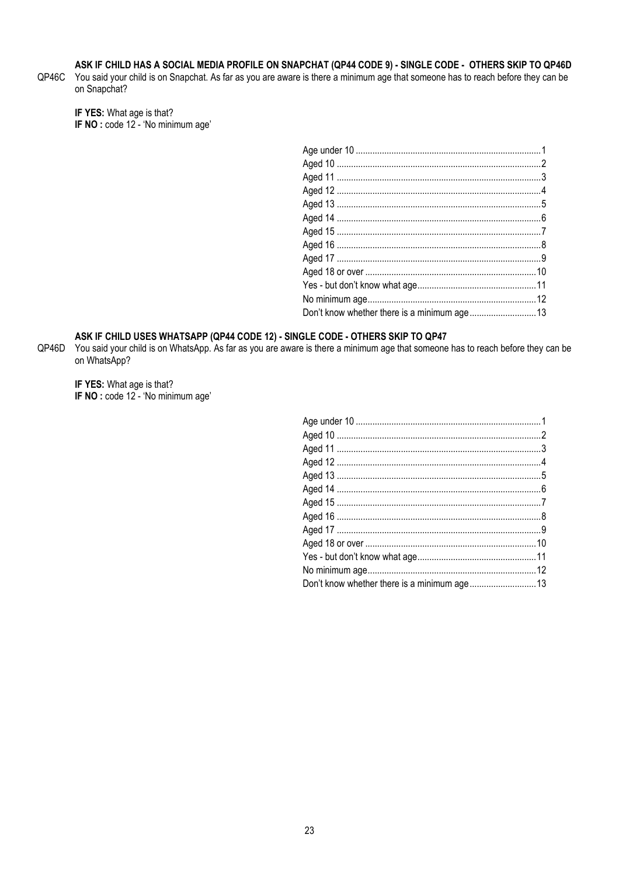## ASK IF CHILD HAS A SOCIAL MEDIA PROFILE ON SNAPCHAT (QP44 CODE 9) - SINGLE CODE - OTHERS SKIP TO QP46D

QP46C You said your child is on Snapchat. As far as you are aware is there a minimum age that someone has to reach before they can be on Snapchat?

IF YES: What age is that? IF NO : code 12 - 'No minimum age'

## ASK IF CHILD USES WHATSAPP (QP44 CODE 12) - SINGLE CODE - OTHERS SKIP TO QP47

QP46D You said your child is on WhatsApp. As far as you are aware is there a minimum age that someone has to reach before they can be on WhatsApp?

IF YES: What age is that? IF NO : code 12 - 'No minimum age'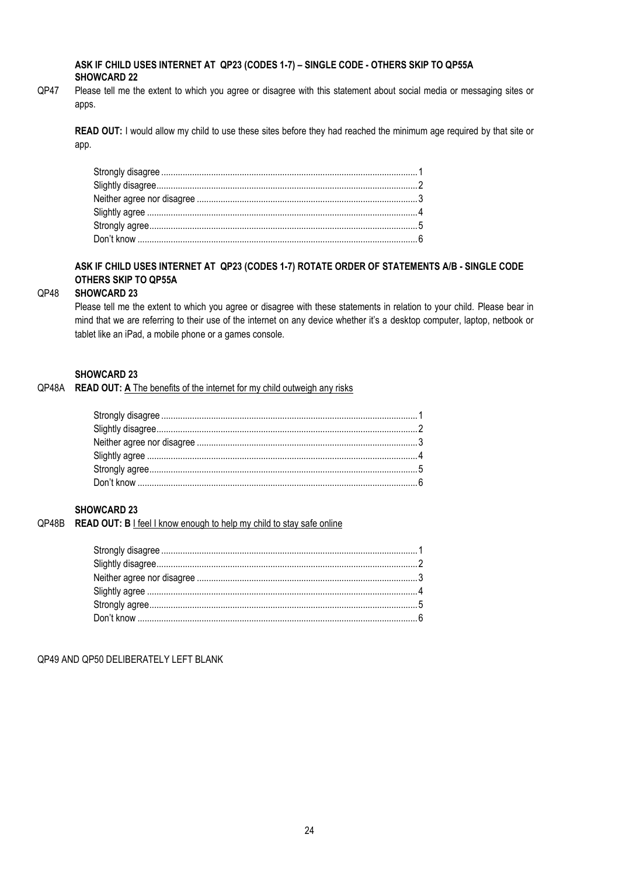#### **ASK IF CHILD USES INTERNET AT QP23 (CODES 1-7) – SINGLE CODE - OTHERS SKIP TO QP55A SHOWCARD 22**

QP47 Please tell me the extent to which you agree or disagree with this statement about social media or messaging sites or apps.

**READ OUT:** I would allow my child to use these sites before they had reached the minimum age required by that site or app.

#### **ASK IF CHILD USES INTERNET AT QP23 (CODES 1-7) ROTATE ORDER OF STATEMENTS A/B - SINGLE CODE OTHERS SKIP TO QP55A**

#### QP48 **SHOWCARD 23**

Please tell me the extent to which you agree or disagree with these statements in relation to your child. Please bear in mind that we are referring to their use of the internet on any device whether it's a desktop computer, laptop, netbook or tablet like an iPad, a mobile phone or a games console.

#### **SHOWCARD 23**

QP48A **READ OUT: A** The benefits of the internet for my child outweigh any risks

## **SHOWCARD 23**

QP48B **READ OUT: B** I feel I know enough to help my child to stay safe online

QP49 AND QP50 DELIBERATELY LEFT BLANK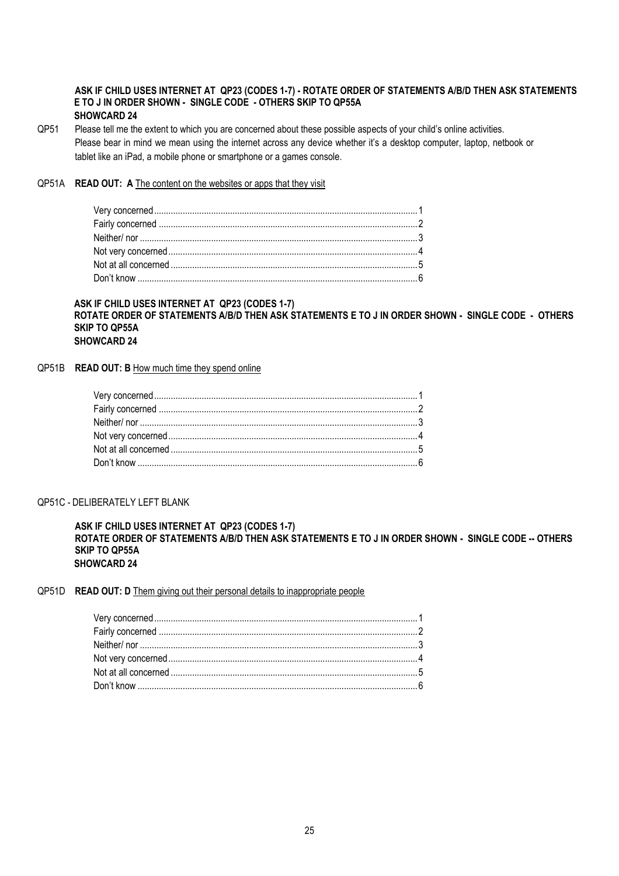#### **ASK IF CHILD USES INTERNET AT QP23 (CODES 1-7) - ROTATE ORDER OF STATEMENTS A/B/D THEN ASK STATEMENTS E TO J IN ORDER SHOWN - SINGLE CODE - OTHERS SKIP TO QP55A SHOWCARD 24**

QP51 Please tell me the extent to which you are concerned about these possible aspects of your child's online activities. Please bear in mind we mean using the internet across any device whether it's a desktop computer, laptop, netbook or tablet like an iPad, a mobile phone or smartphone or a games console.

#### QP51A **READ OUT: A** The content on the websites or apps that they visit

#### **ASK IF CHILD USES INTERNET AT QP23 (CODES 1-7) ROTATE ORDER OF STATEMENTS A/B/D THEN ASK STATEMENTS E TO J IN ORDER SHOWN - SINGLE CODE - OTHERS SKIP TO QP55A SHOWCARD 24**

#### QP51B **READ OUT: B** How much time they spend online

#### QP51C - DELIBERATELY LEFT BLANK

**ASK IF CHILD USES INTERNET AT QP23 (CODES 1-7) ROTATE ORDER OF STATEMENTS A/B/D THEN ASK STATEMENTS E TO J IN ORDER SHOWN - SINGLE CODE -- OTHERS SKIP TO QP55A SHOWCARD 24**

#### QP51D **READ OUT: D** Them giving out their personal details to inappropriate people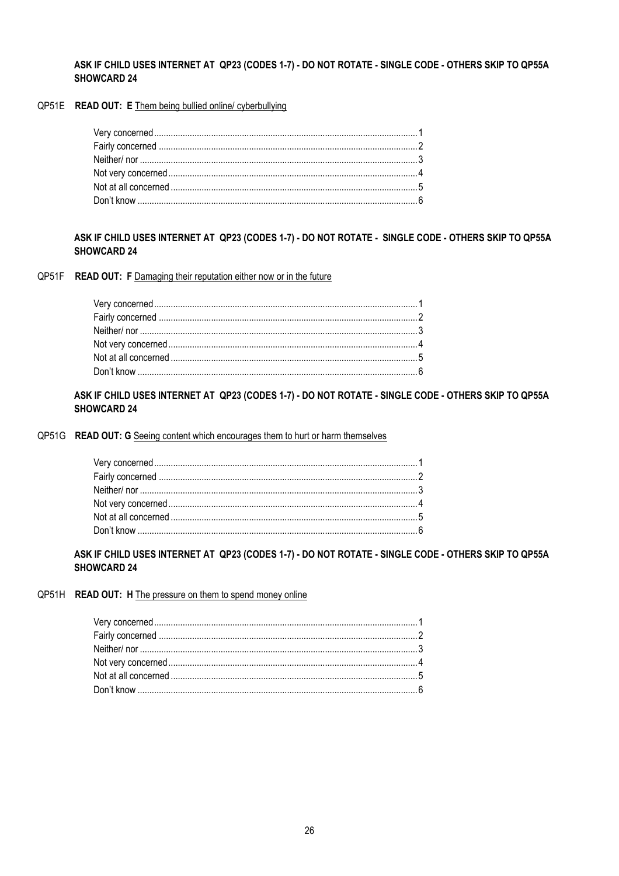#### ASK IF CHILD USES INTERNET AT QP23 (CODES 1-7) - DO NOT ROTATE - SINGLE CODE - OTHERS SKIP TO QP55A **SHOWCARD 24**

QP51E READ OUT: E Them being bullied online/ cyberbullying

## ASK IF CHILD USES INTERNET AT QP23 (CODES 1-7) - DO NOT ROTATE - SINGLE CODE - OTHERS SKIP TO QP55A **SHOWCARD 24**

QP51F READ OUT: F Damaging their reputation either now or in the future

## ASK IF CHILD USES INTERNET AT QP23 (CODES 1-7) - DO NOT ROTATE - SINGLE CODE - OTHERS SKIP TO QP55A **SHOWCARD 24**

QP51G READ OUT: G Seeing content which encourages them to hurt or harm themselves

## ASK IF CHILD USES INTERNET AT QP23 (CODES 1-7) - DO NOT ROTATE - SINGLE CODE - OTHERS SKIP TO QP55A **SHOWCARD 24**

#### QP51H READ OUT: H The pressure on them to spend money online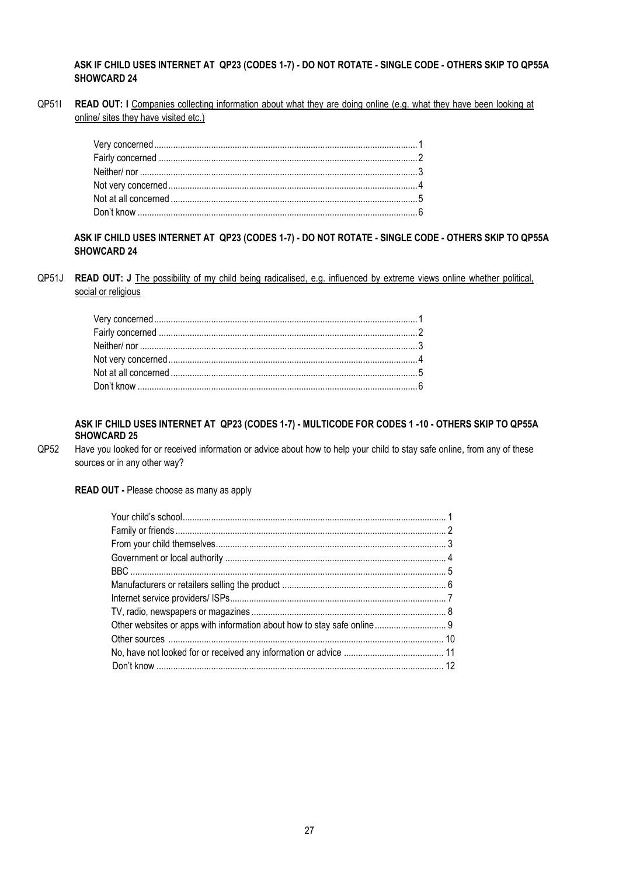#### **ASK IF CHILD USES INTERNET AT QP23 (CODES 1-7) - DO NOT ROTATE - SINGLE CODE - OTHERS SKIP TO QP55A SHOWCARD 24**

QP51I **READ OUT: I** Companies collecting information about what they are doing online (e.g. what they have been looking at online/ sites they have visited etc.)

## **ASK IF CHILD USES INTERNET AT QP23 (CODES 1-7) - DO NOT ROTATE - SINGLE CODE - OTHERS SKIP TO QP55A SHOWCARD 24**

QP51J **READ OUT: J** The possibility of my child being radicalised, e.g. influenced by extreme views online whether political, social or religious

#### **ASK IF CHILD USES INTERNET AT QP23 (CODES 1-7) - MULTICODE FOR CODES 1 -10 - OTHERS SKIP TO QP55A SHOWCARD 25**

QP52 Have you looked for or received information or advice about how to help your child to stay safe online, from any of these sources or in any other way?

#### **READ OUT -** Please choose as many as apply

| Other websites or apps with information about how to stay safe online 9 |  |
|-------------------------------------------------------------------------|--|
|                                                                         |  |
|                                                                         |  |
|                                                                         |  |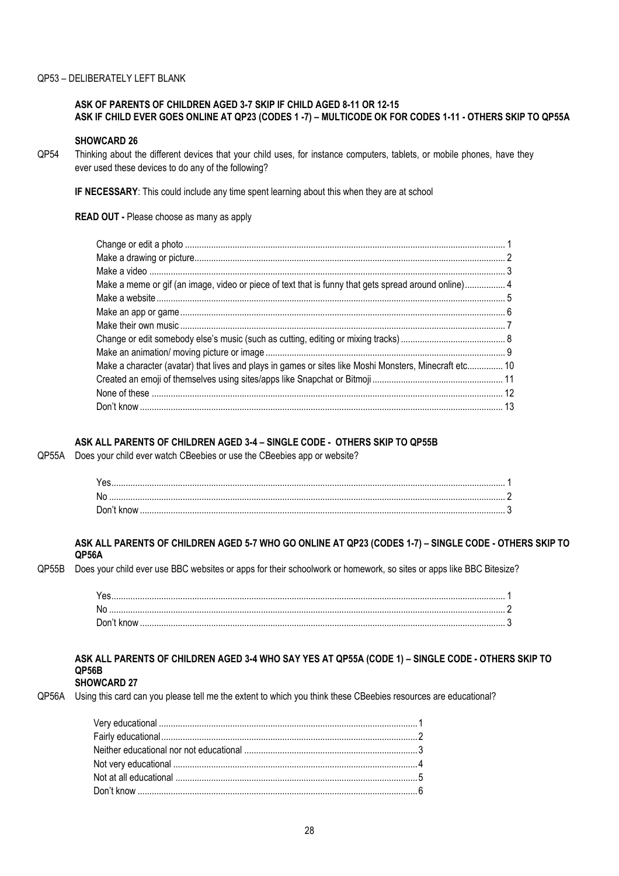## QP53 – DELIBERATELY LEFT BLANK

#### **ASK OF PARENTS OF CHILDREN AGED 3-7 SKIP IF CHILD AGED 8-11 OR 12-15 ASK IF CHILD EVER GOES ONLINE AT QP23 (CODES 1 -7) – MULTICODE OK FOR CODES 1-11 - OTHERS SKIP TO QP55A**

#### **SHOWCARD 26**

QP54 Thinking about the different devices that your child uses, for instance computers, tablets, or mobile phones, have they ever used these devices to do any of the following?

**IF NECESSARY**: This could include any time spent learning about this when they are at school

**READ OUT -** Please choose as many as apply

| Make a meme or gif (an image, video or piece of text that is funny that gets spread around online)4    |  |
|--------------------------------------------------------------------------------------------------------|--|
|                                                                                                        |  |
|                                                                                                        |  |
|                                                                                                        |  |
|                                                                                                        |  |
|                                                                                                        |  |
| Make a character (avatar) that lives and plays in games or sites like Moshi Monsters, Minecraft etc 10 |  |
|                                                                                                        |  |
|                                                                                                        |  |
|                                                                                                        |  |
|                                                                                                        |  |

## **ASK ALL PARENTS OF CHILDREN AGED 3-4 – SINGLE CODE - OTHERS SKIP TO QP55B**

QP55A Does your child ever watch CBeebies or use the CBeebies app or website?

| No. |  |
|-----|--|
|     |  |

#### **ASK ALL PARENTS OF CHILDREN AGED 5-7 WHO GO ONLINE AT QP23 (CODES 1-7) – SINGLE CODE - OTHERS SKIP TO QP56A**

QP55B Does your child ever use BBC websites or apps for their schoolwork or homework, so sites or apps like BBC Bitesize?

| N <sub>0</sub> |  |
|----------------|--|
|                |  |

## **ASK ALL PARENTS OF CHILDREN AGED 3-4 WHO SAY YES AT QP55A (CODE 1) – SINGLE CODE - OTHERS SKIP TO QP56B**

## **SHOWCARD 27**

QP56A Using this card can you please tell me the extent to which you think these CBeebies resources are educational?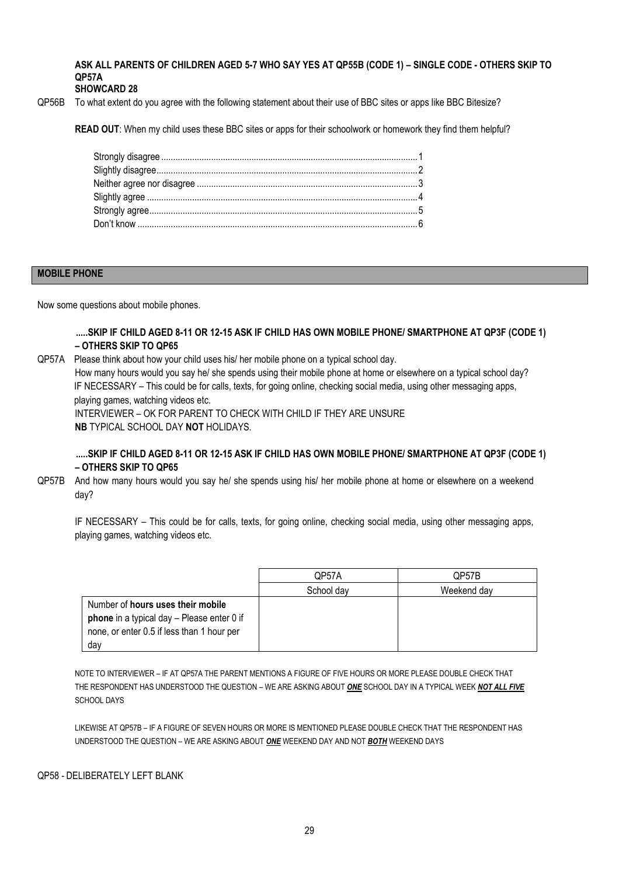**ASK ALL PARENTS OF CHILDREN AGED 5-7 WHO SAY YES AT QP55B (CODE 1) – SINGLE CODE - OTHERS SKIP TO QP57A**

## **SHOWCARD 28**

QP56B To what extent do you agree with the following statement about their use of BBC sites or apps like BBC Bitesize?

**READ OUT**: When my child uses these BBC sites or apps for their schoolwork or homework they find them helpful?

#### **MOBILE PHONE**

Now some questions about mobile phones.

**.....SKIP IF CHILD AGED 8-11 OR 12-15 ASK IF CHILD HAS OWN MOBILE PHONE/ SMARTPHONE AT QP3F (CODE 1) – OTHERS SKIP TO QP65**

QP57A Please think about how your child uses his/ her mobile phone on a typical school day. How many hours would you say he/ she spends using their mobile phone at home or elsewhere on a typical school day? IF NECESSARY – This could be for calls, texts, for going online, checking social media, using other messaging apps, playing games, watching videos etc. INTERVIEWER – OK FOR PARENT TO CHECK WITH CHILD IF THEY ARE UNSURE **NB** TYPICAL SCHOOL DAY **NOT** HOLIDAYS.

## **.....SKIP IF CHILD AGED 8-11 OR 12-15 ASK IF CHILD HAS OWN MOBILE PHONE/ SMARTPHONE AT QP3F (CODE 1) – OTHERS SKIP TO QP65**

QP57B And how many hours would you say he/ she spends using his/ her mobile phone at home or elsewhere on a weekend day?

 IF NECESSARY – This could be for calls, texts, for going online, checking social media, using other messaging apps, playing games, watching videos etc.

|                                            | QP57A      | QP57B       |
|--------------------------------------------|------------|-------------|
|                                            |            |             |
|                                            | School day | Weekend day |
| Number of hours uses their mobile          |            |             |
| phone in a typical day - Please enter 0 if |            |             |
| none, or enter 0.5 if less than 1 hour per |            |             |
| day                                        |            |             |

NOTE TO INTERVIEWER – IF AT QP57A THE PARENT MENTIONS A FIGURE OF FIVE HOURS OR MORE PLEASE DOUBLE CHECK THAT THE RESPONDENT HAS UNDERSTOOD THE QUESTION – WE ARE ASKING ABOUT *ONE* SCHOOL DAY IN A TYPICAL WEEK *NOT ALL FIVE* SCHOOL DAYS

LIKEWISE AT QP57B – IF A FIGURE OF SEVEN HOURS OR MORE IS MENTIONED PLEASE DOUBLE CHECK THAT THE RESPONDENT HAS UNDERSTOOD THE QUESTION – WE ARE ASKING ABOUT *ONE* WEEKEND DAY AND NOT *BOTH* WEEKEND DAYS

#### QP58 - DELIBERATELY LEFT BLANK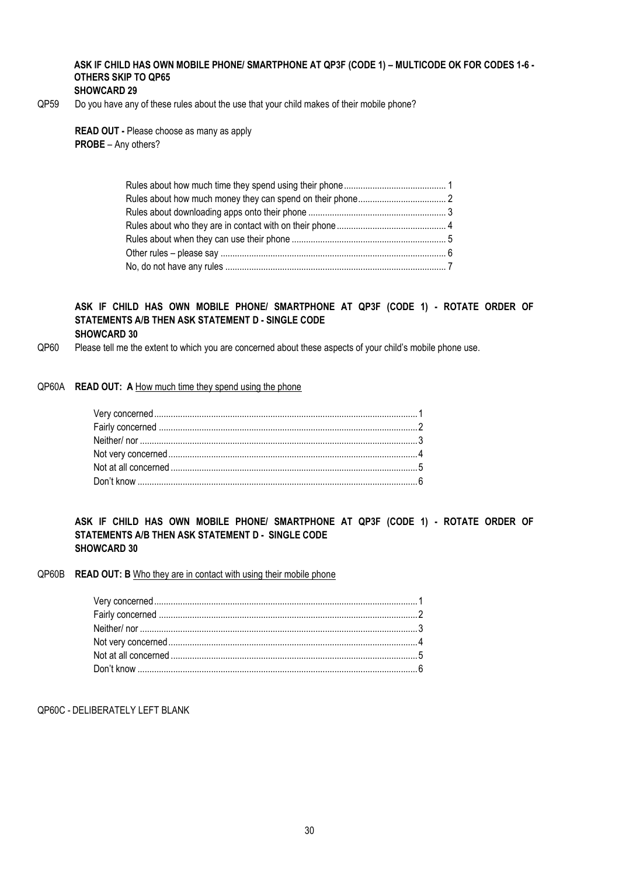## **ASK IF CHILD HAS OWN MOBILE PHONE/ SMARTPHONE AT QP3F (CODE 1) – MULTICODE OK FOR CODES 1-6 - OTHERS SKIP TO QP65**

#### **SHOWCARD 29**

QP59 Do you have any of these rules about the use that your child makes of their mobile phone?

**READ OUT -** Please choose as many as apply **PROBE** – Any others?

#### **ASK IF CHILD HAS OWN MOBILE PHONE/ SMARTPHONE AT QP3F (CODE 1) - ROTATE ORDER OF STATEMENTS A/B THEN ASK STATEMENT D - SINGLE CODE SHOWCARD 30**

QP60 Please tell me the extent to which you are concerned about these aspects of your child's mobile phone use.

#### QP60A **READ OUT: A** How much time they spend using the phone

#### **ASK IF CHILD HAS OWN MOBILE PHONE/ SMARTPHONE AT QP3F (CODE 1) - ROTATE ORDER OF STATEMENTS A/B THEN ASK STATEMENT D - SINGLE CODE SHOWCARD 30**

#### QP60B **READ OUT: B** Who they are in contact with using their mobile phone

QP60C - DELIBERATELY LEFT BLANK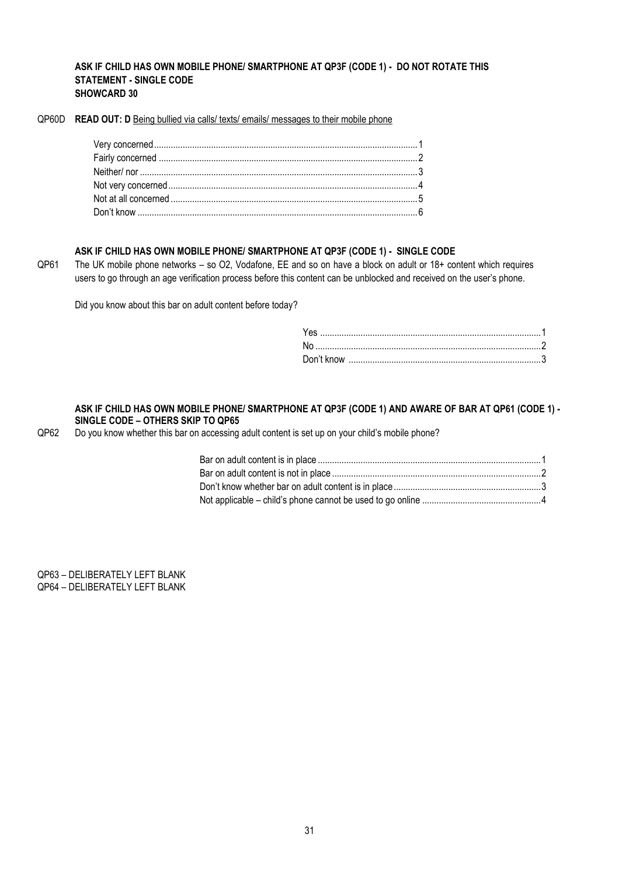#### **ASK IF CHILD HAS OWN MOBILE PHONE/ SMARTPHONE AT QP3F (CODE 1) - DO NOT ROTATE THIS STATEMENT - SINGLE CODE SHOWCARD 30**

QP60D **READ OUT: D** Being bullied via calls/ texts/ emails/ messages to their mobile phone

#### **ASK IF CHILD HAS OWN MOBILE PHONE/ SMARTPHONE AT QP3F (CODE 1) - SINGLE CODE**

QP61 The UK mobile phone networks – so O2, Vodafone, EE and so on have a block on adult or 18+ content which requires users to go through an age verification process before this content can be unblocked and received on the user's phone.

Did you know about this bar on adult content before today?

#### **ASK IF CHILD HAS OWN MOBILE PHONE/ SMARTPHONE AT QP3F (CODE 1) AND AWARE OF BAR AT QP61 (CODE 1) - SINGLE CODE – OTHERS SKIP TO QP65**

QP62 Do you know whether this bar on accessing adult content is set up on your child's mobile phone?

QP63 – DELIBERATELY LEFT BLANK QP64 – DELIBERATELY LEFT BLANK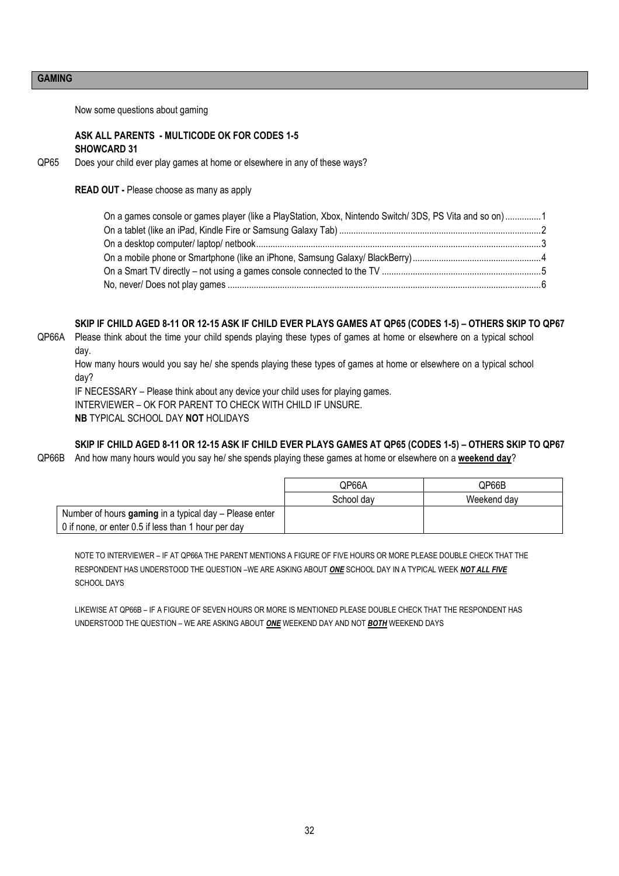## **GAMING**

Now some questions about gaming

#### **ASK ALL PARENTS - MULTICODE OK FOR CODES 1-5 SHOWCARD 31**

QP65 Does your child ever play games at home or elsewhere in any of these ways?

**READ OUT -** Please choose as many as apply

| On a games console or games player (like a PlayStation, Xbox, Nintendo Switch/3DS, PS Vita and so on)1 |  |
|--------------------------------------------------------------------------------------------------------|--|
|                                                                                                        |  |
|                                                                                                        |  |
|                                                                                                        |  |
|                                                                                                        |  |
|                                                                                                        |  |

#### **SKIP IF CHILD AGED 8-11 OR 12-15 ASK IF CHILD EVER PLAYS GAMES AT QP65 (CODES 1-5) – OTHERS SKIP TO QP67**

QP66A Please think about the time your child spends playing these types of games at home or elsewhere on a typical school day.

How many hours would you say he/ she spends playing these types of games at home or elsewhere on a typical school day?

IF NECESSARY – Please think about any device your child uses for playing games.

INTERVIEWER – OK FOR PARENT TO CHECK WITH CHILD IF UNSURE.

**NB** TYPICAL SCHOOL DAY **NOT** HOLIDAYS

**SKIP IF CHILD AGED 8-11 OR 12-15 ASK IF CHILD EVER PLAYS GAMES AT QP65 (CODES 1-5) – OTHERS SKIP TO QP67**

QP66B And how many hours would you say he/ she spends playing these games at home or elsewhere on a **weekend day**?

|                                                        | QP66A      | QP66B       |
|--------------------------------------------------------|------------|-------------|
|                                                        | School dav | Weekend dav |
| Number of hours gaming in a typical day - Please enter |            |             |
| 0 if none, or enter 0.5 if less than 1 hour per day    |            |             |

NOTE TO INTERVIEWER – IF AT QP66A THE PARENT MENTIONS A FIGURE OF FIVE HOURS OR MORE PLEASE DOUBLE CHECK THAT THE RESPONDENT HAS UNDERSTOOD THE QUESTION –WE ARE ASKING ABOUT *ONE* SCHOOL DAY IN A TYPICAL WEEK *NOT ALL FIVE* SCHOOL DAYS

LIKEWISE AT QP66B – IF A FIGURE OF SEVEN HOURS OR MORE IS MENTIONED PLEASE DOUBLE CHECK THAT THE RESPONDENT HAS UNDERSTOOD THE QUESTION – WE ARE ASKING ABOUT *ONE* WEEKEND DAY AND NOT *BOTH* WEEKEND DAYS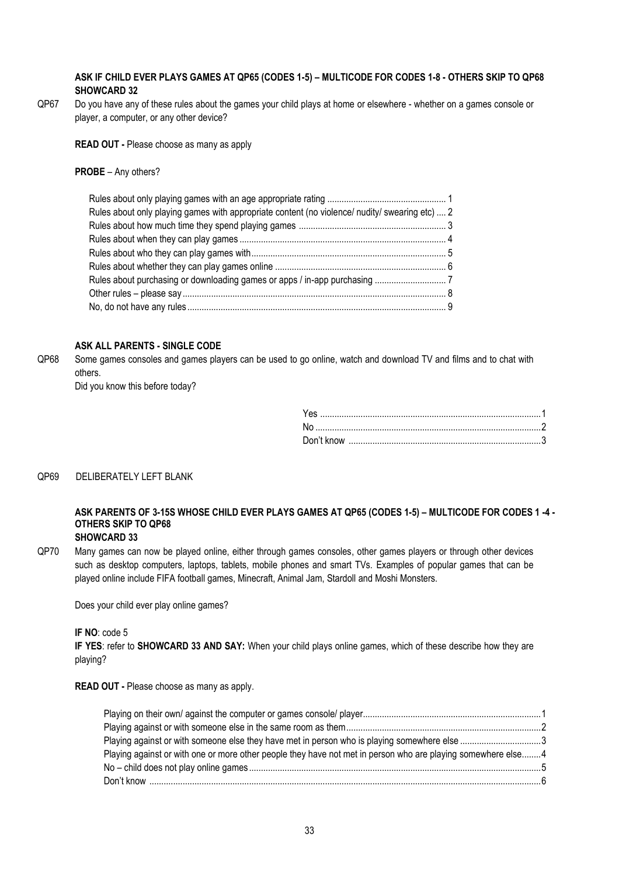#### **ASK IF CHILD EVER PLAYS GAMES AT QP65 (CODES 1-5) – MULTICODE FOR CODES 1-8 - OTHERS SKIP TO QP68 SHOWCARD 32**

QP67 Do you have any of these rules about the games your child plays at home or elsewhere - whether on a games console or player, a computer, or any other device?

**READ OUT -** Please choose as many as apply

#### **PROBE** – Any others?

| Rules about only playing games with appropriate content (no violence/ nudity/ swearing etc)  2 |  |
|------------------------------------------------------------------------------------------------|--|
|                                                                                                |  |
|                                                                                                |  |
|                                                                                                |  |
|                                                                                                |  |
|                                                                                                |  |
|                                                                                                |  |
|                                                                                                |  |
|                                                                                                |  |

## **ASK ALL PARENTS - SINGLE CODE**

QP68 Some games consoles and games players can be used to go online, watch and download TV and films and to chat with others.

Did you know this before today?

#### QP69 DELIBERATELY LEFT BLANK

#### **ASK PARENTS OF 3-15S WHOSE CHILD EVER PLAYS GAMES AT QP65 (CODES 1-5) – MULTICODE FOR CODES 1 -4 - OTHERS SKIP TO QP68 SHOWCARD 33**

QP70 Many games can now be played online, either through games consoles, other games players or through other devices such as desktop computers, laptops, tablets, mobile phones and smart TVs. Examples of popular games that can be played online include FIFA football games, Minecraft, Animal Jam, Stardoll and Moshi Monsters.

Does your child ever play online games?

**IF NO**: code 5

**IF YES**: refer to **SHOWCARD 33 AND SAY:** When your child plays online games, which of these describe how they are playing?

**READ OUT -** Please choose as many as apply.

| Playing against or with someone else they have met in person who is playing somewhere else 3                 |  |
|--------------------------------------------------------------------------------------------------------------|--|
| Playing against or with one or more other people they have not met in person who are playing somewhere else4 |  |
|                                                                                                              |  |
|                                                                                                              |  |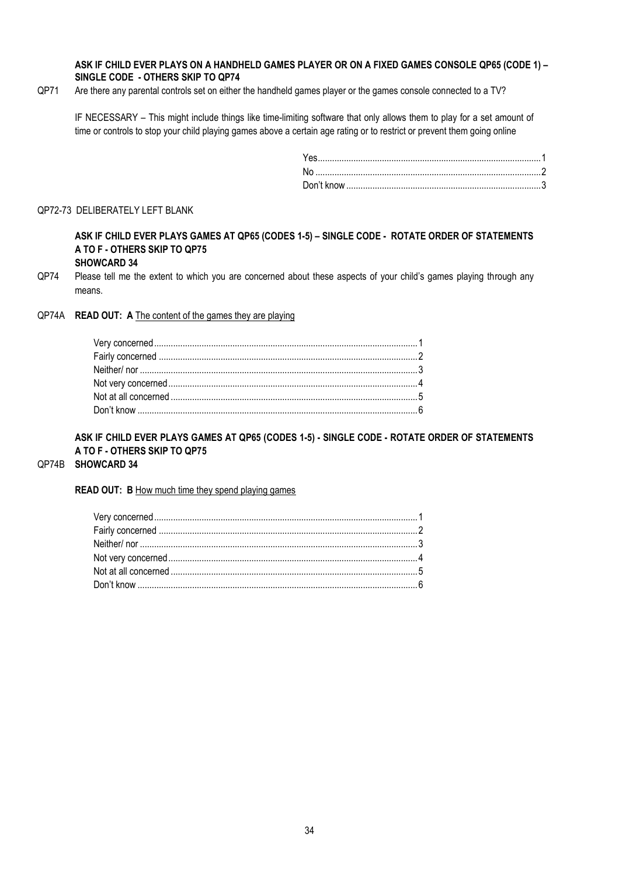#### **ASK IF CHILD EVER PLAYS ON A HANDHELD GAMES PLAYER OR ON A FIXED GAMES CONSOLE QP65 (CODE 1) – SINGLE CODE - OTHERS SKIP TO QP74**

QP71 Are there any parental controls set on either the handheld games player or the games console connected to a TV?

IF NECESSARY – This might include things like time-limiting software that only allows them to play for a set amount of time or controls to stop your child playing games above a certain age rating or to restrict or prevent them going online

#### QP72-73 DELIBERATELY LEFT BLANK

**ASK IF CHILD EVER PLAYS GAMES AT QP65 (CODES 1-5) – SINGLE CODE - ROTATE ORDER OF STATEMENTS A TO F - OTHERS SKIP TO QP75 SHOWCARD 34**

QP74 Please tell me the extent to which you are concerned about these aspects of your child's games playing through any means.

#### QP74A **READ OUT: A** The content of the games they are playing

**ASK IF CHILD EVER PLAYS GAMES AT QP65 (CODES 1-5) - SINGLE CODE - ROTATE ORDER OF STATEMENTS A TO F - OTHERS SKIP TO QP75**

#### QP74B **SHOWCARD 34**

#### **READ OUT: B** How much time they spend playing games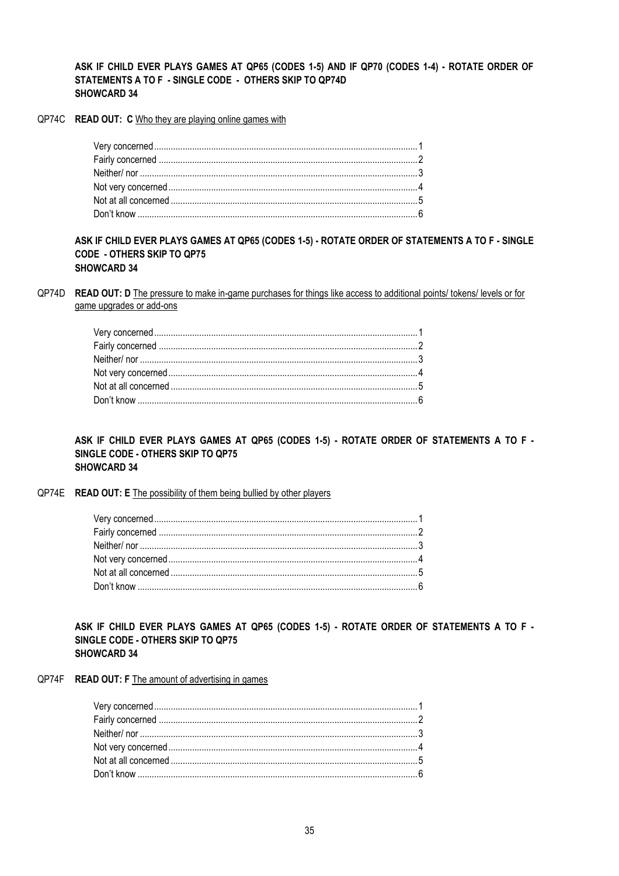#### ASK IF CHILD EVER PLAYS GAMES AT QP65 (CODES 1-5) AND IF QP70 (CODES 1-4) - ROTATE ORDER OF STATEMENTS A TO F - SINGLE CODE - OTHERS SKIP TO QP74D **SHOWCARD 34**

QP74C READ OUT: C Who they are playing online games with

ASK IF CHILD EVER PLAYS GAMES AT QP65 (CODES 1-5) - ROTATE ORDER OF STATEMENTS A TO F - SINGLE **CODE - OTHERS SKIP TO QP75 SHOWCARD 34** 

QP74D READ OUT: D The pressure to make in-game purchases for things like access to additional points/ tokens/ levels or for game upgrades or add-ons

ASK IF CHILD EVER PLAYS GAMES AT QP65 (CODES 1-5) - ROTATE ORDER OF STATEMENTS A TO F -SINGLE CODE - OTHERS SKIP TO QP75 **SHOWCARD 34** 

#### QP74E READ OUT: E The possibility of them being bullied by other players

ASK IF CHILD EVER PLAYS GAMES AT QP65 (CODES 1-5) - ROTATE ORDER OF STATEMENTS A TO F -SINGLE CODE - OTHERS SKIP TO QP75 **SHOWCARD 34** 

QP74F READ OUT: F The amount of advertising in games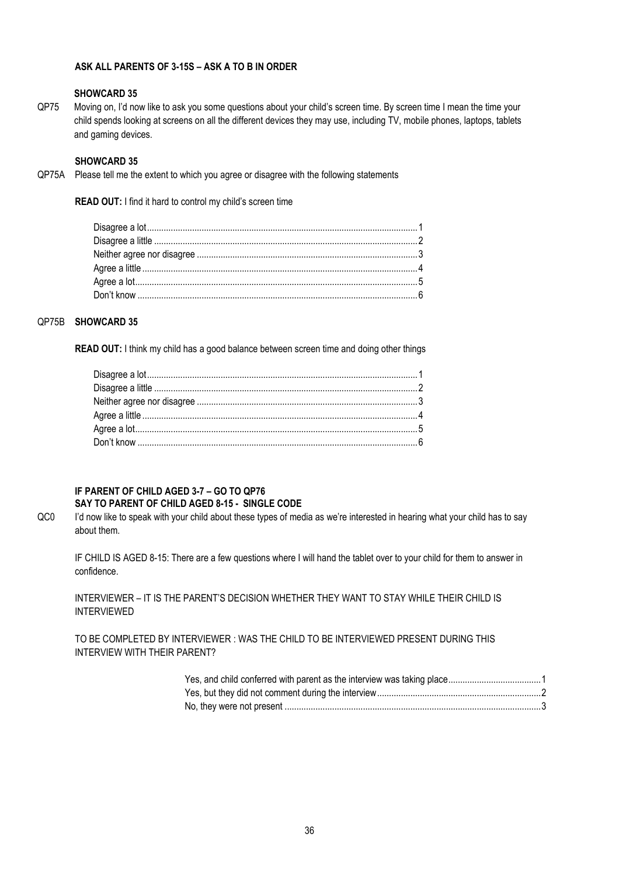## **ASK ALL PARENTS OF 3-15S – ASK A TO B IN ORDER**

#### **SHOWCARD 35**

QP75 Moving on, I'd now like to ask you some questions about your child's screen time. By screen time I mean the time your child spends looking at screens on all the different devices they may use, including TV, mobile phones, laptops, tablets and gaming devices.

#### **SHOWCARD 35**

QP75A Please tell me the extent to which you agree or disagree with the following statements

**READ OUT:** I find it hard to control my child's screen time

#### QP75B **SHOWCARD 35**

**READ OUT:** I think my child has a good balance between screen time and doing other things

#### **IF PARENT OF CHILD AGED 3-7 – GO TO QP76 SAY TO PARENT OF CHILD AGED 8-15 - SINGLE CODE**

QC0 I'd now like to speak with your child about these types of media as we're interested in hearing what your child has to say about them.

IF CHILD IS AGED 8-15: There are a few questions where I will hand the tablet over to your child for them to answer in confidence.

INTERVIEWER – IT IS THE PARENT'S DECISION WHETHER THEY WANT TO STAY WHILE THEIR CHILD IS INTERVIEWED

TO BE COMPLETED BY INTERVIEWER : WAS THE CHILD TO BE INTERVIEWED PRESENT DURING THIS INTERVIEW WITH THEIR PARENT?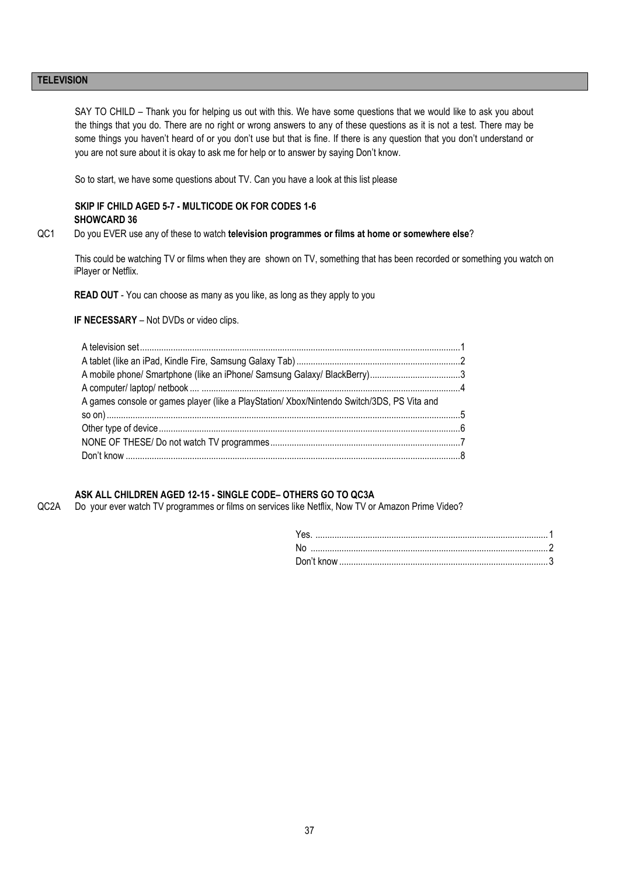#### **TELEVISION**

SAY TO CHILD – Thank you for helping us out with this. We have some questions that we would like to ask you about the things that you do. There are no right or wrong answers to any of these questions as it is not a test. There may be some things you haven't heard of or you don't use but that is fine. If there is any question that you don't understand or you are not sure about it is okay to ask me for help or to answer by saying Don't know.

So to start, we have some questions about TV. Can you have a look at this list please

#### **SKIP IF CHILD AGED 5-7 - MULTICODE OK FOR CODES 1-6 SHOWCARD 36**

QC1 Do you EVER use any of these to watch **television programmes or films at home or somewhere else**?

This could be watching TV or films when they are shown on TV, something that has been recorded or something you watch on iPlayer or Netflix.

**READ OUT** - You can choose as many as you like, as long as they apply to you

**IF NECESSARY** – Not DVDs or video clips.

#### **ASK ALL CHILDREN AGED 12-15 - SINGLE CODE– OTHERS GO TO QC3A**

QC2A Do your ever watch TV programmes or films on services like Netflix, Now TV or Amazon Prime Video?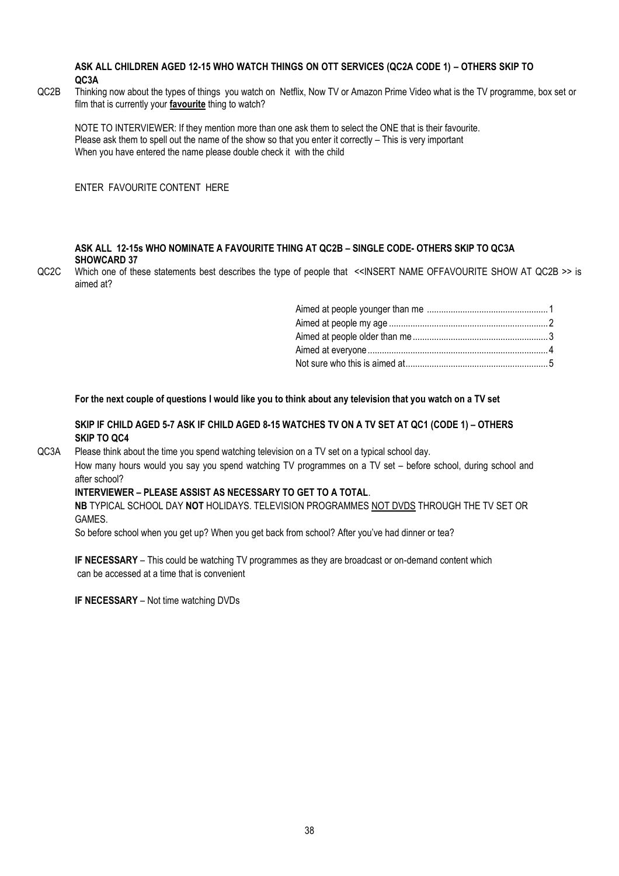#### **ASK ALL CHILDREN AGED 12-15 WHO WATCH THINGS ON OTT SERVICES (QC2A CODE 1) – OTHERS SKIP TO QC3A**

QC2B Thinking now about the types of things you watch on Netflix, Now TV or Amazon Prime Video what is the TV programme, box set or film that is currently your **favourite** thing to watch?

NOTE TO INTERVIEWER: If they mention more than one ask them to select the ONE that is their favourite. Please ask them to spell out the name of the show so that you enter it correctly – This is very important When you have entered the name please double check it with the child

ENTER FAVOURITE CONTENT HERE

#### **ASK ALL 12-15s WHO NOMINATE A FAVOURITE THING AT QC2B – SINGLE CODE- OTHERS SKIP TO QC3A SHOWCARD 37**

QC2C Which one of these statements best describes the type of people that <<INSERT NAME OFFAVOURITE SHOW AT QC2B >> is aimed at?

**For the next couple of questions I would like you to think about any television that you watch on a TV set**

#### **SKIP IF CHILD AGED 5-7 ASK IF CHILD AGED 8-15 WATCHES TV ON A TV SET AT QC1 (CODE 1) – OTHERS SKIP TO QC4**

QC3A Please think about the time you spend watching television on a TV set on a typical school day.

How many hours would you say you spend watching TV programmes on a TV set – before school, during school and after school?

#### **INTERVIEWER – PLEASE ASSIST AS NECESSARY TO GET TO A TOTAL**.

**NB** TYPICAL SCHOOL DAY **NOT** HOLIDAYS. TELEVISION PROGRAMMES NOT DVDS THROUGH THE TV SET OR GAMES.

So before school when you get up? When you get back from school? After you've had dinner or tea?

**IF NECESSARY** – This could be watching TV programmes as they are broadcast or on-demand content which can be accessed at a time that is convenient

**IF NECESSARY** – Not time watching DVDs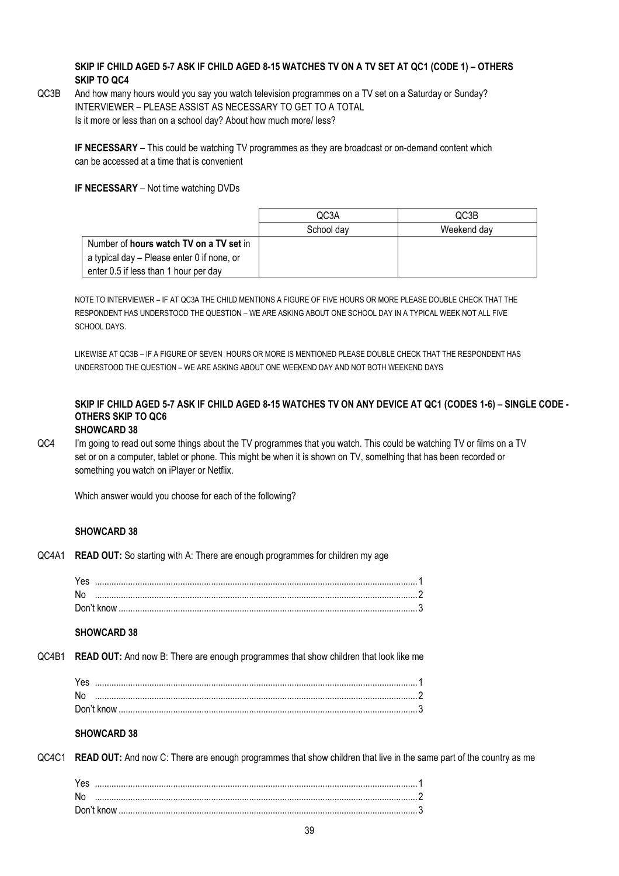## **SKIP IF CHILD AGED 5-7 ASK IF CHILD AGED 8-15 WATCHES TV ON A TV SET AT QC1 (CODE 1) – OTHERS SKIP TO QC4**

QC3B And how many hours would you say you watch television programmes on a TV set on a Saturday or Sunday? INTERVIEWER – PLEASE ASSIST AS NECESSARY TO GET TO A TOTAL Is it more or less than on a school day? About how much more/ less?

**IF NECESSARY** – This could be watching TV programmes as they are broadcast or on-demand content which can be accessed at a time that is convenient

**IF NECESSARY** – Not time watching DVDs

|                                                | QC3A       | QC3B        |
|------------------------------------------------|------------|-------------|
|                                                | School dav | Weekend dav |
| Number of <b>hours watch TV on a TV set</b> in |            |             |
| a typical day – Please enter 0 if none, or     |            |             |
| enter 0.5 if less than 1 hour per day          |            |             |

NOTE TO INTERVIEWER – IF AT QC3A THE CHILD MENTIONS A FIGURE OF FIVE HOURS OR MORE PLEASE DOUBLE CHECK THAT THE RESPONDENT HAS UNDERSTOOD THE QUESTION – WE ARE ASKING ABOUT ONE SCHOOL DAY IN A TYPICAL WEEK NOT ALL FIVE SCHOOL DAYS.

LIKEWISE AT QC3B – IF A FIGURE OF SEVEN HOURS OR MORE IS MENTIONED PLEASE DOUBLE CHECK THAT THE RESPONDENT HAS UNDERSTOOD THE QUESTION – WE ARE ASKING ABOUT ONE WEEKEND DAY AND NOT BOTH WEEKEND DAYS

## **SKIP IF CHILD AGED 5-7 ASK IF CHILD AGED 8-15 WATCHES TV ON ANY DEVICE AT QC1 (CODES 1-6) – SINGLE CODE - OTHERS SKIP TO QC6**

## **SHOWCARD 38**

QC4 I'm going to read out some things about the TV programmes that you watch. This could be watching TV or films on a TV set or on a computer, tablet or phone. This might be when it is shown on TV, something that has been recorded or something you watch on iPlayer or Netflix.

Which answer would you choose for each of the following?

#### **SHOWCARD 38**

QC4A1 **READ OUT:** So starting with A: There are enough programmes for children my age

| Yes |  |
|-----|--|
| .No |  |
|     |  |

### **SHOWCARD 38**

QC4B1 **READ OUT:** And now B: There are enough programmes that show children that look like me

| Yes |  |
|-----|--|
| No  |  |
|     |  |
|     |  |

## **SHOWCARD 38**

QC4C1 **READ OUT:** And now C: There are enough programmes that show children that live in the same part of the country as me

| Don't know |  |
|------------|--|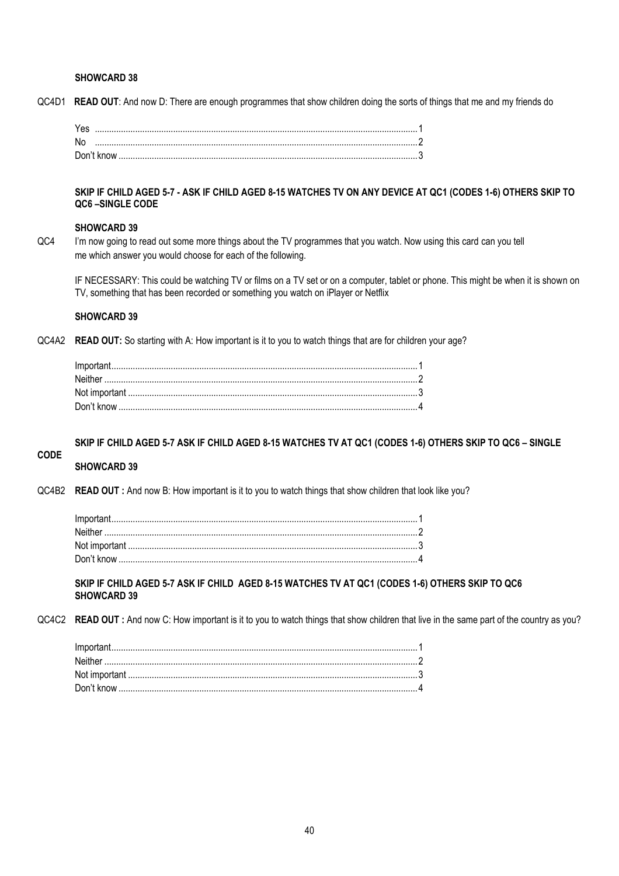#### **SHOWCARD 38**

QC4D1 **READ OUT**: And now D: There are enough programmes that show children doing the sorts of things that me and my friends do

| Yes |  |
|-----|--|
| No  |  |
|     |  |

**SKIP IF CHILD AGED 5-7 - ASK IF CHILD AGED 8-15 WATCHES TV ON ANY DEVICE AT QC1 (CODES 1-6) OTHERS SKIP TO QC6 –SINGLE CODE**

#### **SHOWCARD 39**

QC4 I'm now going to read out some more things about the TV programmes that you watch. Now using this card can you tell me which answer you would choose for each of the following.

IF NECESSARY: This could be watching TV or films on a TV set or on a computer, tablet or phone. This might be when it is shown on TV, something that has been recorded or something you watch on iPlayer or Netflix

#### **SHOWCARD 39**

QC4A2 **READ OUT:** So starting with A: How important is it to you to watch things that are for children your age?

**SKIP IF CHILD AGED 5-7 ASK IF CHILD AGED 8-15 WATCHES TV AT QC1 (CODES 1-6) OTHERS SKIP TO QC6 – SINGLE** 

#### **CODE SHOWCARD 39**

QC4B2 **READ OUT :** And now B: How important is it to you to watch things that show children that look like you?

**SKIP IF CHILD AGED 5-7 ASK IF CHILD AGED 8-15 WATCHES TV AT QC1 (CODES 1-6) OTHERS SKIP TO QC6 SHOWCARD 39**

QC4C2 **READ OUT**: And now C: How important is it to you to watch things that show children that live in the same part of the country as you?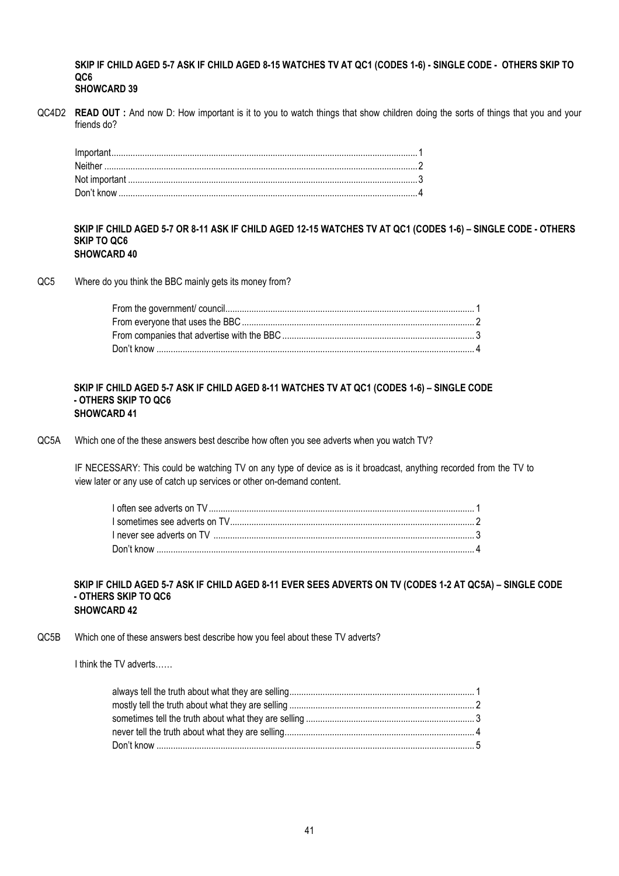**SKIP IF CHILD AGED 5-7 ASK IF CHILD AGED 8-15 WATCHES TV AT QC1 (CODES 1-6) - SINGLE CODE - OTHERS SKIP TO QC6 SHOWCARD 39**

QC4D2 **READ OUT :** And now D: How important is it to you to watch things that show children doing the sorts of things that you and your friends do?

#### **SKIP IF CHILD AGED 5-7 OR 8-11 ASK IF CHILD AGED 12-15 WATCHES TV AT QC1 (CODES 1-6) – SINGLE CODE - OTHERS SKIP TO QC6 SHOWCARD 40**

QC5 Where do you think the BBC mainly gets its money from?

#### **SKIP IF CHILD AGED 5-7 ASK IF CHILD AGED 8-11 WATCHES TV AT QC1 (CODES 1-6) – SINGLE CODE - OTHERS SKIP TO QC6 SHOWCARD 41**

QC5A Which one of the these answers best describe how often you see adverts when you watch TV?

IF NECESSARY: This could be watching TV on any type of device as is it broadcast, anything recorded from the TV to view later or any use of catch up services or other on-demand content.

#### **SKIP IF CHILD AGED 5-7 ASK IF CHILD AGED 8-11 EVER SEES ADVERTS ON TV (CODES 1-2 AT QC5A) – SINGLE CODE - OTHERS SKIP TO QC6 SHOWCARD 42**

QC5B Which one of these answers best describe how you feel about these TV adverts?

I think the TV adverts……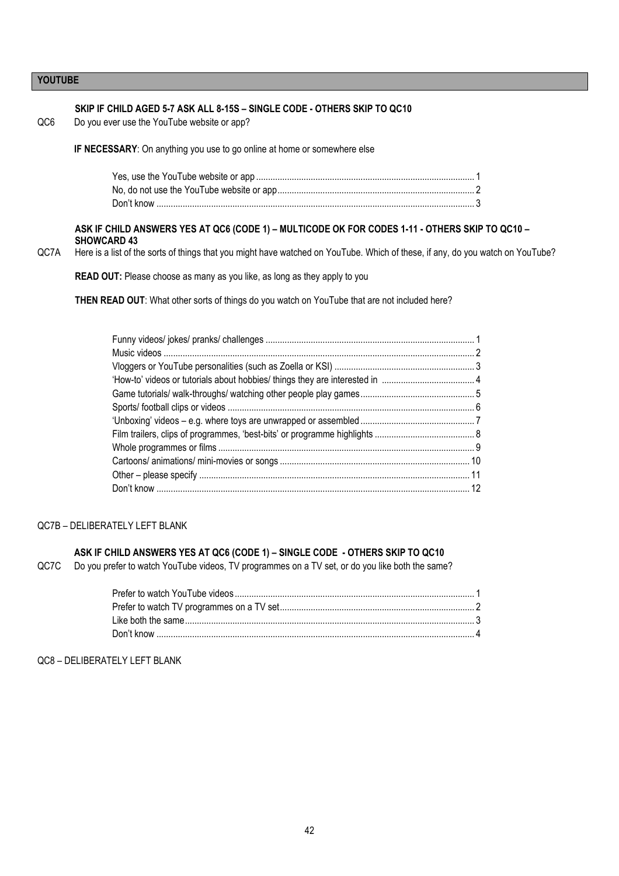## **YOUTUBE**

| QC6  | SKIP IF CHILD AGED 5-7 ASK ALL 8-15S - SINGLE CODE - OTHERS SKIP TO QC10<br>Do you ever use the YouTube website or app?                                                                                                                                |
|------|--------------------------------------------------------------------------------------------------------------------------------------------------------------------------------------------------------------------------------------------------------|
|      | IF NECESSARY: On anything you use to go online at home or somewhere else                                                                                                                                                                               |
|      |                                                                                                                                                                                                                                                        |
| QC7A | ASK IF CHILD ANSWERS YES AT QC6 (CODE 1) - MULTICODE OK FOR CODES 1-11 - OTHERS SKIP TO QC10 -<br><b>SHOWCARD 43</b><br>Here is a list of the sorts of things that you might have watched on YouTube. Which of these, if any, do you watch on YouTube? |
|      | READ OUT: Please choose as many as you like, as long as they apply to you                                                                                                                                                                              |
|      | THEN READ OUT: What other sorts of things do you watch on YouTube that are not included here?                                                                                                                                                          |
|      |                                                                                                                                                                                                                                                        |
|      | QC7B - DELIBERATELY LEFT BLANK                                                                                                                                                                                                                         |

## **ASK IF CHILD ANSWERS YES AT QC6 (CODE 1) – SINGLE CODE - OTHERS SKIP TO QC10**

QC7C Do you prefer to watch YouTube videos, TV programmes on a TV set, or do you like both the same?

## QC8 – DELIBERATELY LEFT BLANK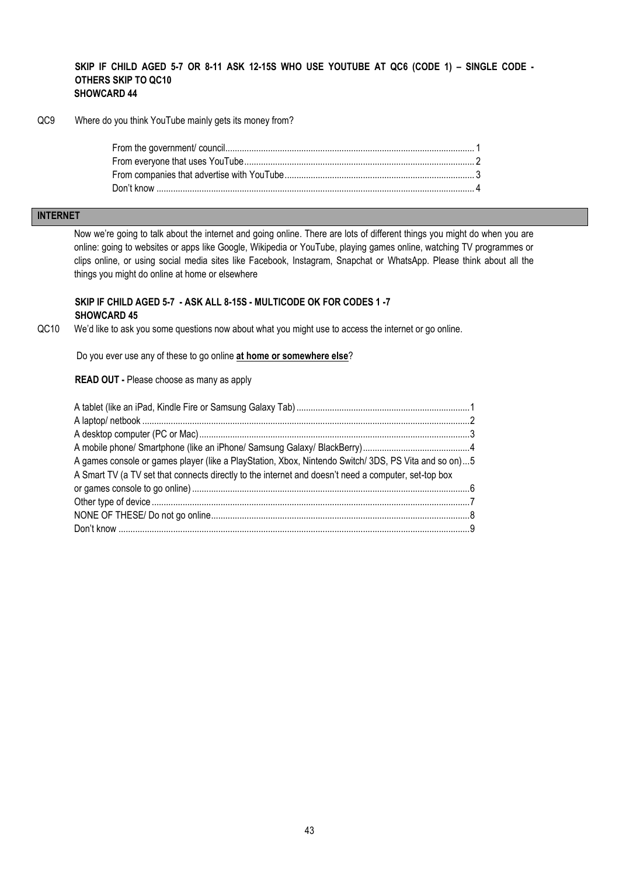#### **SKIP IF CHILD AGED 5-7 OR 8-11 ASK 12-15S WHO USE YOUTUBE AT QC6 (CODE 1) – SINGLE CODE - OTHERS SKIP TO QC10 SHOWCARD 44**

QC9 Where do you think YouTube mainly gets its money from?

## **INTERNET**

Now we're going to talk about the internet and going online. There are lots of different things you might do when you are online: going to websites or apps like Google, Wikipedia or YouTube, playing games online, watching TV programmes or clips online, or using social media sites like Facebook, Instagram, Snapchat or WhatsApp. Please think about all the things you might do online at home or elsewhere

## **SKIP IF CHILD AGED 5-7 - ASK ALL 8-15S - MULTICODE OK FOR CODES 1 -7 SHOWCARD 45**

QC10 We'd like to ask you some questions now about what you might use to access the internet or go online.

Do you ever use any of these to go online **at home or somewhere else**?

**READ OUT -** Please choose as many as apply

| A games console or games player (like a PlayStation, Xbox, Nintendo Switch/ 3DS, PS Vita and so on)5 |  |
|------------------------------------------------------------------------------------------------------|--|
| A Smart TV (a TV set that connects directly to the internet and doesn't need a computer, set-top box |  |
|                                                                                                      |  |
|                                                                                                      |  |
|                                                                                                      |  |
|                                                                                                      |  |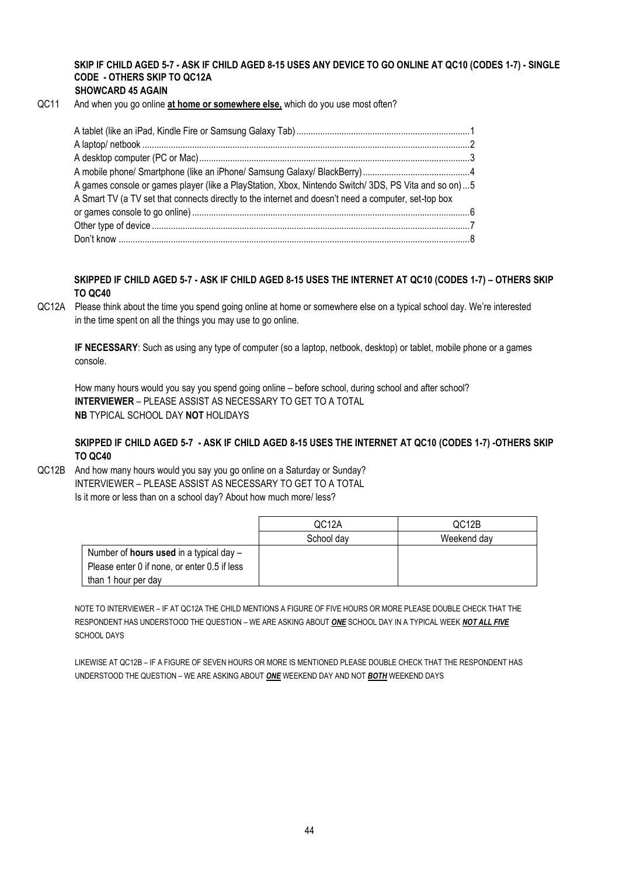## **SKIP IF CHILD AGED 5-7 - ASK IF CHILD AGED 8-15 USES ANY DEVICE TO GO ONLINE AT QC10 (CODES 1-7) - SINGLE CODE - OTHERS SKIP TO QC12A**

#### **SHOWCARD 45 AGAIN**

QC11 And when you go online **at home or somewhere else,** which do you use most often?

| A games console or games player (like a PlayStation, Xbox, Nintendo Switch/ 3DS, PS Vita and so on)  5 |  |
|--------------------------------------------------------------------------------------------------------|--|
| A Smart TV (a TV set that connects directly to the internet and doesn't need a computer, set-top box   |  |
|                                                                                                        |  |
|                                                                                                        |  |
|                                                                                                        |  |

**SKIPPED IF CHILD AGED 5-7 - ASK IF CHILD AGED 8-15 USES THE INTERNET AT QC10 (CODES 1-7) – OTHERS SKIP TO QC40**

QC12A Please think about the time you spend going online at home or somewhere else on a typical school day. We're interested in the time spent on all the things you may use to go online.

**IF NECESSARY**: Such as using any type of computer (so a laptop, netbook, desktop) or tablet, mobile phone or a games console.

How many hours would you say you spend going online – before school, during school and after school? **INTERVIEWER** – PLEASE ASSIST AS NECESSARY TO GET TO A TOTAL **NB** TYPICAL SCHOOL DAY **NOT** HOLIDAYS

#### **SKIPPED IF CHILD AGED 5-7 - ASK IF CHILD AGED 8-15 USES THE INTERNET AT QC10 (CODES 1-7) -OTHERS SKIP TO QC40**

QC12B And how many hours would you say you go online on a Saturday or Sunday? INTERVIEWER – PLEASE ASSIST AS NECESSARY TO GET TO A TOTAL Is it more or less than on a school day? About how much more/ less?

|                                                  | QC <sub>12</sub> A | QC <sub>12</sub> B |
|--------------------------------------------------|--------------------|--------------------|
|                                                  | School day         | Weekend day        |
| Number of <b>hours used</b> in a typical day $-$ |                    |                    |
| Please enter 0 if none, or enter 0.5 if less     |                    |                    |
| than 1 hour per day                              |                    |                    |

NOTE TO INTERVIEWER – IF AT QC12A THE CHILD MENTIONS A FIGURE OF FIVE HOURS OR MORE PLEASE DOUBLE CHECK THAT THE RESPONDENT HAS UNDERSTOOD THE QUESTION – WE ARE ASKING ABOUT *ONE* SCHOOL DAY IN A TYPICAL WEEK *NOT ALL FIVE* SCHOOL DAYS

LIKEWISE AT QC12B – IF A FIGURE OF SEVEN HOURS OR MORE IS MENTIONED PLEASE DOUBLE CHECK THAT THE RESPONDENT HAS UNDERSTOOD THE QUESTION – WE ARE ASKING ABOUT *ONE* WEEKEND DAY AND NOT *BOTH* WEEKEND DAYS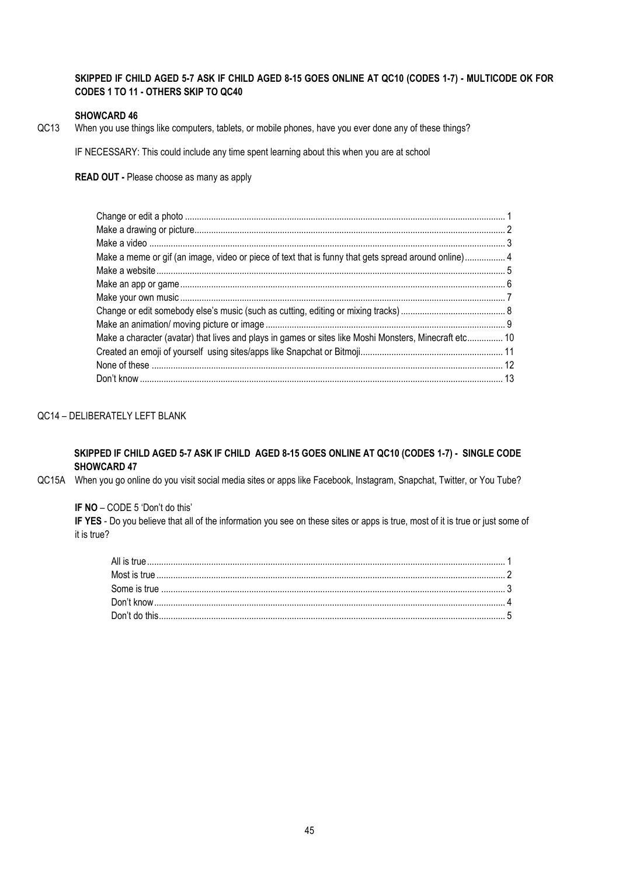## **SKIPPED IF CHILD AGED 5-7 ASK IF CHILD AGED 8-15 GOES ONLINE AT QC10 (CODES 1-7) - MULTICODE OK FOR CODES 1 TO 11 - OTHERS SKIP TO QC40**

#### **SHOWCARD 46**

QC13 When you use things like computers, tablets, or mobile phones, have you ever done any of these things?

IF NECESSARY: This could include any time spent learning about this when you are at school

**READ OUT -** Please choose as many as apply

| Make a meme or gif (an image, video or piece of text that is funny that gets spread around online) 4   |  |
|--------------------------------------------------------------------------------------------------------|--|
|                                                                                                        |  |
|                                                                                                        |  |
|                                                                                                        |  |
|                                                                                                        |  |
|                                                                                                        |  |
| Make a character (avatar) that lives and plays in games or sites like Moshi Monsters, Minecraft etc 10 |  |
|                                                                                                        |  |
|                                                                                                        |  |
|                                                                                                        |  |

## QC14 – DELIBERATELY LEFT BLANK

## **SKIPPED IF CHILD AGED 5-7 ASK IF CHILD AGED 8-15 GOES ONLINE AT QC10 (CODES 1-7) - SINGLE CODE SHOWCARD 47**

QC15A When you go online do you visit social media sites or apps like Facebook, Instagram, Snapchat, Twitter, or You Tube?

**IF NO** – CODE 5 'Don't do this'

**IF YES** - Do you believe that all of the information you see on these sites or apps is true, most of it is true or just some of it is true?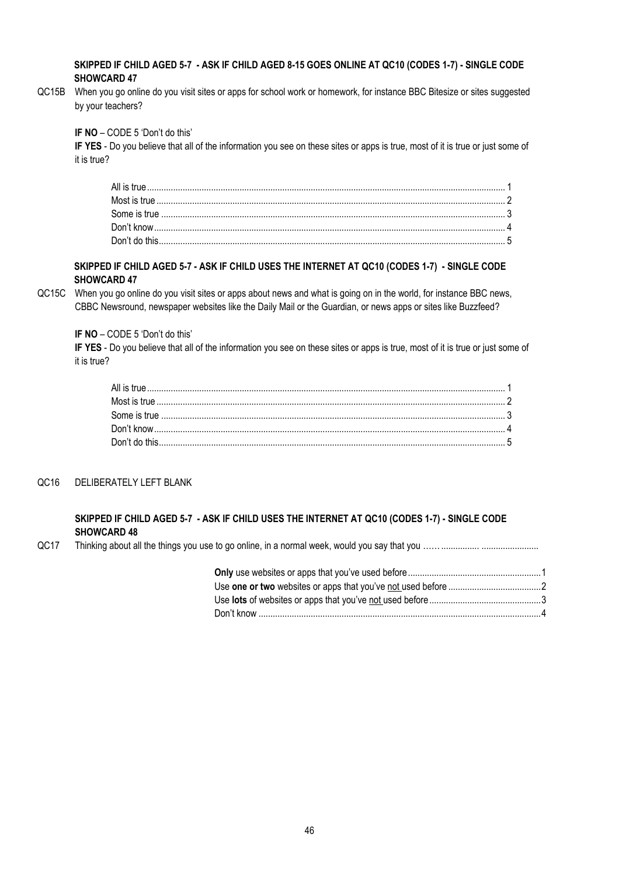#### **SKIPPED IF CHILD AGED 5-7 - ASK IF CHILD AGED 8-15 GOES ONLINE AT QC10 (CODES 1-7) - SINGLE CODE SHOWCARD 47**

QC15B When you go online do you visit sites or apps for school work or homework, for instance BBC Bitesize or sites suggested by your teachers?

**IF NO** – CODE 5 'Don't do this'

**IF YES** - Do you believe that all of the information you see on these sites or apps is true, most of it is true or just some of it is true?

#### **SKIPPED IF CHILD AGED 5-7 - ASK IF CHILD USES THE INTERNET AT QC10 (CODES 1-7) - SINGLE CODE SHOWCARD 47**

QC15C When you go online do you visit sites or apps about news and what is going on in the world, for instance BBC news, CBBC Newsround, newspaper websites like the Daily Mail or the Guardian, or news apps or sites like Buzzfeed?

**IF NO** – CODE 5 'Don't do this'

**IF YES** - Do you believe that all of the information you see on these sites or apps is true, most of it is true or just some of it is true?

#### QC16 DELIBERATELY LEFT BLANK

## **SKIPPED IF CHILD AGED 5-7 - ASK IF CHILD USES THE INTERNET AT QC10 (CODES 1-7) - SINGLE CODE SHOWCARD 48**

QC17 Thinking about all the things you use to go online, in a normal week, would you say that you ……................ ........................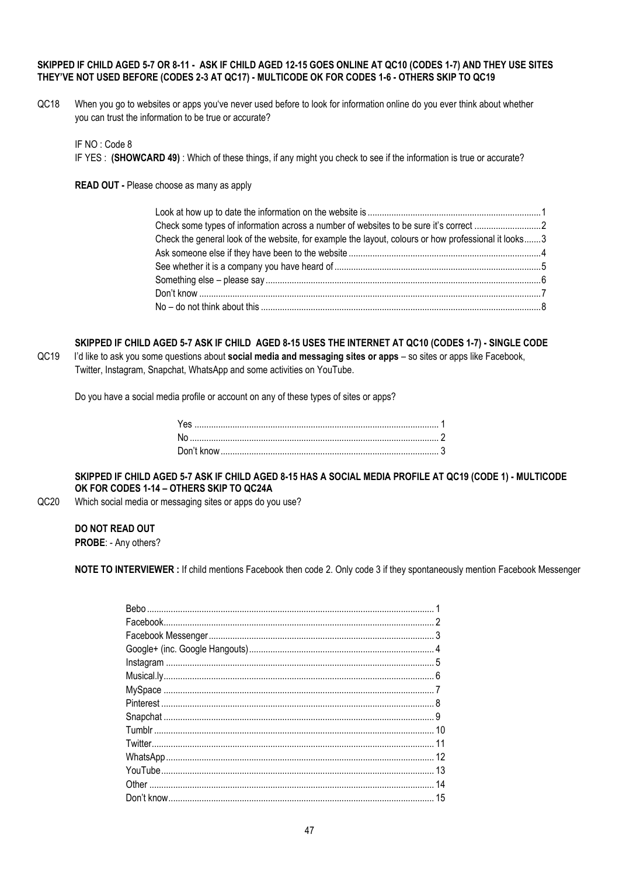#### **SKIPPED IF CHILD AGED 5-7 OR 8-11 - ASK IF CHILD AGED 12-15 GOES ONLINE AT QC10 (CODES 1-7) AND THEY USE SITES THEY'VE NOT USED BEFORE (CODES 2-3 AT QC17) - MULTICODE OK FOR CODES 1-6 - OTHERS SKIP TO QC19**

QC18 When you go to websites or apps you've never used before to look for information online do you ever think about whether you can trust the information to be true or accurate?

IF NO : Code 8

IF YES : **(SHOWCARD 49)** : Which of these things, if any might you check to see if the information is true or accurate?

**READ OUT -** Please choose as many as apply

| Check the general look of the website, for example the layout, colours or how professional it looks3 |  |
|------------------------------------------------------------------------------------------------------|--|
|                                                                                                      |  |
|                                                                                                      |  |
|                                                                                                      |  |
|                                                                                                      |  |
|                                                                                                      |  |
|                                                                                                      |  |

**SKIPPED IF CHILD AGED 5-7 ASK IF CHILD AGED 8-15 USES THE INTERNET AT QC10 (CODES 1-7) - SINGLE CODE** QC19 I'd like to ask you some questions about **social media and messaging sites or apps** – so sites or apps like Facebook, Twitter, Instagram, Snapchat, WhatsApp and some activities on YouTube.

Do you have a social media profile or account on any of these types of sites or apps?

**SKIPPED IF CHILD AGED 5-7 ASK IF CHILD AGED 8-15 HAS A SOCIAL MEDIA PROFILE AT QC19 (CODE 1) - MULTICODE OK FOR CODES 1-14 – OTHERS SKIP TO QC24A**

QC20 Which social media or messaging sites or apps do you use?

**DO NOT READ OUT**

**PROBE**: - Any others?

**NOTE TO INTERVIEWER :** If child mentions Facebook then code 2. Only code 3 if they spontaneously mention Facebook Messenger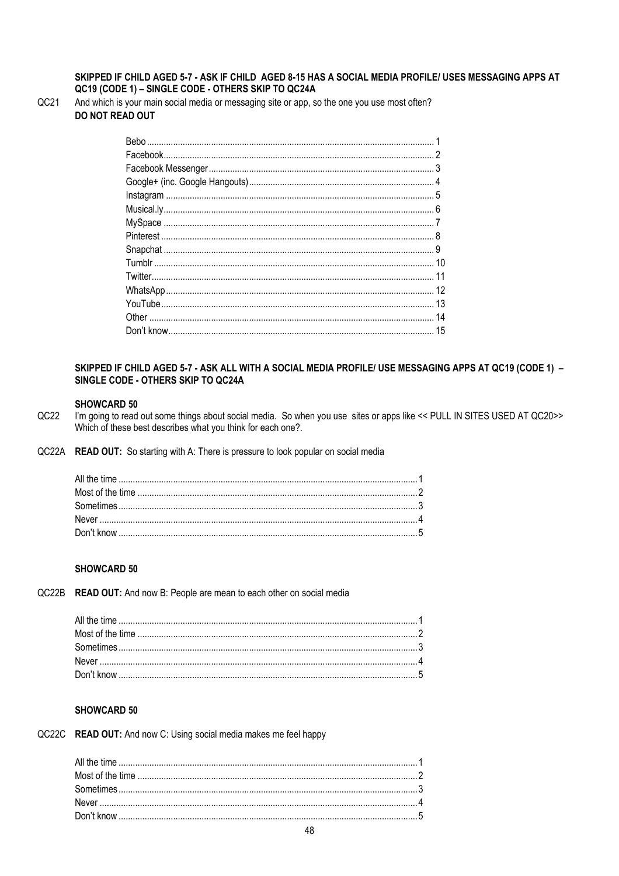#### SKIPPED IF CHILD AGED 5-7 - ASK IF CHILD AGED 8-15 HAS A SOCIAL MEDIA PROFILE/ USES MESSAGING APPS AT QC19 (CODE 1) - SINGLE CODE - OTHERS SKIP TO QC24A

 $QC21$ 

And which is your main social media or messaging site or app, so the one you use most often? DO NOT READ OUT

#### SKIPPED IF CHILD AGED 5-7 - ASK ALL WITH A SOCIAL MEDIA PROFILE/ USE MESSAGING APPS AT QC19 (CODE 1) -SINGLE CODE - OTHERS SKIP TO QC24A

#### **SHOWCARD 50**

- $QC22$ I'm going to read out some things about social media. So when you use sites or apps like << PULL IN SITES USED AT QC20>> Which of these best describes what you think for each one?.
- QC22A READ OUT: So starting with A: There is pressure to look popular on social media

#### **SHOWCARD 50**

QC22B READ OUT: And now B: People are mean to each other on social media

#### **SHOWCARD 50**

QC22C READ OUT: And now C: Using social media makes me feel happy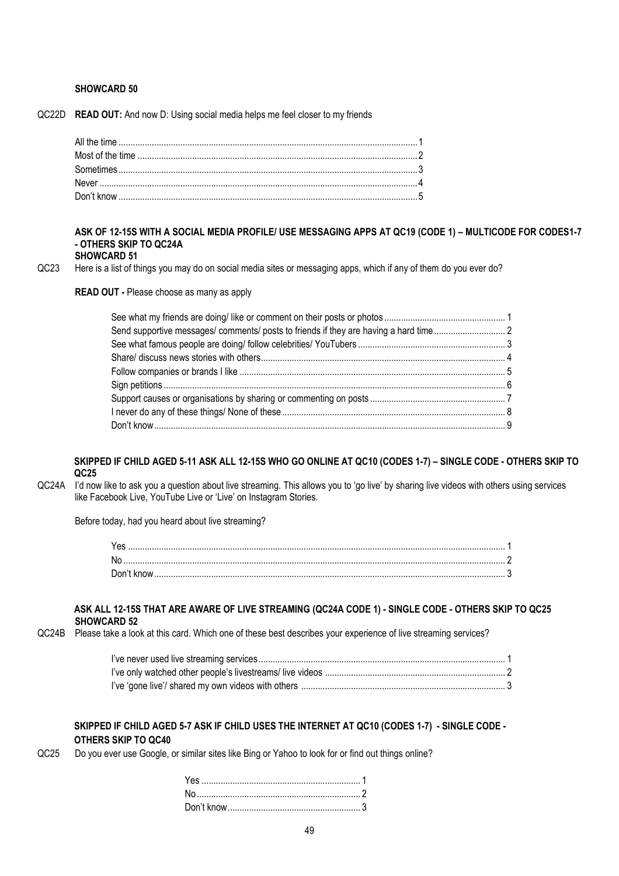#### **SHOWCARD 50**

QC22D **READ OUT:** And now D: Using social media helps me feel closer to my friends

## **ASK OF 12-15S WITH A SOCIAL MEDIA PROFILE/ USE MESSAGING APPS AT QC19 (CODE 1) – MULTICODE FOR CODES1-7 - OTHERS SKIP TO QC24A**

#### **SHOWCARD 51**

QC23 Here is a list of things you may do on social media sites or messaging apps, which if any of them do you ever do?

**READ OUT -** Please choose as many as apply

| Send supportive messages/ comments/ posts to friends if they are having a hard time2 |  |
|--------------------------------------------------------------------------------------|--|
|                                                                                      |  |
|                                                                                      |  |
|                                                                                      |  |
|                                                                                      |  |
|                                                                                      |  |
|                                                                                      |  |
|                                                                                      |  |

#### **SKIPPED IF CHILD AGED 5-11 ASK ALL 12-15S WHO GO ONLINE AT QC10 (CODES 1-7) – SINGLE CODE - OTHERS SKIP TO QC25**

QC24A I'd now like to ask you a question about live streaming. This allows you to 'go live' by sharing live videos with others using services like Facebook Live, YouTube Live or 'Live' on Instagram Stories.

Before today, had you heard about live streaming?

| No |  |
|----|--|
|    |  |

#### **ASK ALL 12-15S THAT ARE AWARE OF LIVE STREAMING (QC24A CODE 1) - SINGLE CODE - OTHERS SKIP TO QC25 SHOWCARD 52**

QC24B Please take a look at this card. Which one of these best describes your experience of live streaming services?

#### **SKIPPED IF CHILD AGED 5-7 ASK IF CHILD USES THE INTERNET AT QC10 (CODES 1-7) - SINGLE CODE - OTHERS SKIP TO QC40**

QC25 Do you ever use Google, or similar sites like Bing or Yahoo to look for or find out things online?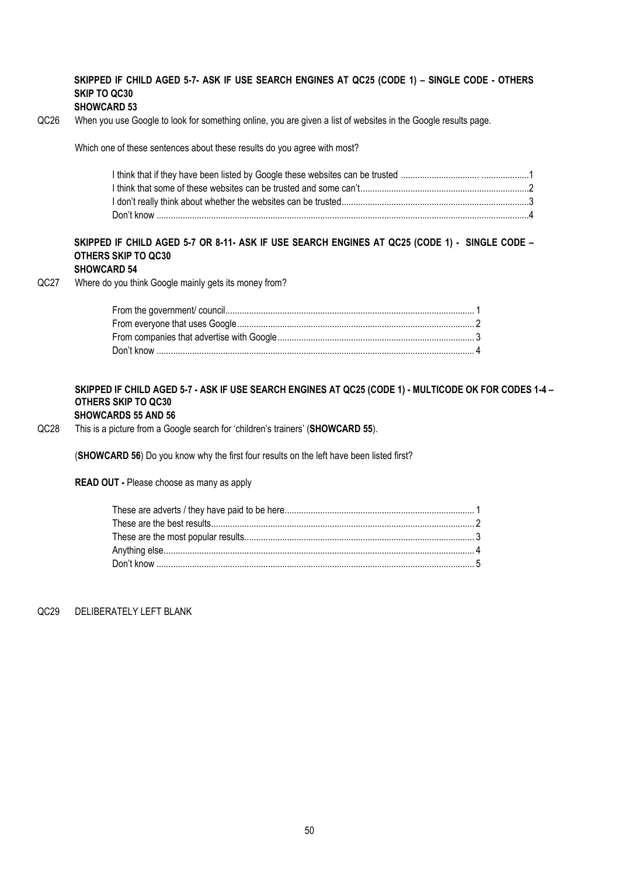## **SKIPPED IF CHILD AGED 5-7- ASK IF USE SEARCH ENGINES AT QC25 (CODE 1) – SINGLE CODE - OTHERS SKIP TO QC30**

#### **SHOWCARD 53**

QC26 When you use Google to look for something online, you are given a list of websites in the Google results page.

Which one of these sentences about these results do you agree with most?

## **SKIPPED IF CHILD AGED 5-7 OR 8-11- ASK IF USE SEARCH ENGINES AT QC25 (CODE 1) - SINGLE CODE – OTHERS SKIP TO QC30**

## **SHOWCARD 54**

QC27 Where do you think Google mainly gets its money from?

#### **SKIPPED IF CHILD AGED 5-7 - ASK IF USE SEARCH ENGINES AT QC25 (CODE 1) - MULTICODE OK FOR CODES 1-4 – OTHERS SKIP TO QC30 SHOWCARDS 55 AND 56**

QC28 This is a picture from a Google search for 'children's trainers' (**SHOWCARD 55**).

(**SHOWCARD 56**) Do you know why the first four results on the left have been listed first?

**READ OUT -** Please choose as many as apply

QC29 DELIBERATELY LEFT BLANK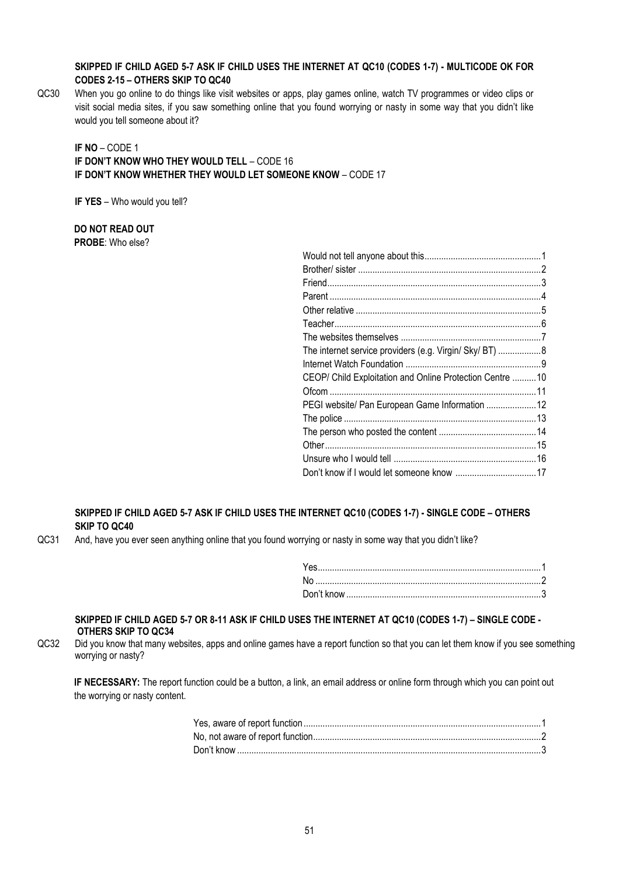## **SKIPPED IF CHILD AGED 5-7 ASK IF CHILD USES THE INTERNET AT QC10 (CODES 1-7) - MULTICODE OK FOR CODES 2-15 – OTHERS SKIP TO QC40**

QC30 When you go online to do things like visit websites or apps, play games online, watch TV programmes or video clips or visit social media sites, if you saw something online that you found worrying or nasty in some way that you didn't like would you tell someone about it?

## **IF NO** – CODE 1 **IF DON'T KNOW WHO THEY WOULD TELL** – CODE 16 **IF DON'T KNOW WHETHER THEY WOULD LET SOMEONE KNOW** – CODE 17

**IF YES** – Who would you tell?

**DO NOT READ OUT PROBE**: Who else?

| The internet service providers (e.g. Virgin/ Sky/ BT)  8 |  |
|----------------------------------------------------------|--|
|                                                          |  |
| CEOP/ Child Exploitation and Online Protection Centre 10 |  |
|                                                          |  |
| PEGI website/ Pan European Game Information  12          |  |
|                                                          |  |
|                                                          |  |
|                                                          |  |
|                                                          |  |
|                                                          |  |
|                                                          |  |

## **SKIPPED IF CHILD AGED 5-7 ASK IF CHILD USES THE INTERNET QC10 (CODES 1-7) - SINGLE CODE – OTHERS SKIP TO QC40**

QC31 And, have you ever seen anything online that you found worrying or nasty in some way that you didn't like?

#### **SKIPPED IF CHILD AGED 5-7 OR 8-11 ASK IF CHILD USES THE INTERNET AT QC10 (CODES 1-7) – SINGLE CODE - OTHERS SKIP TO QC34**

QC32 Did you know that many websites, apps and online games have a report function so that you can let them know if you see something worrying or nasty?

**IF NECESSARY:** The report function could be a button, a link, an email address or online form through which you can point out the worrying or nasty content.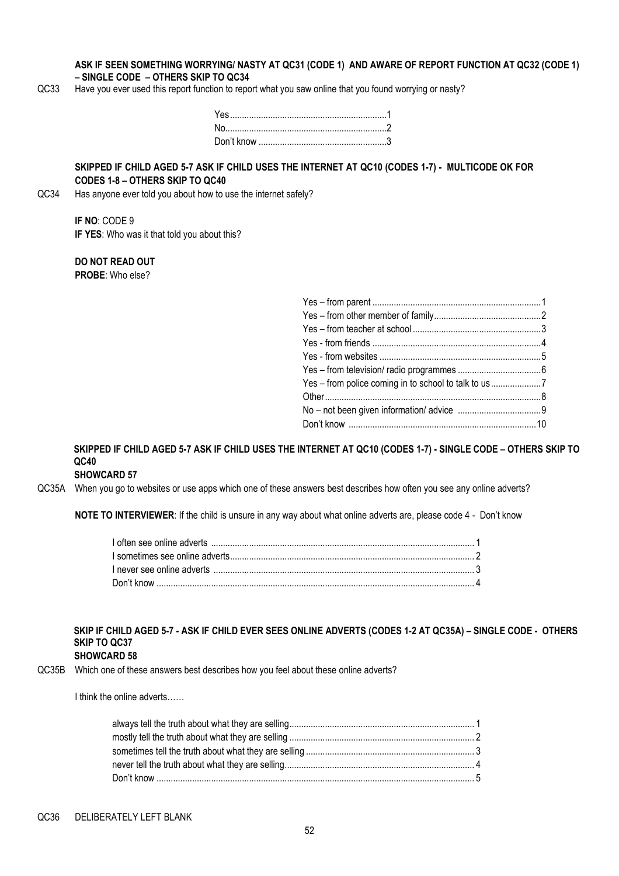#### **ASK IF SEEN SOMETHING WORRYING/ NASTY AT QC31 (CODE 1) AND AWARE OF REPORT FUNCTION AT QC32 (CODE 1) – SINGLE CODE – OTHERS SKIP TO QC34**

QC33 Have you ever used this report function to report what you saw online that you found worrying or nasty?

#### **SKIPPED IF CHILD AGED 5-7 ASK IF CHILD USES THE INTERNET AT QC10 (CODES 1-7) - MULTICODE OK FOR CODES 1-8 – OTHERS SKIP TO QC40**

QC34 Has anyone ever told you about how to use the internet safely?

#### **IF NO**: CODE 9 **IF YES**: Who was it that told you about this?

#### **DO NOT READ OUT PROBE**: Who else?

| Yes - from police coming in to school to talk to us |  |
|-----------------------------------------------------|--|
|                                                     |  |
|                                                     |  |
|                                                     |  |
|                                                     |  |

## **SKIPPED IF CHILD AGED 5-7 ASK IF CHILD USES THE INTERNET AT QC10 (CODES 1-7) - SINGLE CODE – OTHERS SKIP TO QC40**

## **SHOWCARD 57**

QC35A When you go to websites or use apps which one of these answers best describes how often you see any online adverts?

**NOTE TO INTERVIEWER**: If the child is unsure in any way about what online adverts are, please code 4 - Don't know

## **SKIP IF CHILD AGED 5-7 - ASK IF CHILD EVER SEES ONLINE ADVERTS (CODES 1-2 AT QC35A) – SINGLE CODE - OTHERS SKIP TO QC37**

#### **SHOWCARD 58**

QC35B Which one of these answers best describes how you feel about these online adverts?

I think the online adverts……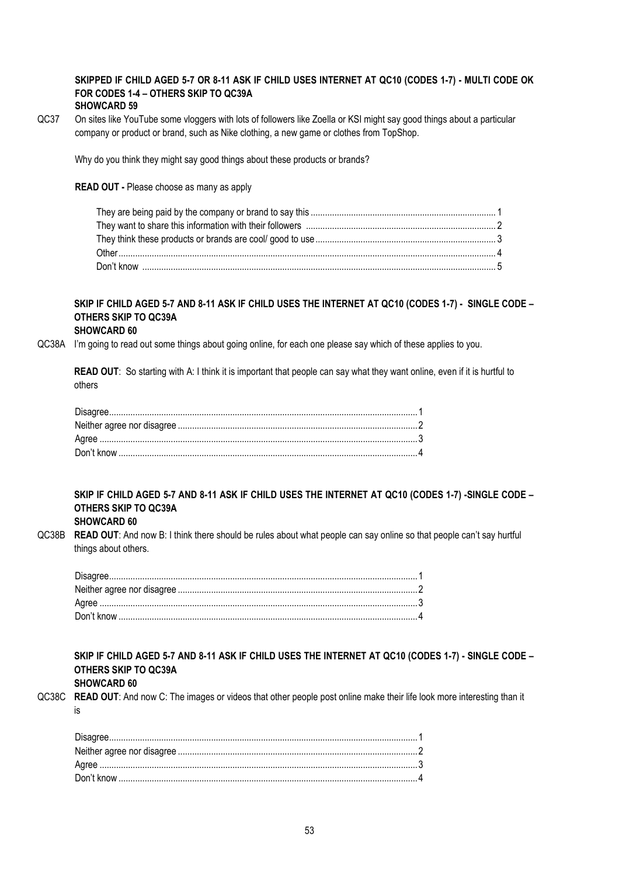#### **SKIPPED IF CHILD AGED 5-7 OR 8-11 ASK IF CHILD USES INTERNET AT QC10 (CODES 1-7) - MULTI CODE OK FOR CODES 1-4 – OTHERS SKIP TO QC39A SHOWCARD 59**

QC37 On sites like YouTube some vloggers with lots of followers like Zoella or KSI might say good things about a particular company or product or brand, such as Nike clothing, a new game or clothes from TopShop.

Why do you think they might say good things about these products or brands?

#### **READ OUT -** Please choose as many as apply

## **SKIP IF CHILD AGED 5-7 AND 8-11 ASK IF CHILD USES THE INTERNET AT QC10 (CODES 1-7) - SINGLE CODE – OTHERS SKIP TO QC39A**

#### **SHOWCARD 60**

QC38A I'm going to read out some things about going online, for each one please say which of these applies to you.

**READ OUT**: So starting with A: I think it is important that people can say what they want online, even if it is hurtful to others

## **SKIP IF CHILD AGED 5-7 AND 8-11 ASK IF CHILD USES THE INTERNET AT QC10 (CODES 1-7) -SINGLE CODE – OTHERS SKIP TO QC39A**

## **SHOWCARD 60**

QC38B **READ OUT**: And now B: I think there should be rules about what people can say online so that people can't say hurtful things about others.

**SKIP IF CHILD AGED 5-7 AND 8-11 ASK IF CHILD USES THE INTERNET AT QC10 (CODES 1-7) - SINGLE CODE – OTHERS SKIP TO QC39A SHOWCARD 60**

QC38C **READ OUT**: And now C: The images or videos that other people post online make their life look more interesting than it is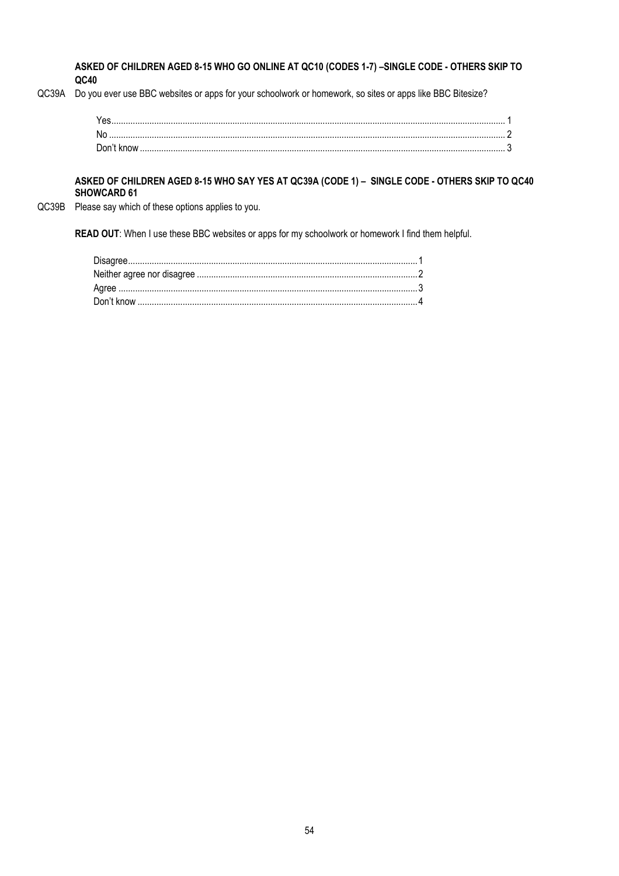**ASKED OF CHILDREN AGED 8-15 WHO GO ONLINE AT QC10 (CODES 1-7) –SINGLE CODE - OTHERS SKIP TO QC40**

QC39A Do you ever use BBC websites or apps for your schoolwork or homework, so sites or apps like BBC Bitesize?

| .No |  |
|-----|--|
|     |  |

#### **ASKED OF CHILDREN AGED 8-15 WHO SAY YES AT QC39A (CODE 1) – SINGLE CODE - OTHERS SKIP TO QC40 SHOWCARD 61**

QC39B Please say which of these options applies to you.

**READ OUT**: When I use these BBC websites or apps for my schoolwork or homework I find them helpful.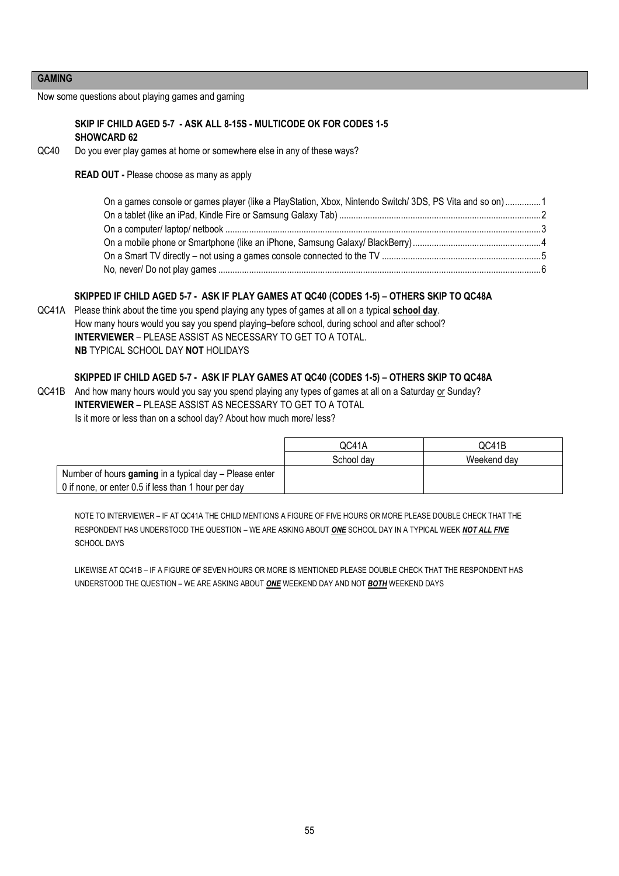#### **GAMING**

Now some questions about playing games and gaming

#### **SKIP IF CHILD AGED 5-7 - ASK ALL 8-15S - MULTICODE OK FOR CODES 1-5 SHOWCARD 62**

#### QC40 Do you ever play games at home or somewhere else in any of these ways?

#### **READ OUT -** Please choose as many as apply

| On a games console or games player (like a PlayStation, Xbox, Nintendo Switch/ 3DS, PS Vita and so on)1 |  |
|---------------------------------------------------------------------------------------------------------|--|
|                                                                                                         |  |
|                                                                                                         |  |
|                                                                                                         |  |
|                                                                                                         |  |
|                                                                                                         |  |

## **SKIPPED IF CHILD AGED 5-7 - ASK IF PLAY GAMES AT QC40 (CODES 1-5) – OTHERS SKIP TO QC48A**

QC41A Please think about the time you spend playing any types of games at all on a typical **school day**. How many hours would you say you spend playing–before school, during school and after school? **INTERVIEWER** – PLEASE ASSIST AS NECESSARY TO GET TO A TOTAL. **NB** TYPICAL SCHOOL DAY **NOT** HOLIDAYS

#### **SKIPPED IF CHILD AGED 5-7 - ASK IF PLAY GAMES AT QC40 (CODES 1-5) – OTHERS SKIP TO QC48A**

QC41B And how many hours would you say you spend playing any types of games at all on a Saturday or Sunday? **INTERVIEWER** – PLEASE ASSIST AS NECESSARY TO GET TO A TOTAL Is it more or less than on a school day? About how much more/ less?

|                                                        | QC41A      | QC41B       |
|--------------------------------------------------------|------------|-------------|
|                                                        | School day | Weekend day |
| Number of hours gaming in a typical day – Please enter |            |             |
| 0 if none, or enter 0.5 if less than 1 hour per day    |            |             |

NOTE TO INTERVIEWER – IF AT QC41A THE CHILD MENTIONS A FIGURE OF FIVE HOURS OR MORE PLEASE DOUBLE CHECK THAT THE RESPONDENT HAS UNDERSTOOD THE QUESTION – WE ARE ASKING ABOUT *ONE* SCHOOL DAY IN A TYPICAL WEEK *NOT ALL FIVE* SCHOOL DAYS

LIKEWISE AT QC41B – IF A FIGURE OF SEVEN HOURS OR MORE IS MENTIONED PLEASE DOUBLE CHECK THAT THE RESPONDENT HAS UNDERSTOOD THE QUESTION – WE ARE ASKING ABOUT *ONE* WEEKEND DAY AND NOT *BOTH* WEEKEND DAYS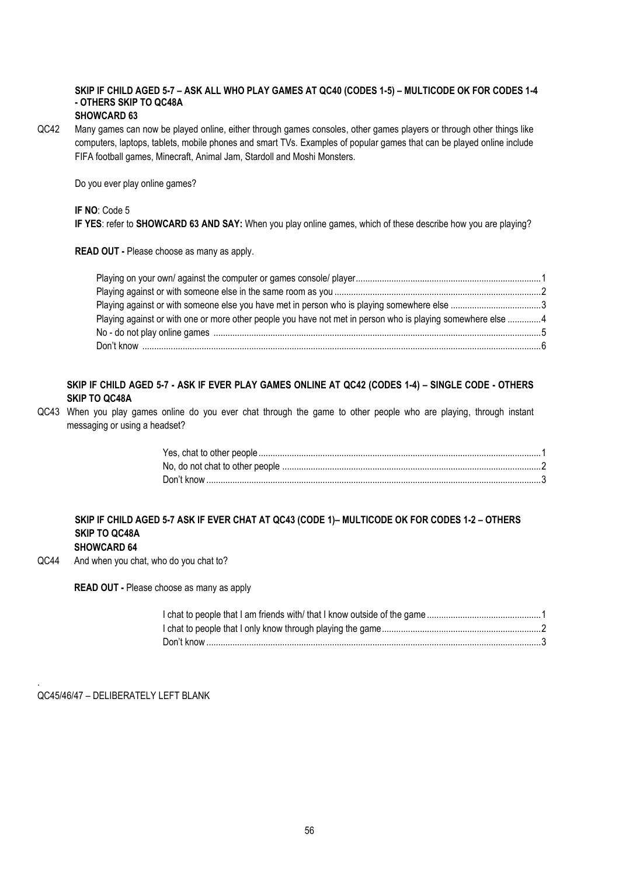#### **SKIP IF CHILD AGED 5-7 – ASK ALL WHO PLAY GAMES AT QC40 (CODES 1-5) – MULTICODE OK FOR CODES 1-4 - OTHERS SKIP TO QC48A SHOWCARD 63**

QC42 Many games can now be played online, either through games consoles, other games players or through other things like computers, laptops, tablets, mobile phones and smart TVs. Examples of popular games that can be played online include FIFA football games, Minecraft, Animal Jam, Stardoll and Moshi Monsters.

Do you ever play online games?

#### **IF NO**: Code 5

**IF YES**: refer to **SHOWCARD 63 AND SAY:** When you play online games, which of these describe how you are playing?

**READ OUT -** Please choose as many as apply.

| Playing against or with one or more other people you have not met in person who is playing somewhere else 4 |  |
|-------------------------------------------------------------------------------------------------------------|--|
|                                                                                                             |  |
|                                                                                                             |  |

## **SKIP IF CHILD AGED 5-7 - ASK IF EVER PLAY GAMES ONLINE AT QC42 (CODES 1-4) – SINGLE CODE - OTHERS SKIP TO QC48A**

QC43 When you play games online do you ever chat through the game to other people who are playing, through instant messaging or using a headset?

#### **SKIP IF CHILD AGED 5-7 ASK IF EVER CHAT AT QC43 (CODE 1)– MULTICODE OK FOR CODES 1-2 – OTHERS SKIP TO QC48A SHOWCARD 64**

QC44 And when you chat, who do you chat to?

**READ OUT -** Please choose as many as apply

QC45/46/47 – DELIBERATELY LEFT BLANK

.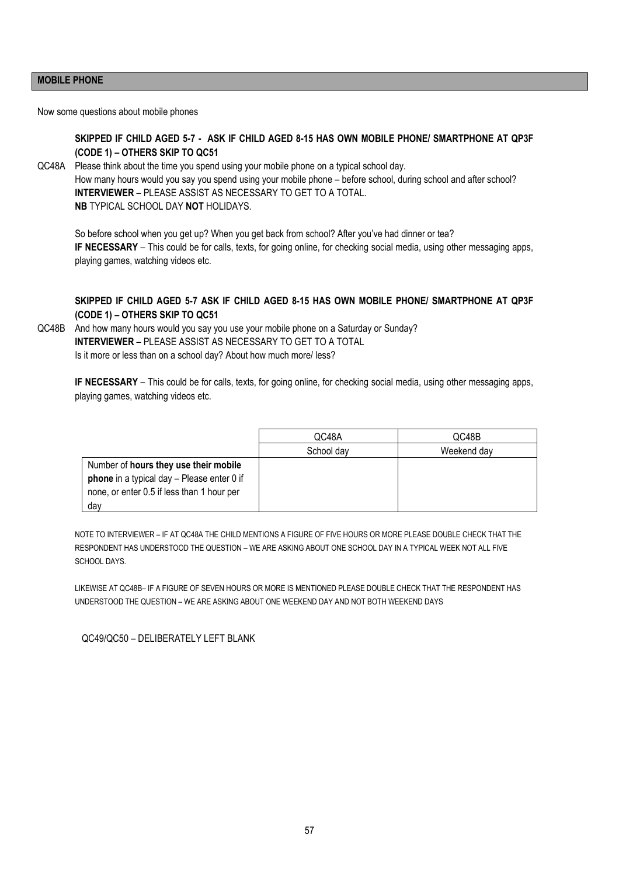#### **MOBILE PHONE**

Now some questions about mobile phones

## **SKIPPED IF CHILD AGED 5-7 - ASK IF CHILD AGED 8-15 HAS OWN MOBILE PHONE/ SMARTPHONE AT QP3F (CODE 1) – OTHERS SKIP TO QC51**

QC48A Please think about the time you spend using your mobile phone on a typical school day. How many hours would you say you spend using your mobile phone – before school, during school and after school? **INTERVIEWER** – PLEASE ASSIST AS NECESSARY TO GET TO A TOTAL. **NB** TYPICAL SCHOOL DAY **NOT** HOLIDAYS.

So before school when you get up? When you get back from school? After you've had dinner or tea? **IF NECESSARY** – This could be for calls, texts, for going online, for checking social media, using other messaging apps, playing games, watching videos etc.

#### **SKIPPED IF CHILD AGED 5-7 ASK IF CHILD AGED 8-15 HAS OWN MOBILE PHONE/ SMARTPHONE AT QP3F (CODE 1) – OTHERS SKIP TO QC51**

QC48B And how many hours would you say you use your mobile phone on a Saturday or Sunday? **INTERVIEWER** – PLEASE ASSIST AS NECESSARY TO GET TO A TOTAL Is it more or less than on a school day? About how much more/ less?

**IF NECESSARY** – This could be for calls, texts, for going online, for checking social media, using other messaging apps, playing games, watching videos etc.

|                                                                                                                                          | QC48A      | QC48B       |
|------------------------------------------------------------------------------------------------------------------------------------------|------------|-------------|
|                                                                                                                                          | School day | Weekend day |
| Number of hours they use their mobile<br>phone in a typical day - Please enter 0 if<br>none, or enter 0.5 if less than 1 hour per<br>day |            |             |

NOTE TO INTERVIEWER – IF AT QC48A THE CHILD MENTIONS A FIGURE OF FIVE HOURS OR MORE PLEASE DOUBLE CHECK THAT THE RESPONDENT HAS UNDERSTOOD THE QUESTION – WE ARE ASKING ABOUT ONE SCHOOL DAY IN A TYPICAL WEEK NOT ALL FIVE SCHOOL DAYS.

LIKEWISE AT QC48B– IF A FIGURE OF SEVEN HOURS OR MORE IS MENTIONED PLEASE DOUBLE CHECK THAT THE RESPONDENT HAS UNDERSTOOD THE QUESTION – WE ARE ASKING ABOUT ONE WEEKEND DAY AND NOT BOTH WEEKEND DAYS

QC49/QC50 – DELIBERATELY LEFT BLANK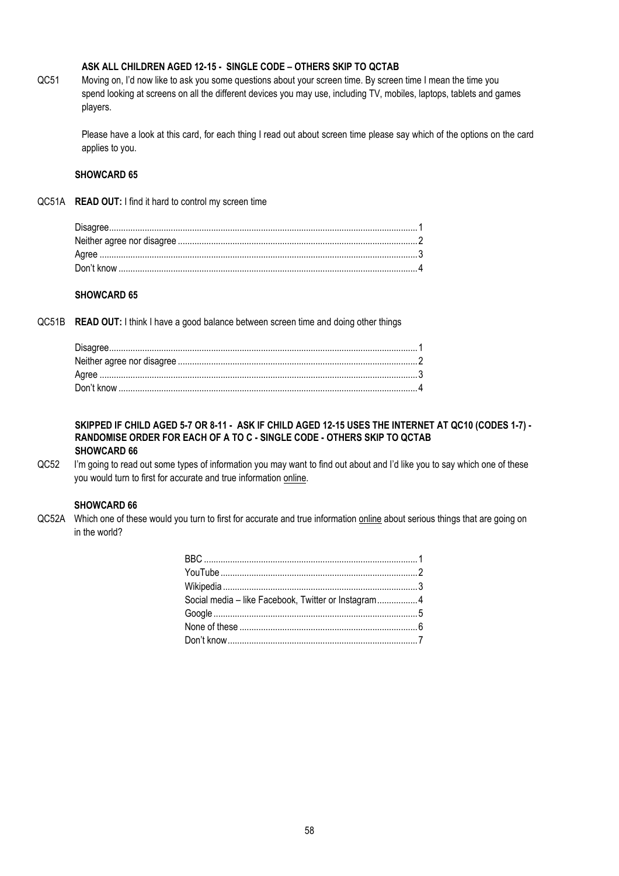## **ASK ALL CHILDREN AGED 12-15 - SINGLE CODE – OTHERS SKIP TO QCTAB**

QC51 Moving on, I'd now like to ask you some questions about your screen time. By screen time I mean the time you spend looking at screens on all the different devices you may use, including TV, mobiles, laptops, tablets and games players.

Please have a look at this card, for each thing I read out about screen time please say which of the options on the card applies to you.

#### **SHOWCARD 65**

QC51A **READ OUT:** I find it hard to control my screen time

#### **SHOWCARD 65**

QC51B **READ OUT:** I think I have a good balance between screen time and doing other things

#### **SKIPPED IF CHILD AGED 5-7 OR 8-11 - ASK IF CHILD AGED 12-15 USES THE INTERNET AT QC10 (CODES 1-7) - RANDOMISE ORDER FOR EACH OF A TO C - SINGLE CODE - OTHERS SKIP TO QCTAB SHOWCARD 66**

QC52 I'm going to read out some types of information you may want to find out about and I'd like you to say which one of these you would turn to first for accurate and true information online.

#### **SHOWCARD 66**

QC52A Which one of these would you turn to first for accurate and true information online about serious things that are going on in the world?

| Social media - like Facebook, Twitter or Instagram 4 |  |
|------------------------------------------------------|--|
|                                                      |  |
|                                                      |  |
|                                                      |  |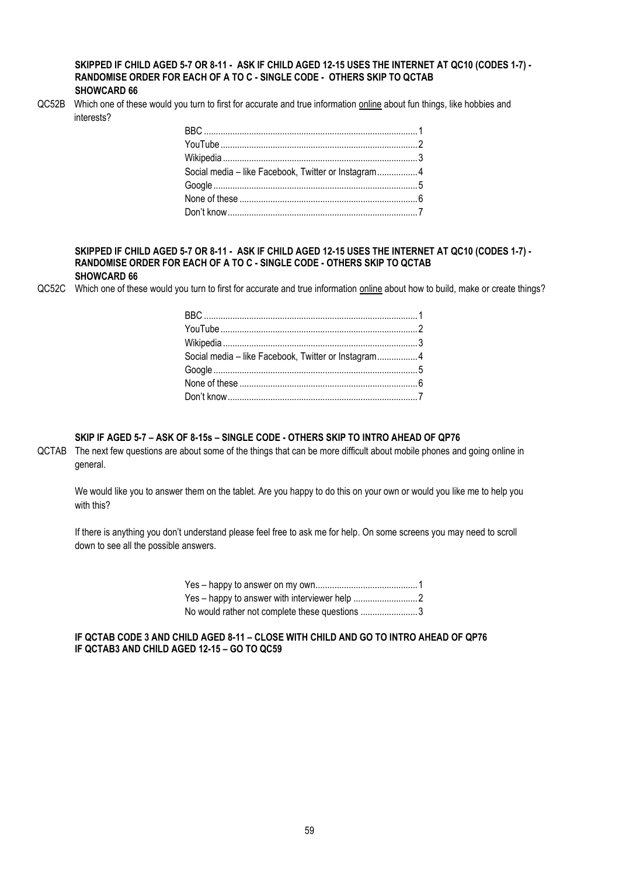#### **SKIPPED IF CHILD AGED 5-7 OR 8-11 - ASK IF CHILD AGED 12-15 USES THE INTERNET AT QC10 (CODES 1-7) - RANDOMISE ORDER FOR EACH OF A TO C - SINGLE CODE - OTHERS SKIP TO QCTAB SHOWCARD 66**

QC52B Which one of these would you turn to first for accurate and true information online about fun things, like hobbies and interests?

| Social media - like Facebook, Twitter or Instagram 4 |  |
|------------------------------------------------------|--|
|                                                      |  |
|                                                      |  |
|                                                      |  |

#### **SKIPPED IF CHILD AGED 5-7 OR 8-11 - ASK IF CHILD AGED 12-15 USES THE INTERNET AT QC10 (CODES 1-7) - RANDOMISE ORDER FOR EACH OF A TO C - SINGLE CODE - OTHERS SKIP TO QCTAB SHOWCARD 66**

QC52C Which one of these would you turn to first for accurate and true information online about how to build, make or create things?

| Social media - like Facebook, Twitter or Instagram4 |  |
|-----------------------------------------------------|--|
|                                                     |  |
|                                                     |  |
|                                                     |  |
|                                                     |  |

#### **SKIP IF AGED 5-7 – ASK OF 8-15s – SINGLE CODE - OTHERS SKIP TO INTRO AHEAD OF QP76**

QCTAB The next few questions are about some of the things that can be more difficult about mobile phones and going online in general.

We would like you to answer them on the tablet. Are you happy to do this on your own or would you like me to help you with this?

If there is anything you don't understand please feel free to ask me for help. On some screens you may need to scroll down to see all the possible answers.

| No would rather not complete these questions 3 |  |
|------------------------------------------------|--|

**IF QCTAB CODE 3 AND CHILD AGED 8-11 – CLOSE WITH CHILD AND GO TO INTRO AHEAD OF QP76 IF QCTAB3 AND CHILD AGED 12-15 – GO TO QC59**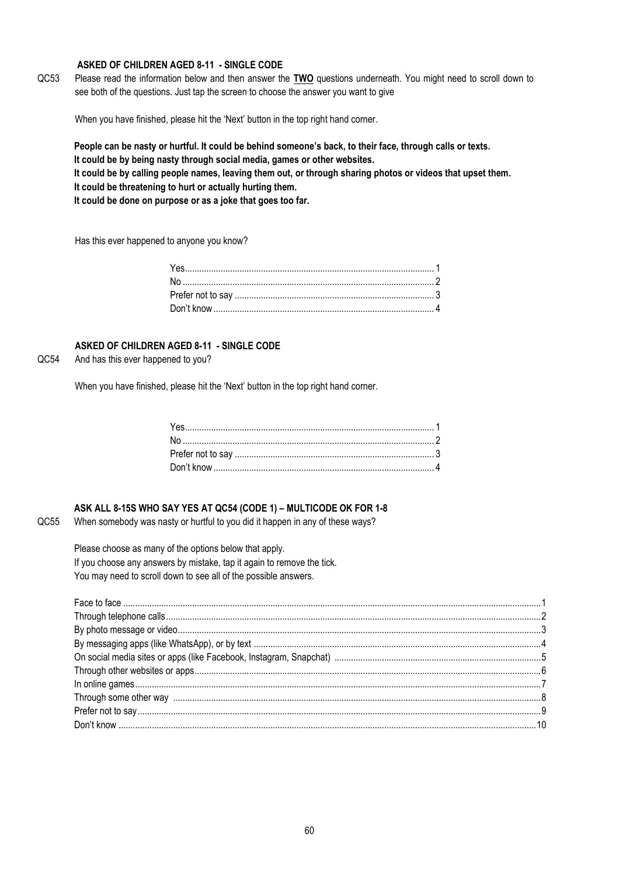#### **ASKED OF CHILDREN AGED 8-11 - SINGLE CODE**

QC53 Please read the information below and then answer the **TWO** questions underneath. You might need to scroll down to see both of the questions. Just tap the screen to choose the answer you want to give

When you have finished, please hit the 'Next' button in the top right hand corner.

**People can be nasty or hurtful. It could be behind someone's back, to their face, through calls or texts. It could be by being nasty through social media, games or other websites.**

**It could be by calling people names, leaving them out, or through sharing photos or videos that upset them. It could be threatening to hurt or actually hurting them.**

**It could be done on purpose or as a joke that goes too far.**

Has this ever happened to anyone you know?

## **ASKED OF CHILDREN AGED 8-11 - SINGLE CODE**

## QC54 And has this ever happened to you?

When you have finished, please hit the 'Next' button in the top right hand corner.

#### **ASK ALL 8-15S WHO SAY YES AT QC54 (CODE 1) – MULTICODE OK FOR 1-8**

QC55 When somebody was nasty or hurtful to you did it happen in any of these ways?

Please choose as many of the options below that apply. If you choose any answers by mistake, tap it again to remove the tick. You may need to scroll down to see all of the possible answers.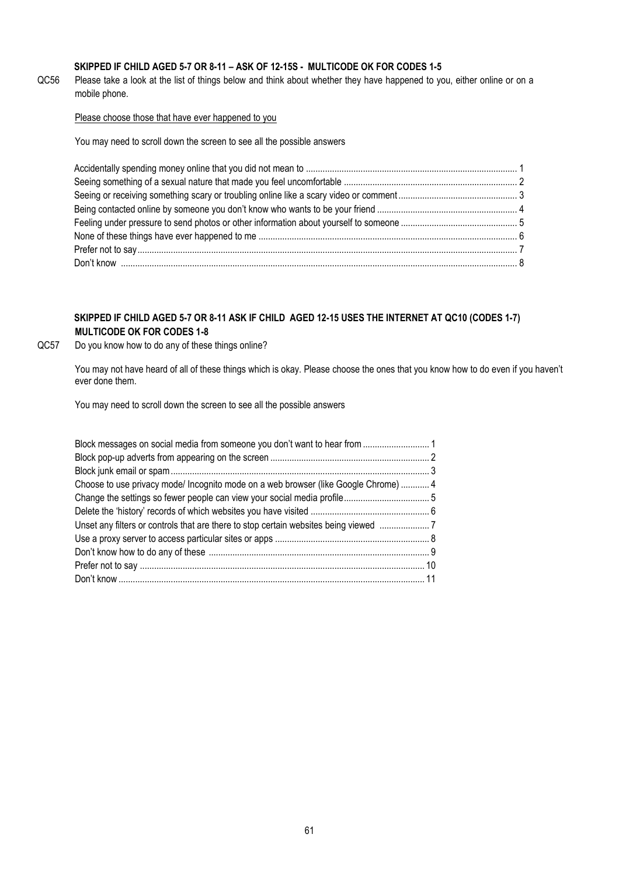## **SKIPPED IF CHILD AGED 5-7 OR 8-11 – ASK OF 12-15S - MULTICODE OK FOR CODES 1-5**

QC56 Please take a look at the list of things below and think about whether they have happened to you, either online or on a mobile phone.

## Please choose those that have ever happened to you

You may need to scroll down the screen to see all the possible answers

## **SKIPPED IF CHILD AGED 5-7 OR 8-11 ASK IF CHILD AGED 12-15 USES THE INTERNET AT QC10 (CODES 1-7) MULTICODE OK FOR CODES 1-8**

QC57 Do you know how to do any of these things online?

You may not have heard of all of these things which is okay. Please choose the ones that you know how to do even if you haven't ever done them.

You may need to scroll down the screen to see all the possible answers

| Choose to use privacy mode/ Incognito mode on a web browser (like Google Chrome)  4 |  |
|-------------------------------------------------------------------------------------|--|
|                                                                                     |  |
|                                                                                     |  |
|                                                                                     |  |
|                                                                                     |  |
|                                                                                     |  |
|                                                                                     |  |
|                                                                                     |  |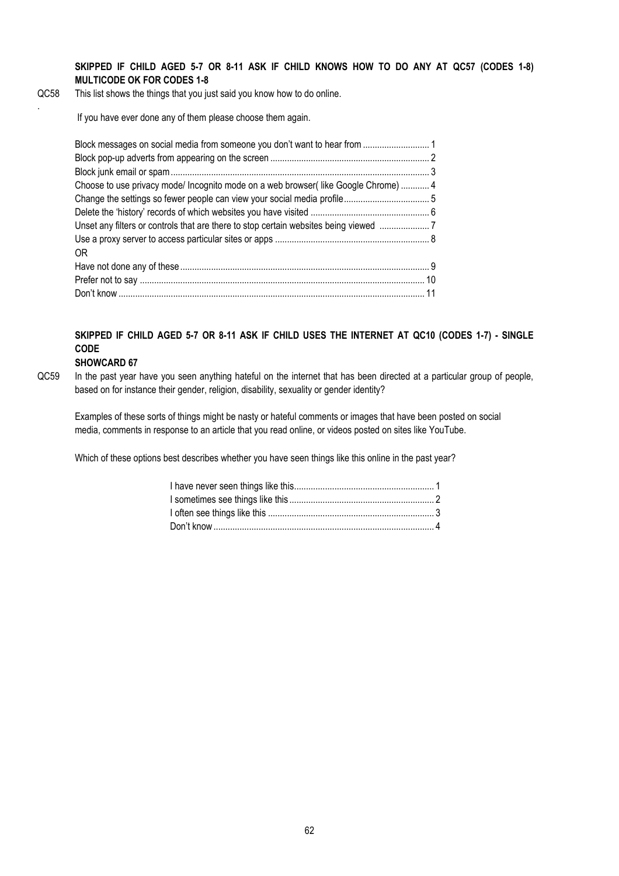**SKIPPED IF CHILD AGED 5-7 OR 8-11 ASK IF CHILD KNOWS HOW TO DO ANY AT QC57 (CODES 1-8) MULTICODE OK FOR CODES 1-8**

QC58 This list shows the things that you just said you know how to do online.

If you have ever done any of them please choose them again.

| Choose to use privacy mode/ Incognito mode on a web browser(like Google Chrome)  4 |  |
|------------------------------------------------------------------------------------|--|
|                                                                                    |  |
|                                                                                    |  |
| Unset any filters or controls that are there to stop certain websites being viewed |  |
|                                                                                    |  |
| 0R                                                                                 |  |
|                                                                                    |  |
|                                                                                    |  |
|                                                                                    |  |

## **SKIPPED IF CHILD AGED 5-7 OR 8-11 ASK IF CHILD USES THE INTERNET AT QC10 (CODES 1-7) - SINGLE CODE**

#### **SHOWCARD 67**

.

QC59 In the past year have you seen anything hateful on the internet that has been directed at a particular group of people, based on for instance their gender, religion, disability, sexuality or gender identity?

Examples of these sorts of things might be nasty or hateful comments or images that have been posted on social media, comments in response to an article that you read online, or videos posted on sites like YouTube.

Which of these options best describes whether you have seen things like this online in the past year?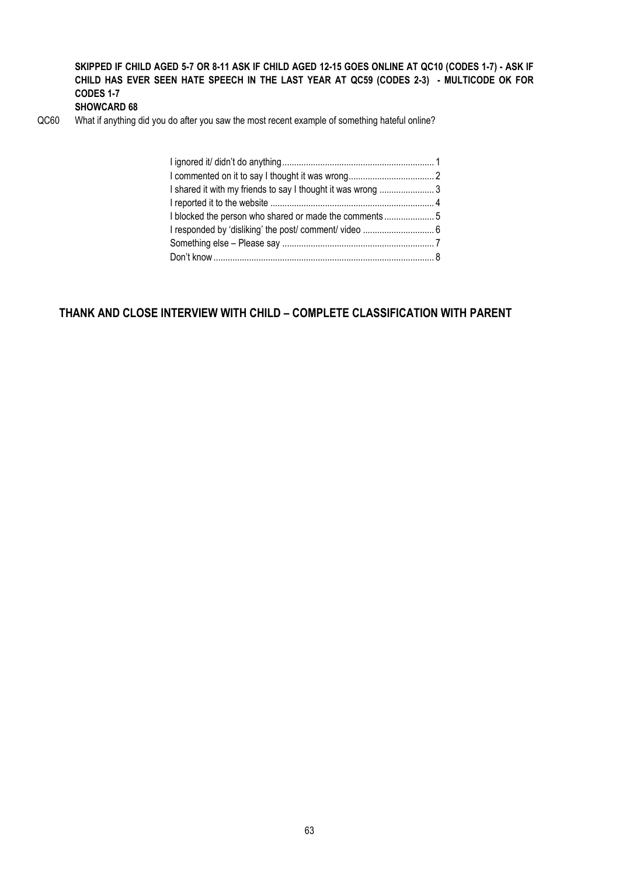## **SKIPPED IF CHILD AGED 5-7 OR 8-11 ASK IF CHILD AGED 12-15 GOES ONLINE AT QC10 (CODES 1-7) - ASK IF CHILD HAS EVER SEEN HATE SPEECH IN THE LAST YEAR AT QC59 (CODES 2-3) - MULTICODE OK FOR CODES 1-7 SHOWCARD 68**

QC60 What if anything did you do after you saw the most recent example of something hateful online?

| I shared it with my friends to say I thought it was wrong 3 |  |
|-------------------------------------------------------------|--|
|                                                             |  |
| I blocked the person who shared or made the comments5       |  |
|                                                             |  |
|                                                             |  |
|                                                             |  |
|                                                             |  |

## **THANK AND CLOSE INTERVIEW WITH CHILD – COMPLETE CLASSIFICATION WITH PARENT**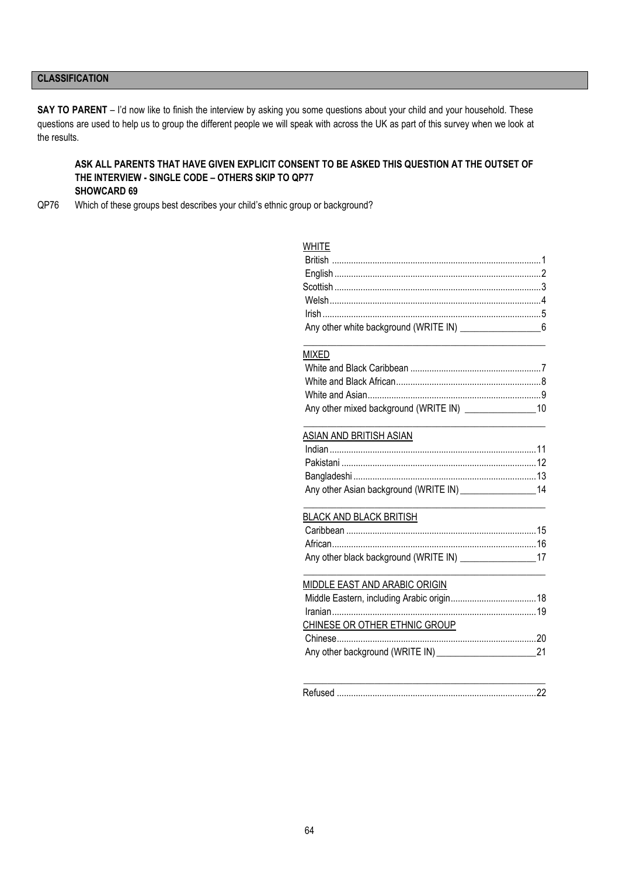## **CLASSIFICATION**

**SAY TO PARENT** – I'd now like to finish the interview by asking you some questions about your child and your household. These questions are used to help us to group the different people we will speak with across the UK as part of this survey when we look at the results.

#### **ASK ALL PARENTS THAT HAVE GIVEN EXPLICIT CONSENT TO BE ASKED THIS QUESTION AT THE OUTSET OF THE INTERVIEW - SINGLE CODE – OTHERS SKIP TO QP77 SHOWCARD 69**

QP76 Which of these groups best describes your child's ethnic group or background?

## **WHITE**

#### MIXED

\_\_\_\_\_\_\_\_\_\_\_\_\_\_\_\_\_\_\_\_\_\_\_\_\_\_\_\_\_\_\_\_\_\_\_\_\_\_\_\_\_\_\_\_\_\_\_\_\_\_\_

\_\_\_\_\_\_\_\_\_\_\_\_\_\_\_\_\_\_\_\_\_\_\_\_\_\_\_\_\_\_\_\_\_\_\_\_\_\_\_\_\_\_\_\_\_\_\_\_\_\_\_

#### ASIAN AND BRITISH ASIAN

\_\_\_\_\_\_\_\_\_\_\_\_\_\_\_\_\_\_\_\_\_\_\_\_\_\_\_\_\_\_\_\_\_\_\_\_\_\_\_\_\_\_\_\_\_\_\_\_\_\_\_

#### BLACK AND BLACK BRITISH

| Any other black background (WRITE IN) 17 |  |  |
|------------------------------------------|--|--|
| MIDDLE EAST AND ARABIC ORIGIN            |  |  |
|                                          |  |  |

| CHINESE OR OTHER ETHNIC GROUP |  |
|-------------------------------|--|
|                               |  |
|                               |  |
|                               |  |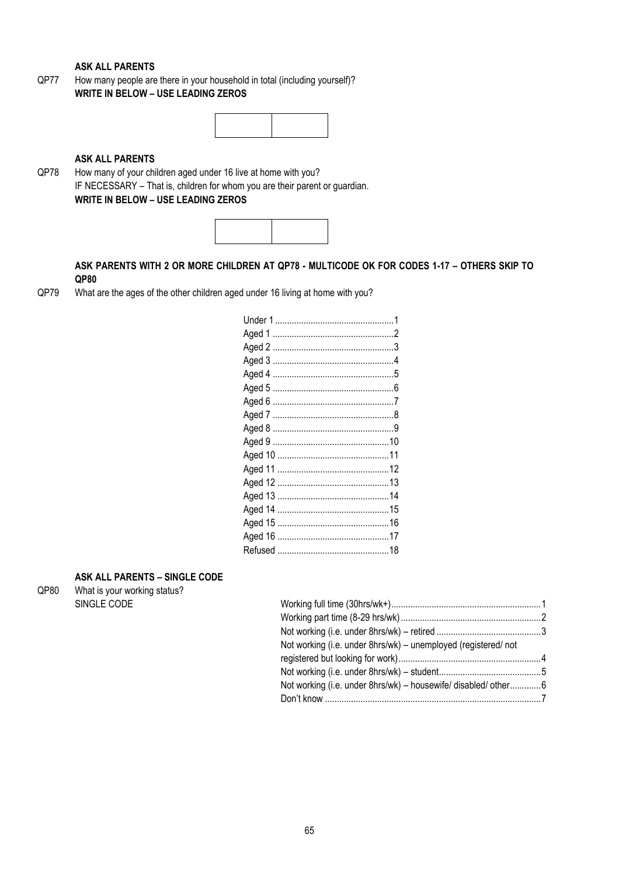**ASK ALL PARENTS** 

QP77 How many people are there in your household in total (including yourself)? **WRITE IN BELOW – USE LEADING ZEROS**

## **ASK ALL PARENTS**

QP78 How many of your children aged under 16 live at home with you? IF NECESSARY – That is, children for whom you are their parent or guardian. **WRITE IN BELOW – USE LEADING ZEROS**



**ASK PARENTS WITH 2 OR MORE CHILDREN AT QP78 - MULTICODE OK FOR CODES 1-17 – OTHERS SKIP TO QP80**

QP79 What are the ages of the other children aged under 16 living at home with you?

## **ASK ALL PARENTS – SINGLE CODE**

QP80 What is your working status? SINGLE CODE

| Not working (i.e. under 8hrs/wk) – unemployed (registered/ not  |  |
|-----------------------------------------------------------------|--|
|                                                                 |  |
|                                                                 |  |
| Not working (i.e. under 8hrs/wk) - housewife/ disabled/ other 6 |  |
|                                                                 |  |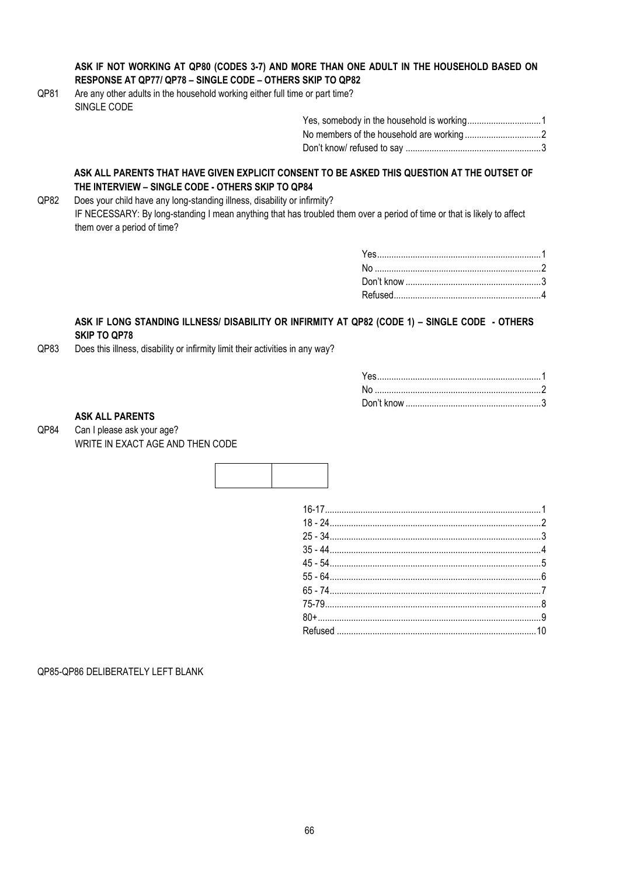## **ASK IF NOT WORKING AT QP80 (CODES 3-7) AND MORE THAN ONE ADULT IN THE HOUSEHOLD BASED ON RESPONSE AT QP77/ QP78 – SINGLE CODE – OTHERS SKIP TO QP82**

QP81 Are any other adults in the household working either full time or part time? SINGLE CODE

#### **ASK ALL PARENTS THAT HAVE GIVEN EXPLICIT CONSENT TO BE ASKED THIS QUESTION AT THE OUTSET OF THE INTERVIEW – SINGLE CODE - OTHERS SKIP TO QP84**

QP82 Does your child have any long-standing illness, disability or infirmity? IF NECESSARY: By long-standing I mean anything that has troubled them over a period of time or that is likely to affect them over a period of time?

## **ASK IF LONG STANDING ILLNESS/ DISABILITY OR INFIRMITY AT QP82 (CODE 1) – SINGLE CODE - OTHERS SKIP TO QP78**

QP83 Does this illness, disability or infirmity limit their activities in any way?

| Yes…………………………………………………………1 |  |
|----------------------------|--|
|                            |  |
|                            |  |

## **ASK ALL PARENTS**

QP84 Can I please ask your age? WRITE IN EXACT AGE AND THEN CODE



QP85-QP86 DELIBERATELY LEFT BLANK